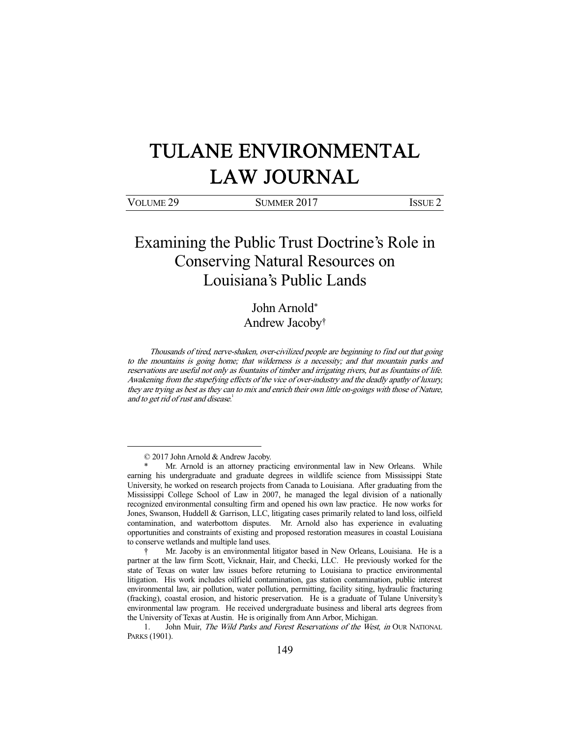# TULANE ENVIRONMENTAL LAW JOURNAL

| VOLUME <sub>29</sub> | SUMMER 2017 | <b>ISSUE 2</b> |
|----------------------|-------------|----------------|
|                      |             |                |

# Examining the Public Trust Doctrine's Role in Conserving Natural Resources on Louisiana's Public Lands

John Arnold\* Andrew Jacoby†

 Thousands of tired, nerve-shaken, over-civilized people are beginning to find out that going to the mountains is going home; that wilderness is a necessity; and that mountain parks and reservations are useful not only as fountains of timber and irrigating rivers, but as fountains of life. Awakening from the stupefying effects of the vice of over-industry and the deadly apathy of luxury, they are trying as best as they can to mix and enrich their own little on-goings with those of Nature, and to get rid of rust and disease.<sup>1</sup>

 <sup>© 2017</sup> John Arnold & Andrew Jacoby.

Mr. Arnold is an attorney practicing environmental law in New Orleans. While earning his undergraduate and graduate degrees in wildlife science from Mississippi State University, he worked on research projects from Canada to Louisiana. After graduating from the Mississippi College School of Law in 2007, he managed the legal division of a nationally recognized environmental consulting firm and opened his own law practice. He now works for Jones, Swanson, Huddell & Garrison, LLC, litigating cases primarily related to land loss, oilfield contamination, and waterbottom disputes. Mr. Arnold also has experience in evaluating opportunities and constraints of existing and proposed restoration measures in coastal Louisiana to conserve wetlands and multiple land uses.

 <sup>†</sup> Mr. Jacoby is an environmental litigator based in New Orleans, Louisiana. He is a partner at the law firm Scott, Vicknair, Hair, and Checki, LLC. He previously worked for the state of Texas on water law issues before returning to Louisiana to practice environmental litigation. His work includes oilfield contamination, gas station contamination, public interest environmental law, air pollution, water pollution, permitting, facility siting, hydraulic fracturing (fracking), coastal erosion, and historic preservation. He is a graduate of Tulane University's environmental law program. He received undergraduate business and liberal arts degrees from the University of Texas at Austin. He is originally from Ann Arbor, Michigan.

<sup>1.</sup> John Muir, The Wild Parks and Forest Reservations of the West, in OUR NATIONAL PARKS (1901).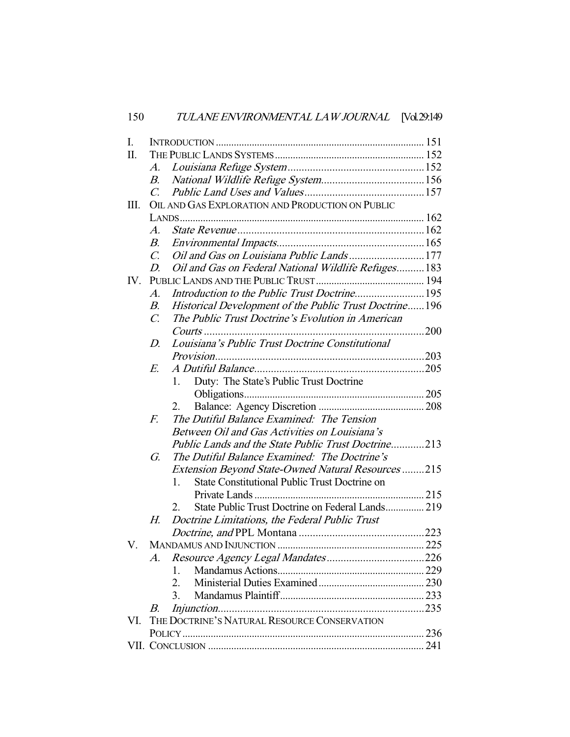| I.  |                                                        |                |                                                          |     |
|-----|--------------------------------------------------------|----------------|----------------------------------------------------------|-----|
| Π.  |                                                        |                |                                                          |     |
|     | A.                                                     |                |                                                          |     |
|     | В.                                                     |                |                                                          |     |
|     | $\mathcal{C}$                                          |                |                                                          |     |
| Ш.  | OIL AND GAS EXPLORATION AND PRODUCTION ON PUBLIC       |                |                                                          |     |
|     |                                                        |                |                                                          |     |
|     | $\mathcal{A}.$                                         |                |                                                          |     |
|     | В.                                                     |                |                                                          |     |
|     | $\mathcal{C}$ .                                        |                | Oil and Gas on Louisiana Public Lands177                 |     |
|     | D.                                                     |                | Oil and Gas on Federal National Wildlife Refuges183      |     |
| IV. |                                                        |                |                                                          |     |
|     | A.                                                     |                |                                                          |     |
|     | В.                                                     |                | Historical Development of the Public Trust Doctrine196   |     |
|     | $\mathcal{C}$ .                                        |                | The Public Trust Doctrine's Evolution in American        |     |
|     |                                                        |                | Courts                                                   | 200 |
|     | Louisiana's Public Trust Doctrine Constitutional<br>D. |                |                                                          |     |
|     |                                                        |                |                                                          |     |
|     | E.                                                     |                |                                                          |     |
|     |                                                        | 1.             | Duty: The State's Public Trust Doctrine                  |     |
|     |                                                        |                |                                                          |     |
|     |                                                        | 2.             |                                                          |     |
|     | $F_{\cdot}$                                            |                | The Dutiful Balance Examined: The Tension                |     |
|     |                                                        |                | Between Oil and Gas Activities on Louisiana's            |     |
|     | Public Lands and the State Public Trust Doctrine213    |                |                                                          |     |
|     | G.                                                     |                | The Dutiful Balance Examined: The Doctrine's             |     |
|     |                                                        |                | <b>Extension Beyond State-Owned Natural Resources215</b> |     |
|     |                                                        | $1_{-}$        | <b>State Constitutional Public Trust Doctrine on</b>     |     |
|     |                                                        |                |                                                          |     |
|     |                                                        | 2.             | State Public Trust Doctrine on Federal Lands 219         |     |
|     | Н.                                                     |                | Doctrine Limitations, the Federal Public Trust           |     |
|     |                                                        |                |                                                          |     |
| V.  |                                                        |                |                                                          |     |
|     | A.                                                     |                |                                                          |     |
|     |                                                        | $\mathbf{1}$ . |                                                          |     |
|     |                                                        | 2.             |                                                          |     |
|     |                                                        | 3.             |                                                          |     |
|     | В.                                                     |                |                                                          |     |
| VI. | THE DOCTRINE'S NATURAL RESOURCE CONSERVATION           |                |                                                          |     |
|     |                                                        |                |                                                          |     |
|     |                                                        |                |                                                          |     |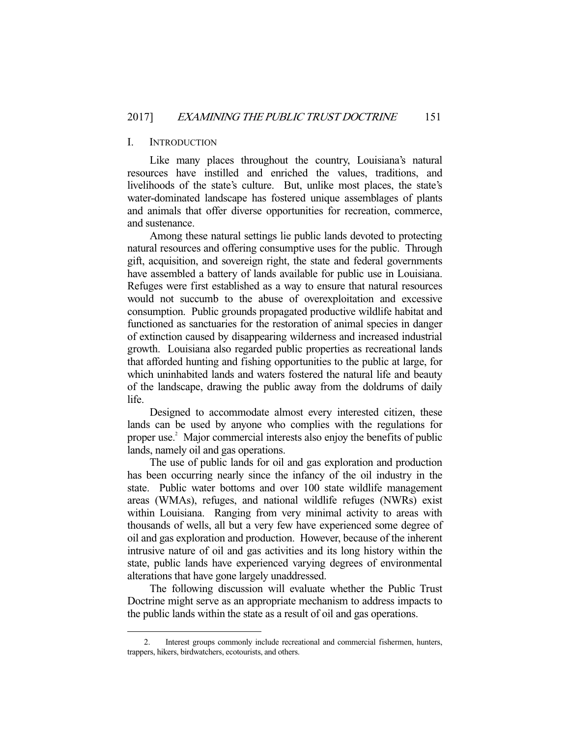# I. INTRODUCTION

-

 Like many places throughout the country, Louisiana's natural resources have instilled and enriched the values, traditions, and livelihoods of the state's culture. But, unlike most places, the state's water-dominated landscape has fostered unique assemblages of plants and animals that offer diverse opportunities for recreation, commerce, and sustenance.

 Among these natural settings lie public lands devoted to protecting natural resources and offering consumptive uses for the public. Through gift, acquisition, and sovereign right, the state and federal governments have assembled a battery of lands available for public use in Louisiana. Refuges were first established as a way to ensure that natural resources would not succumb to the abuse of overexploitation and excessive consumption. Public grounds propagated productive wildlife habitat and functioned as sanctuaries for the restoration of animal species in danger of extinction caused by disappearing wilderness and increased industrial growth. Louisiana also regarded public properties as recreational lands that afforded hunting and fishing opportunities to the public at large, for which uninhabited lands and waters fostered the natural life and beauty of the landscape, drawing the public away from the doldrums of daily life.

 Designed to accommodate almost every interested citizen, these lands can be used by anyone who complies with the regulations for proper use.<sup>2</sup> Major commercial interests also enjoy the benefits of public lands, namely oil and gas operations.

 The use of public lands for oil and gas exploration and production has been occurring nearly since the infancy of the oil industry in the state. Public water bottoms and over 100 state wildlife management areas (WMAs), refuges, and national wildlife refuges (NWRs) exist within Louisiana. Ranging from very minimal activity to areas with thousands of wells, all but a very few have experienced some degree of oil and gas exploration and production. However, because of the inherent intrusive nature of oil and gas activities and its long history within the state, public lands have experienced varying degrees of environmental alterations that have gone largely unaddressed.

 The following discussion will evaluate whether the Public Trust Doctrine might serve as an appropriate mechanism to address impacts to the public lands within the state as a result of oil and gas operations.

 <sup>2.</sup> Interest groups commonly include recreational and commercial fishermen, hunters, trappers, hikers, birdwatchers, ecotourists, and others.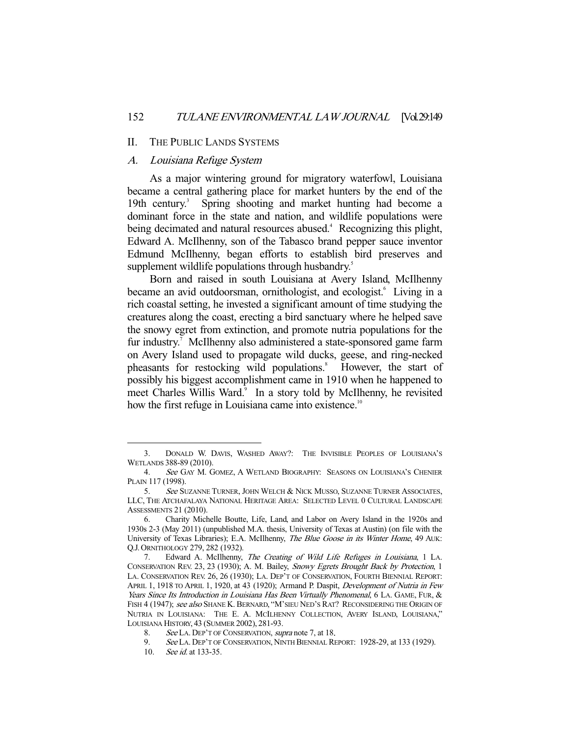#### II. THE PUBLIC LANDS SYSTEMS

## A. Louisiana Refuge System

 As a major wintering ground for migratory waterfowl, Louisiana became a central gathering place for market hunters by the end of the 19th century.<sup>3</sup> Spring shooting and market hunting had become a dominant force in the state and nation, and wildlife populations were being decimated and natural resources abused.<sup>4</sup> Recognizing this plight, Edward A. McIlhenny, son of the Tabasco brand pepper sauce inventor Edmund McIlhenny, began efforts to establish bird preserves and supplement wildlife populations through husbandry.<sup>5</sup>

 Born and raised in south Louisiana at Avery Island, McIlhenny became an avid outdoorsman, ornithologist, and ecologist.<sup>6</sup> Living in a rich coastal setting, he invested a significant amount of time studying the creatures along the coast, erecting a bird sanctuary where he helped save the snowy egret from extinction, and promote nutria populations for the fur industry.<sup>7</sup> McIlhenny also administered a state-sponsored game farm on Avery Island used to propagate wild ducks, geese, and ring-necked pheasants for restocking wild populations.<sup>8</sup> However, the start of possibly his biggest accomplishment came in 1910 when he happened to meet Charles Willis Ward.<sup>9</sup> In a story told by McIlhenny, he revisited how the first refuge in Louisiana came into existence.<sup>10</sup>

 <sup>3.</sup> DONALD W. DAVIS, WASHED AWAY?: THE INVISIBLE PEOPLES OF LOUISIANA'S WETLANDS 388-89 (2010).

<sup>4.</sup> See GAY M. GOMEZ, A WETLAND BIOGRAPHY: SEASONS ON LOUISIANA'S CHENIER PLAIN 117 (1998).

<sup>5.</sup> See SUZANNE TURNER, JOHN WELCH & NICK MUSSO, SUZANNE TURNER ASSOCIATES, LLC, THE ATCHAFALAYA NATIONAL HERITAGE AREA: SELECTED LEVEL 0 CULTURAL LANDSCAPE ASSESSMENTS 21 (2010).

 <sup>6.</sup> Charity Michelle Boutte, Life, Land, and Labor on Avery Island in the 1920s and 1930s 2-3 (May 2011) (unpublished M.A. thesis, University of Texas at Austin) (on file with the University of Texas Libraries); E.A. McIlhenny, The Blue Goose in its Winter Home, 49 AUK: Q.J. ORNITHOLOGY 279, 282 (1932).

 <sup>7.</sup> Edward A. McIlhenny, The Creating of Wild Life Refuges in Louisiana, 1 LA. CONSERVATION REV. 23, 23 (1930); A. M. Bailey, Snowy Egrets Brought Back by Protection, 1 LA. CONSERVATION REV. 26, 26 (1930); LA. DEP'T OF CONSERVATION, FOURTH BIENNIAL REPORT: APRIL 1, 1918 TO APRIL 1, 1920, at 43 (1920); Armand P. Daspit, Development of Nutria in Few Years Since Its Introduction in Louisiana Has Been Virtually Phenomenal, 6 LA. GAME, FUR, & FISH 4 (1947); see also SHANE K. BERNARD, "M'SIEU NED'S RAT? RECONSIDERING THE ORIGIN OF NUTRIA IN LOUISIANA: THE E. A. MCILHENNY COLLECTION, AVERY ISLAND, LOUISIANA," LOUISIANA HISTORY, 43 (SUMMER 2002), 281-93.

<sup>8.</sup> See LA. DEP'T OF CONSERVATION, supra note 7, at 18.

<sup>9.</sup> See LA. DEP'T OF CONSERVATION, NINTH BIENNIAL REPORT: 1928-29, at 133 (1929).

 <sup>10.</sup> See id. at 133-35.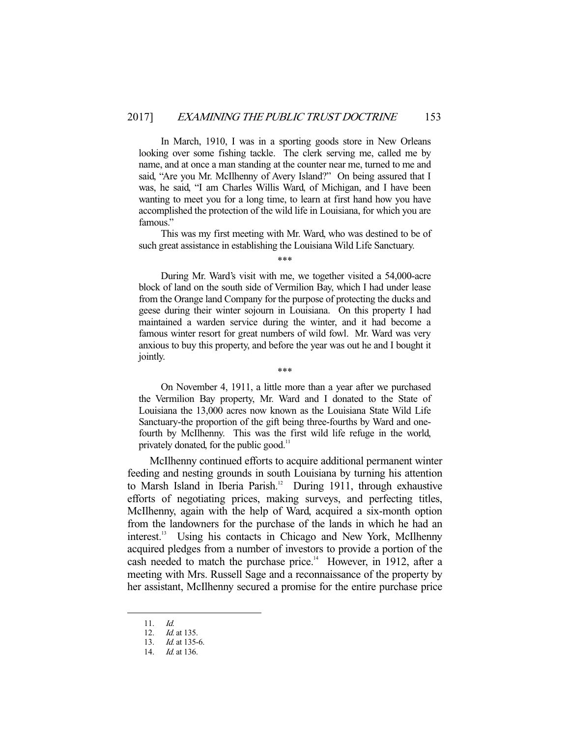In March, 1910, I was in a sporting goods store in New Orleans looking over some fishing tackle. The clerk serving me, called me by name, and at once a man standing at the counter near me, turned to me and said, "Are you Mr. McIlhenny of Avery Island?" On being assured that I was, he said, "I am Charles Willis Ward, of Michigan, and I have been wanting to meet you for a long time, to learn at first hand how you have accomplished the protection of the wild life in Louisiana, for which you are famous."

 This was my first meeting with Mr. Ward, who was destined to be of such great assistance in establishing the Louisiana Wild Life Sanctuary.

\*\*\*

 During Mr. Ward's visit with me, we together visited a 54,000-acre block of land on the south side of Vermilion Bay, which I had under lease from the Orange land Company for the purpose of protecting the ducks and geese during their winter sojourn in Louisiana. On this property I had maintained a warden service during the winter, and it had become a famous winter resort for great numbers of wild fowl. Mr. Ward was very anxious to buy this property, and before the year was out he and I bought it jointly.

\*\*\*

 On November 4, 1911, a little more than a year after we purchased the Vermilion Bay property, Mr. Ward and I donated to the State of Louisiana the 13,000 acres now known as the Louisiana State Wild Life Sanctuary-the proportion of the gift being three-fourths by Ward and onefourth by McIlhenny. This was the first wild life refuge in the world, privately donated, for the public good.<sup>11</sup>

 McIlhenny continued efforts to acquire additional permanent winter feeding and nesting grounds in south Louisiana by turning his attention to Marsh Island in Iberia Parish.<sup>12</sup> During 1911, through exhaustive efforts of negotiating prices, making surveys, and perfecting titles, McIlhenny, again with the help of Ward, acquired a six-month option from the landowners for the purchase of the lands in which he had an interest.13 Using his contacts in Chicago and New York, McIlhenny acquired pledges from a number of investors to provide a portion of the cash needed to match the purchase price.<sup>14</sup> However, in 1912, after a meeting with Mrs. Russell Sage and a reconnaissance of the property by her assistant, McIlhenny secured a promise for the entire purchase price

 <sup>11.</sup> Id.

<sup>12.</sup> *Id.* at 135.

<sup>13.</sup> *Id.* at 135-6.

<sup>14.</sup> *Id.* at 136.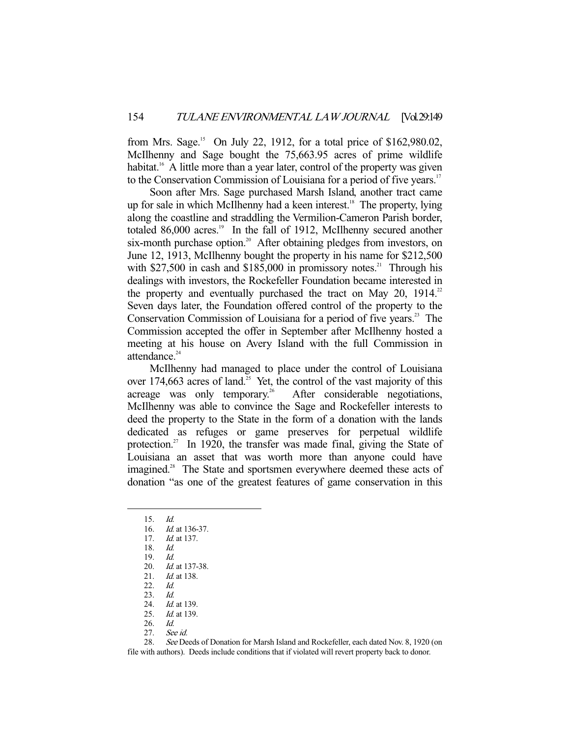from Mrs. Sage.<sup>15</sup> On July 22, 1912, for a total price of \$162,980.02, McIlhenny and Sage bought the 75,663.95 acres of prime wildlife habitat.<sup>16</sup> A little more than a year later, control of the property was given to the Conservation Commission of Louisiana for a period of five years.<sup>17</sup>

 Soon after Mrs. Sage purchased Marsh Island, another tract came up for sale in which McIlhenny had a keen interest.<sup>18</sup> The property, lying along the coastline and straddling the Vermilion-Cameron Parish border, totaled 86,000 acres.<sup>19</sup> In the fall of 1912, McIlhenny secured another six-month purchase option.<sup>20</sup> After obtaining pledges from investors, on June 12, 1913, McIlhenny bought the property in his name for \$212,500 with  $$27,500$  in cash and  $$185,000$  in promissory notes.<sup>21</sup> Through his dealings with investors, the Rockefeller Foundation became interested in the property and eventually purchased the tract on May 20,  $1914$ <sup>2</sup> Seven days later, the Foundation offered control of the property to the Conservation Commission of Louisiana for a period of five years.<sup>23</sup> The Commission accepted the offer in September after McIlhenny hosted a meeting at his house on Avery Island with the full Commission in attendance. $24$ 

 McIlhenny had managed to place under the control of Louisiana over 174,663 acres of land.<sup>25</sup> Yet, the control of the vast majority of this acreage was only temporary.<sup>26</sup> After considerable negotiations, After considerable negotiations, McIlhenny was able to convince the Sage and Rockefeller interests to deed the property to the State in the form of a donation with the lands dedicated as refuges or game preserves for perpetual wildlife protection.<sup>27</sup> In 1920, the transfer was made final, giving the State of Louisiana an asset that was worth more than anyone could have imagined.<sup>28</sup> The State and sportsmen everywhere deemed these acts of donation "as one of the greatest features of game conservation in this

-

28. See Deeds of Donation for Marsh Island and Rockefeller, each dated Nov. 8, 1920 (on file with authors). Deeds include conditions that if violated will revert property back to donor.

 <sup>15.</sup> Id.

 <sup>16.</sup> Id. at 136-37.

<sup>17.</sup> *Id.* at 137.

 <sup>18.</sup> Id.

<sup>19.</sup> *Id.*<br>20. *Id.* 

<sup>20.</sup> *Id.* at 137-38.<br>21. *Id.* at 138.

*Id.* at 138.

 <sup>22.</sup> Id.

 <sup>23.</sup> Id.

<sup>24.</sup> *Id.* at 139. 25. *Id.* at 139.

 <sup>26.</sup> Id.

 <sup>27.</sup> See id.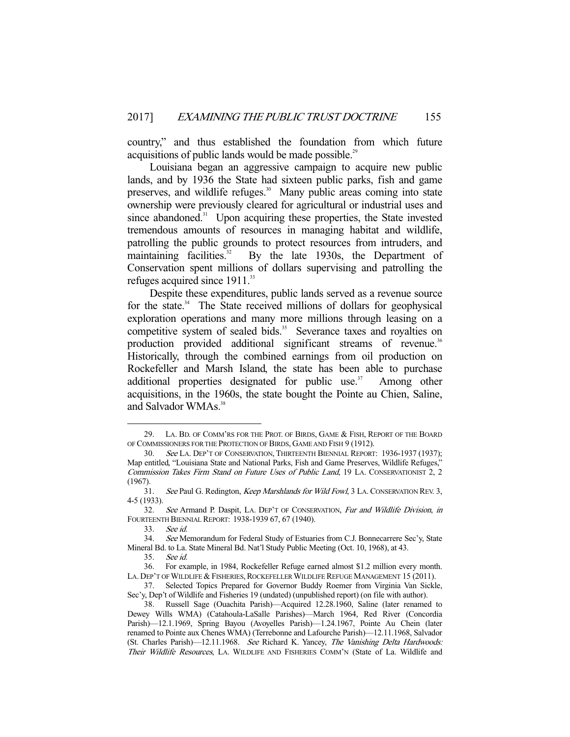country," and thus established the foundation from which future acquisitions of public lands would be made possible.<sup>29</sup>

 Louisiana began an aggressive campaign to acquire new public lands, and by 1936 the State had sixteen public parks, fish and game preserves, and wildlife refuges.<sup>30</sup> Many public areas coming into state ownership were previously cleared for agricultural or industrial uses and since abandoned.<sup>31</sup> Upon acquiring these properties, the State invested tremendous amounts of resources in managing habitat and wildlife, patrolling the public grounds to protect resources from intruders, and maintaining facilities.<sup>32</sup> By the late 1930s, the Department of Conservation spent millions of dollars supervising and patrolling the refuges acquired since 1911.<sup>33</sup>

 Despite these expenditures, public lands served as a revenue source for the state. $34$  The State received millions of dollars for geophysical exploration operations and many more millions through leasing on a competitive system of sealed bids.<sup>35</sup> Severance taxes and royalties on production provided additional significant streams of revenue.<sup>36</sup> Historically, through the combined earnings from oil production on Rockefeller and Marsh Island, the state has been able to purchase additional properties designated for public use.<sup>37</sup> Among other acquisitions, in the 1960s, the state bought the Pointe au Chien, Saline, and Salvador WMAs.<sup>38</sup>

 <sup>29.</sup> LA. BD. OF COMM'RS FOR THE PROT. OF BIRDS, GAME & FISH, REPORT OF THE BOARD OF COMMISSIONERS FOR THE PROTECTION OF BIRDS, GAME AND FISH 9 (1912).

<sup>30.</sup> See LA. DEP'T OF CONSERVATION, THIRTEENTH BIENNIAL REPORT: 1936-1937 (1937); Map entitled, "Louisiana State and National Parks, Fish and Game Preserves, Wildlife Refuges," Commission Takes Firm Stand on Future Uses of Public Land, 19 LA. CONSERVATIONIST 2, 2 (1967).

<sup>31.</sup> See Paul G. Redington, Keep Marshlands for Wild Fowl, 3 LA. CONSERVATION REV. 3, 4-5 (1933).

<sup>32.</sup> See Armand P. Daspit, LA. DEP'T OF CONSERVATION, Fur and Wildlife Division, in FOURTEENTH BIENNIAL REPORT: 1938-1939 67, 67 (1940).

 <sup>33.</sup> See id.

 <sup>34.</sup> See Memorandum for Federal Study of Estuaries from C.J. Bonnecarrere Sec'y, State Mineral Bd. to La. State Mineral Bd. Nat'l Study Public Meeting (Oct. 10, 1968), at 43.

 <sup>35.</sup> See id.

 <sup>36.</sup> For example, in 1984, Rockefeller Refuge earned almost \$1.2 million every month. LA. DEP'T OF WILDLIFE & FISHERIES, ROCKEFELLER WILDLIFE REFUGE MANAGEMENT 15 (2011).

 <sup>37.</sup> Selected Topics Prepared for Governor Buddy Roemer from Virginia Van Sickle, Sec'y, Dep't of Wildlife and Fisheries 19 (undated) (unpublished report) (on file with author).

 <sup>38.</sup> Russell Sage (Ouachita Parish)—Acquired 12.28.1960, Saline (later renamed to Dewey Wills WMA) (Catahoula-LaSalle Parishes)—March 1964, Red River (Concordia Parish)—12.1.1969, Spring Bayou (Avoyelles Parish)—1.24.1967, Pointe Au Chein (later renamed to Pointe aux Chenes WMA) (Terrebonne and Lafourche Parish)—12.11.1968, Salvador (St. Charles Parish)—12.11.1968. See Richard K. Yancey, The Vanishing Delta Hardwoods: Their Wildlife Resources, LA. WILDLIFE AND FISHERIES COMM'N (State of La. Wildlife and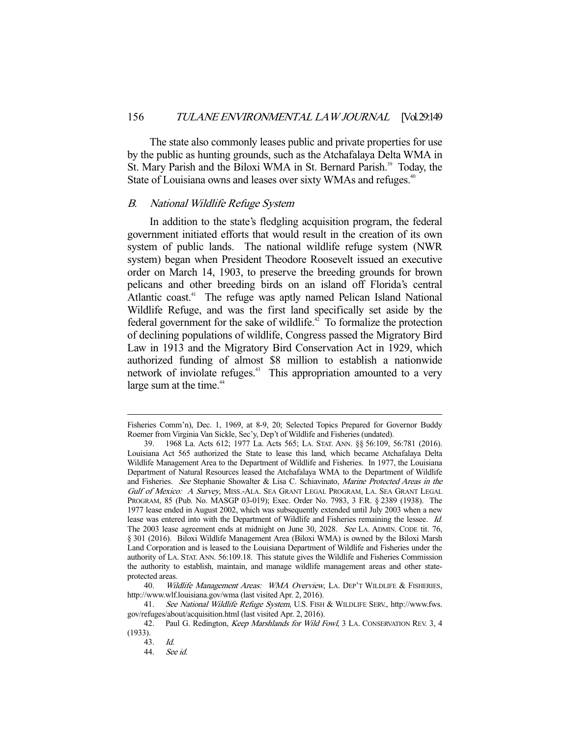The state also commonly leases public and private properties for use by the public as hunting grounds, such as the Atchafalaya Delta WMA in St. Mary Parish and the Biloxi WMA in St. Bernard Parish.<sup>39</sup> Today, the State of Louisiana owns and leases over sixty WMAs and refuges.<sup>40</sup>

#### B. National Wildlife Refuge System

 In addition to the state's fledgling acquisition program, the federal government initiated efforts that would result in the creation of its own system of public lands. The national wildlife refuge system (NWR system) began when President Theodore Roosevelt issued an executive order on March 14, 1903, to preserve the breeding grounds for brown pelicans and other breeding birds on an island off Florida's central Atlantic coast.<sup>41</sup> The refuge was aptly named Pelican Island National Wildlife Refuge, and was the first land specifically set aside by the federal government for the sake of wildlife.<sup> $42$ </sup> To formalize the protection of declining populations of wildlife, Congress passed the Migratory Bird Law in 1913 and the Migratory Bird Conservation Act in 1929, which authorized funding of almost \$8 million to establish a nationwide network of inviolate refuges.<sup>43</sup> This appropriation amounted to a very large sum at the time.<sup>44</sup>

40. Wildlife Management Areas: WMA Overview, LA. DEP'T WILDLIFE & FISHERIES, http://www.wlf.louisiana.gov/wma (last visited Apr. 2, 2016).

41. See National Wildlife Refuge System, U.S. FISH & WILDLIFE SERV., http://www.fws. gov/refuges/about/acquisition.html (last visited Apr. 2, 2016).

Fisheries Comm'n), Dec. 1, 1969, at 8-9, 20; Selected Topics Prepared for Governor Buddy Roemer from Virginia Van Sickle, Sec'y, Dep't of Wildlife and Fisheries (undated).

 <sup>39. 1968</sup> La. Acts 612; 1977 La. Acts 565; LA. STAT. ANN. §§ 56:109, 56:781 (2016). Louisiana Act 565 authorized the State to lease this land, which became Atchafalaya Delta Wildlife Management Area to the Department of Wildlife and Fisheries. In 1977, the Louisiana Department of Natural Resources leased the Atchafalaya WMA to the Department of Wildlife and Fisheries. See Stephanie Showalter & Lisa C. Schiavinato, Marine Protected Areas in the Gulf of Mexico: A Survey, MISS.-ALA. SEA GRANT LEGAL PROGRAM, LA. SEA GRANT LEGAL PROGRAM, 85 (Pub. No. MASGP 03-019); Exec. Order No. 7983, 3 F.R. § 2389 (1938). The 1977 lease ended in August 2002, which was subsequently extended until July 2003 when a new lease was entered into with the Department of Wildlife and Fisheries remaining the lessee. Id. The 2003 lease agreement ends at midnight on June 30, 2028. See LA. ADMIN. CODE tit. 76, § 301 (2016). Biloxi Wildlife Management Area (Biloxi WMA) is owned by the Biloxi Marsh Land Corporation and is leased to the Louisiana Department of Wildlife and Fisheries under the authority of LA. STAT. ANN. 56:109.18. This statute gives the Wildlife and Fisheries Commission the authority to establish, maintain, and manage wildlife management areas and other stateprotected areas.

<sup>42.</sup> Paul G. Redington, Keep Marshlands for Wild Fowl, 3 LA. CONSERVATION REV. 3, 4 (1933).

<sup>43.</sup> *Id.*<br>44. *Sec* 44. See id.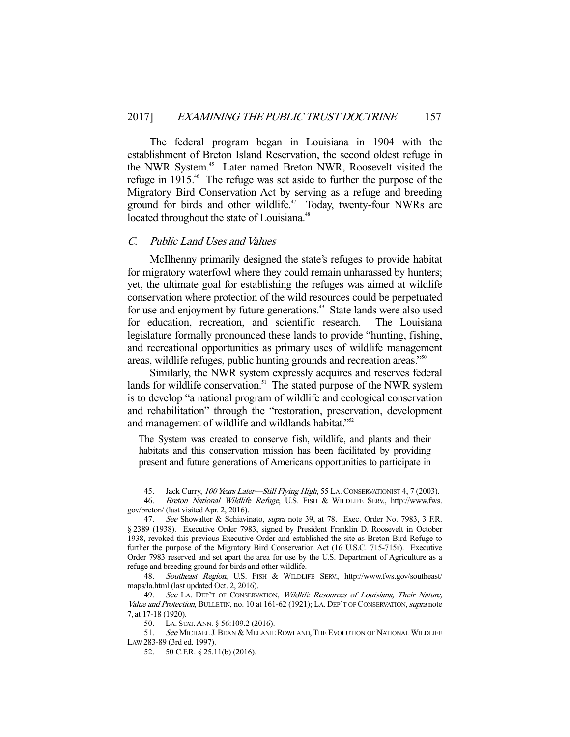The federal program began in Louisiana in 1904 with the establishment of Breton Island Reservation, the second oldest refuge in the NWR System.<sup>45</sup> Later named Breton NWR, Roosevelt visited the refuge in 1915<sup>46</sup>. The refuge was set aside to further the purpose of the Migratory Bird Conservation Act by serving as a refuge and breeding ground for birds and other wildlife.<sup>47</sup> Today, twenty-four NWRs are located throughout the state of Louisiana.<sup>48</sup>

# C. Public Land Uses and Values

 McIlhenny primarily designed the state's refuges to provide habitat for migratory waterfowl where they could remain unharassed by hunters; yet, the ultimate goal for establishing the refuges was aimed at wildlife conservation where protection of the wild resources could be perpetuated for use and enjoyment by future generations.<sup>49</sup> State lands were also used for education, recreation, and scientific research. The Louisiana legislature formally pronounced these lands to provide "hunting, fishing, and recreational opportunities as primary uses of wildlife management areas, wildlife refuges, public hunting grounds and recreation areas."50

 Similarly, the NWR system expressly acquires and reserves federal lands for wildlife conservation.<sup>51</sup> The stated purpose of the NWR system is to develop "a national program of wildlife and ecological conservation and rehabilitation" through the "restoration, preservation, development and management of wildlife and wildlands habitat."<sup>52</sup>

The System was created to conserve fish, wildlife, and plants and their habitats and this conservation mission has been facilitated by providing present and future generations of Americans opportunities to participate in

<sup>45.</sup> Jack Curry, 100 Years Later-Still Flying High, 55 LA. CONSERVATIONIST 4, 7 (2003).

<sup>46.</sup> Breton National Wildlife Refuge, U.S. FISH & WILDLIFE SERV., http://www.fws. gov/breton/ (last visited Apr. 2, 2016).

 <sup>47.</sup> See Showalter & Schiavinato, supra note 39, at 78. Exec. Order No. 7983, 3 F.R. § 2389 (1938). Executive Order 7983, signed by President Franklin D. Roosevelt in October 1938, revoked this previous Executive Order and established the site as Breton Bird Refuge to further the purpose of the Migratory Bird Conservation Act (16 U.S.C. 715-715r). Executive Order 7983 reserved and set apart the area for use by the U.S. Department of Agriculture as a refuge and breeding ground for birds and other wildlife.

<sup>48.</sup> Southeast Region, U.S. FISH & WILDLIFE SERV., http://www.fws.gov/southeast/ maps/la.html (last updated Oct. 2, 2016).

<sup>49.</sup> See LA. DEP'T OF CONSERVATION, Wildlife Resources of Louisiana, Their Nature, Value and Protection, BULLETIN, no. 10 at 161-62 (1921); LA. DEP'T OF CONSERVATION, supra note 7, at 17-18 (1920).

 <sup>50.</sup> LA. STAT.ANN. § 56:109.2 (2016).

<sup>51.</sup> See MICHAEL J. BEAN & MELANIE ROWLAND, THE EVOLUTION OF NATIONAL WILDLIFE LAW 283-89 (3rd ed. 1997).

 <sup>52. 50</sup> C.F.R. § 25.11(b) (2016).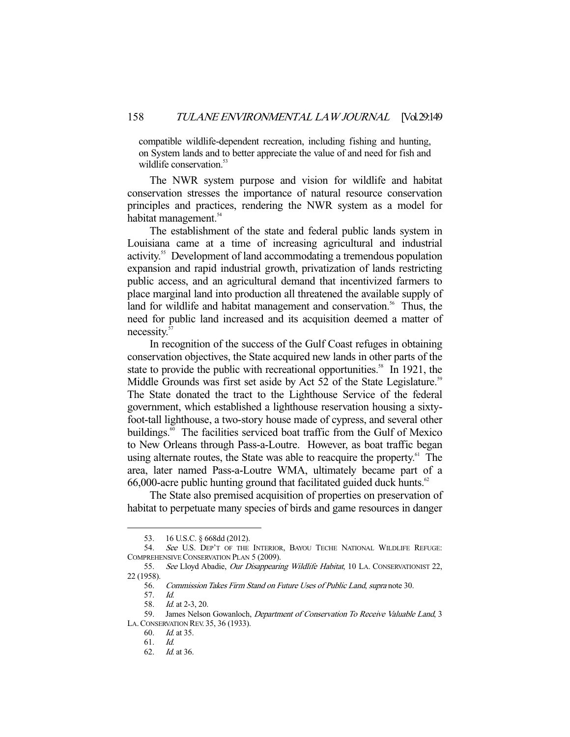compatible wildlife-dependent recreation, including fishing and hunting, on System lands and to better appreciate the value of and need for fish and wildlife conservation.<sup>53</sup>

 The NWR system purpose and vision for wildlife and habitat conservation stresses the importance of natural resource conservation principles and practices, rendering the NWR system as a model for habitat management.<sup>54</sup>

 The establishment of the state and federal public lands system in Louisiana came at a time of increasing agricultural and industrial activity.55 Development of land accommodating a tremendous population expansion and rapid industrial growth, privatization of lands restricting public access, and an agricultural demand that incentivized farmers to place marginal land into production all threatened the available supply of land for wildlife and habitat management and conservation.<sup>56</sup> Thus, the need for public land increased and its acquisition deemed a matter of necessity.57

 In recognition of the success of the Gulf Coast refuges in obtaining conservation objectives, the State acquired new lands in other parts of the state to provide the public with recreational opportunities.<sup>58</sup> In 1921, the Middle Grounds was first set aside by Act 52 of the State Legislature.<sup>59</sup> The State donated the tract to the Lighthouse Service of the federal government, which established a lighthouse reservation housing a sixtyfoot-tall lighthouse, a two-story house made of cypress, and several other buildings.<sup>60</sup> The facilities serviced boat traffic from the Gulf of Mexico to New Orleans through Pass-a-Loutre. However, as boat traffic began using alternate routes, the State was able to reacquire the property.<sup>61</sup> The area, later named Pass-a-Loutre WMA, ultimately became part of a  $66,000$ -acre public hunting ground that facilitated guided duck hunts.<sup>62</sup>

 The State also premised acquisition of properties on preservation of habitat to perpetuate many species of birds and game resources in danger

 <sup>53. 16</sup> U.S.C. § 668dd (2012).

<sup>54.</sup> See U.S. DEP'T OF THE INTERIOR, BAYOU TECHE NATIONAL WILDLIFE REFUGE: COMPREHENSIVE CONSERVATION PLAN 5 (2009).

<sup>55.</sup> See Lloyd Abadie, Our Disappearing Wildlife Habitat, 10 LA. CONSERVATIONIST 22, 22 (1958).

 <sup>56.</sup> Commission Takes Firm Stand on Future Uses of Public Land, supra note 30.

 <sup>57.</sup> Id.

 <sup>58.</sup> Id. at 2-3, 20.

<sup>59.</sup> James Nelson Gowanloch, Department of Conservation To Receive Valuable Land, 3 LA.CONSERVATION REV. 35, 36 (1933).

 <sup>60.</sup> Id. at 35.

 <sup>61.</sup> Id.

 <sup>62.</sup> Id. at 36.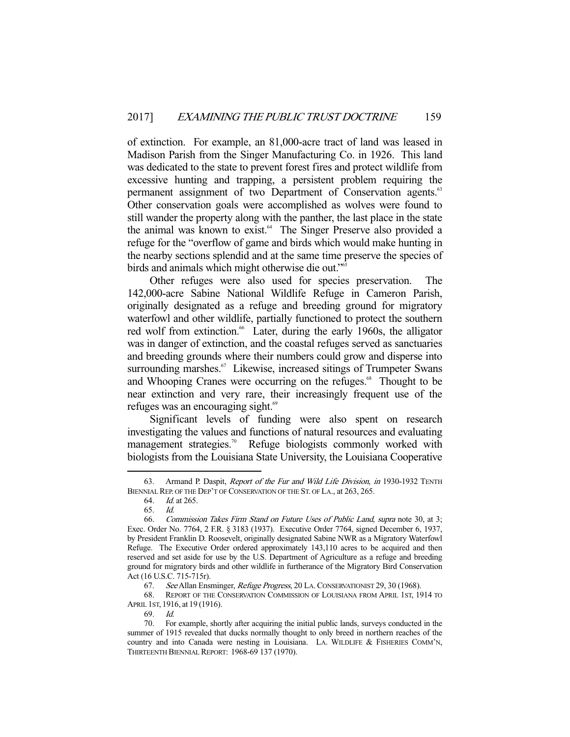of extinction. For example, an 81,000-acre tract of land was leased in Madison Parish from the Singer Manufacturing Co. in 1926. This land was dedicated to the state to prevent forest fires and protect wildlife from excessive hunting and trapping, a persistent problem requiring the permanent assignment of two Department of Conservation agents.<sup>63</sup> Other conservation goals were accomplished as wolves were found to still wander the property along with the panther, the last place in the state the animal was known to exist.<sup>64</sup> The Singer Preserve also provided a refuge for the "overflow of game and birds which would make hunting in the nearby sections splendid and at the same time preserve the species of birds and animals which might otherwise die out."<sup>65</sup>

 Other refuges were also used for species preservation. The 142,000-acre Sabine National Wildlife Refuge in Cameron Parish, originally designated as a refuge and breeding ground for migratory waterfowl and other wildlife, partially functioned to protect the southern red wolf from extinction.<sup>66</sup> Later, during the early 1960s, the alligator was in danger of extinction, and the coastal refuges served as sanctuaries and breeding grounds where their numbers could grow and disperse into surrounding marshes.<sup>67</sup> Likewise, increased sitings of Trumpeter Swans and Whooping Cranes were occurring on the refuges.<sup>68</sup> Thought to be near extinction and very rare, their increasingly frequent use of the refuges was an encouraging sight.<sup>69</sup>

 Significant levels of funding were also spent on research investigating the values and functions of natural resources and evaluating management strategies.<sup>70</sup> Refuge biologists commonly worked with biologists from the Louisiana State University, the Louisiana Cooperative

 <sup>63.</sup> Armand P. Daspit, Report of the Fur and Wild Life Division, in 1930-1932 TENTH BIENNIAL REP. OF THE DEP'T OF CONSERVATION OF THE ST. OF LA., at 263, 265.

 <sup>64.</sup> Id. at 265.

 <sup>65.</sup> Id.

 <sup>66.</sup> Commission Takes Firm Stand on Future Uses of Public Land, supra note 30, at 3; Exec. Order No. 7764, 2 F.R. § 3183 (1937). Executive Order 7764, signed December 6, 1937, by President Franklin D. Roosevelt, originally designated Sabine NWR as a Migratory Waterfowl Refuge. The Executive Order ordered approximately 143,110 acres to be acquired and then reserved and set aside for use by the U.S. Department of Agriculture as a refuge and breeding ground for migratory birds and other wildlife in furtherance of the Migratory Bird Conservation Act (16 U.S.C. 715-715r).

<sup>67.</sup> See Allan Ensminger, Refuge Progress, 20 LA. CONSERVATIONIST 29, 30 (1968).

 <sup>68.</sup> REPORT OF THE CONSERVATION COMMISSION OF LOUISIANA FROM APRIL 1ST, 1914 TO APRIL 1ST, 1916, at 19 (1916).

 <sup>69.</sup> Id.

 <sup>70.</sup> For example, shortly after acquiring the initial public lands, surveys conducted in the summer of 1915 revealed that ducks normally thought to only breed in northern reaches of the country and into Canada were nesting in Louisiana. LA. WILDLIFE & FISHERIES COMM'N, THIRTEENTH BIENNIAL REPORT: 1968-69 137 (1970).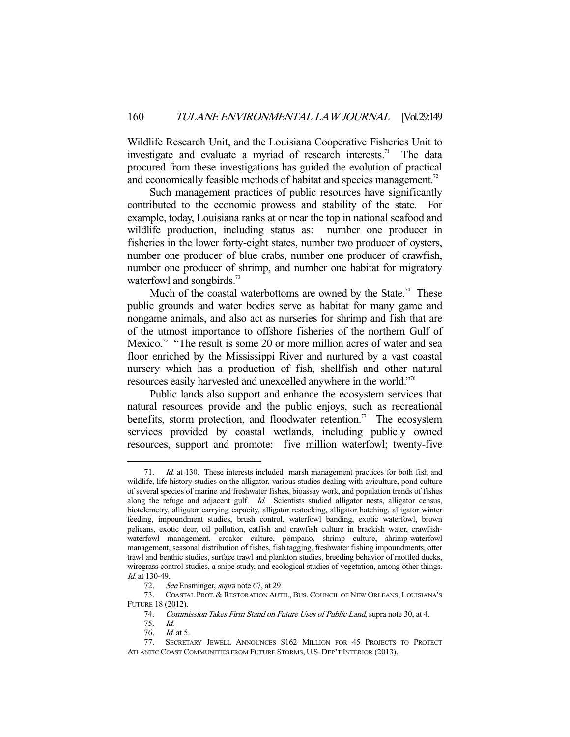Wildlife Research Unit, and the Louisiana Cooperative Fisheries Unit to investigate and evaluate a myriad of research interests.<sup>71</sup> The data procured from these investigations has guided the evolution of practical and economically feasible methods of habitat and species management.<sup>72</sup>

 Such management practices of public resources have significantly contributed to the economic prowess and stability of the state. For example, today, Louisiana ranks at or near the top in national seafood and wildlife production, including status as: number one producer in fisheries in the lower forty-eight states, number two producer of oysters, number one producer of blue crabs, number one producer of crawfish, number one producer of shrimp, and number one habitat for migratory waterfowl and songbirds.<sup>73</sup>

Much of the coastal waterbottoms are owned by the State.<sup>74</sup> These public grounds and water bodies serve as habitat for many game and nongame animals, and also act as nurseries for shrimp and fish that are of the utmost importance to offshore fisheries of the northern Gulf of Mexico.<sup>75</sup> "The result is some 20 or more million acres of water and sea floor enriched by the Mississippi River and nurtured by a vast coastal nursery which has a production of fish, shellfish and other natural resources easily harvested and unexcelled anywhere in the world."76

 Public lands also support and enhance the ecosystem services that natural resources provide and the public enjoys, such as recreational benefits, storm protection, and floodwater retention.<sup>77</sup> The ecosystem services provided by coastal wetlands, including publicly owned resources, support and promote: five million waterfowl; twenty-five

 <sup>71.</sup> Id. at 130. These interests included marsh management practices for both fish and wildlife, life history studies on the alligator, various studies dealing with aviculture, pond culture of several species of marine and freshwater fishes, bioassay work, and population trends of fishes along the refuge and adjacent gulf. Id. Scientists studied alligator nests, alligator census, biotelemetry, alligator carrying capacity, alligator restocking, alligator hatching, alligator winter feeding, impoundment studies, brush control, waterfowl banding, exotic waterfowl, brown pelicans, exotic deer, oil pollution, catfish and crawfish culture in brackish water, crawfishwaterfowl management, croaker culture, pompano, shrimp culture, shrimp-waterfowl management, seasonal distribution of fishes, fish tagging, freshwater fishing impoundments, otter trawl and benthic studies, surface trawl and plankton studies, breeding behavior of mottled ducks, wiregrass control studies, a snipe study, and ecological studies of vegetation, among other things. Id. at 130-49.

<sup>72.</sup> See Ensminger, *supra* note 67, at 29.

 <sup>73.</sup> COASTAL PROT. & RESTORATION AUTH., BUS. COUNCIL OF NEW ORLEANS, LOUISIANA'S FUTURE 18 (2012).

 <sup>74.</sup> Commission Takes Firm Stand on Future Uses of Public Land, supra note 30, at 4.

 <sup>75.</sup> Id.

<sup>76.</sup> *Id.* at 5.

 <sup>77.</sup> SECRETARY JEWELL ANNOUNCES \$162 MILLION FOR 45 PROJECTS TO PROTECT ATLANTIC COAST COMMUNITIES FROM FUTURE STORMS, U.S. DEP'T INTERIOR (2013).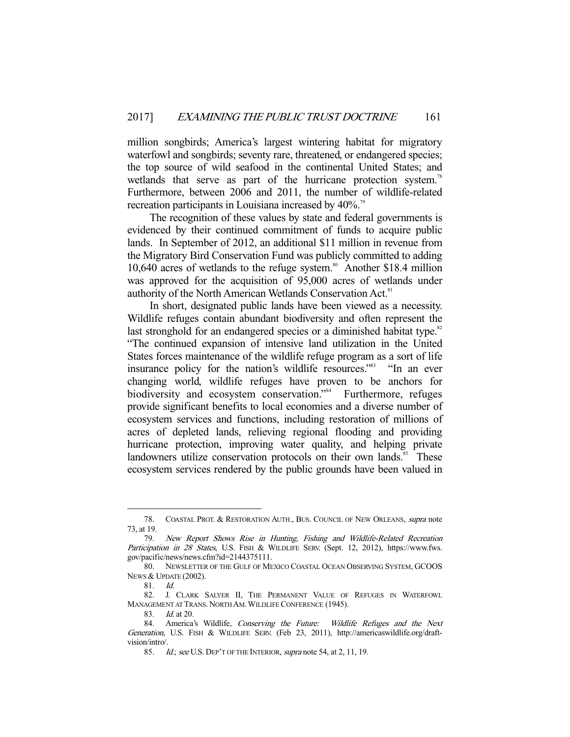million songbirds; America's largest wintering habitat for migratory waterfowl and songbirds; seventy rare, threatened, or endangered species; the top source of wild seafood in the continental United States; and wetlands that serve as part of the hurricane protection system.<sup>78</sup> Furthermore, between 2006 and 2011, the number of wildlife-related recreation participants in Louisiana increased by 40%.<sup>79</sup>

 The recognition of these values by state and federal governments is evidenced by their continued commitment of funds to acquire public lands. In September of 2012, an additional \$11 million in revenue from the Migratory Bird Conservation Fund was publicly committed to adding 10,640 acres of wetlands to the refuge system.<sup>80</sup> Another \$18.4 million was approved for the acquisition of 95,000 acres of wetlands under authority of the North American Wetlands Conservation Act.<sup>81</sup>

 In short, designated public lands have been viewed as a necessity. Wildlife refuges contain abundant biodiversity and often represent the last stronghold for an endangered species or a diminished habitat type.<sup>82</sup> "The continued expansion of intensive land utilization in the United States forces maintenance of the wildlife refuge program as a sort of life insurance policy for the nation's wildlife resources."<sup>83</sup> "In an ever changing world, wildlife refuges have proven to be anchors for biodiversity and ecosystem conservation."<sup>84</sup> Furthermore, refuges provide significant benefits to local economies and a diverse number of ecosystem services and functions, including restoration of millions of acres of depleted lands, relieving regional flooding and providing hurricane protection, improving water quality, and helping private landowners utilize conservation protocols on their own lands.<sup>85</sup> These ecosystem services rendered by the public grounds have been valued in

 <sup>78.</sup> COASTAL PROT. & RESTORATION AUTH., BUS. COUNCIL OF NEW ORLEANS, supra note 73, at 19.

 <sup>79.</sup> New Report Shows Rise in Hunting, Fishing and Wildlife-Related Recreation Participation in 28 States, U.S. FISH & WILDLIFE SERV. (Sept. 12, 2012), https://www.fws. gov/pacific/news/news.cfm?id=2144375111.

 <sup>80.</sup> NEWSLETTER OF THE GULF OF MEXICO COASTAL OCEAN OBSERVING SYSTEM, GCOOS NEWS & UPDATE (2002).

 <sup>81.</sup> Id.

 <sup>82.</sup> J. CLARK SALYER II, THE PERMANENT VALUE OF REFUGES IN WATERFOWL MANAGEMENT AT TRANS. NORTH AM.WILDLIFE CONFERENCE (1945).

<sup>83.</sup> *Id.* at 20.

<sup>84.</sup> America's Wildlife, Conserving the Future: Wildlife Refuges and the Next Generation, U.S. FISH & WILDLIFE SERV. (Feb 23, 2011), http://americaswildlife.org/draftvision/intro/.

<sup>85.</sup> Id.; see U.S. DEP'T OF THE INTERIOR, supra note 54, at 2, 11, 19.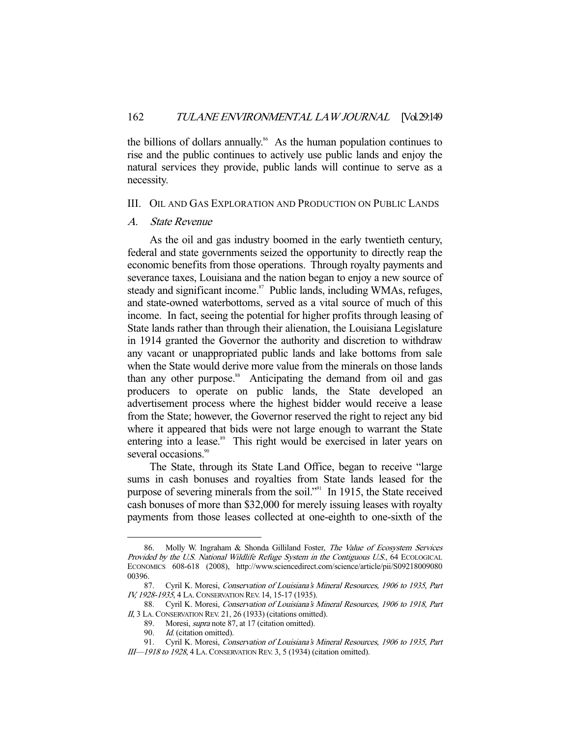the billions of dollars annually.<sup>86</sup> As the human population continues to rise and the public continues to actively use public lands and enjoy the natural services they provide, public lands will continue to serve as a necessity.

## III. OIL AND GAS EXPLORATION AND PRODUCTION ON PUBLIC LANDS

## A. State Revenue

 As the oil and gas industry boomed in the early twentieth century, federal and state governments seized the opportunity to directly reap the economic benefits from those operations. Through royalty payments and severance taxes, Louisiana and the nation began to enjoy a new source of steady and significant income.<sup>87</sup> Public lands, including WMAs, refuges, and state-owned waterbottoms, served as a vital source of much of this income. In fact, seeing the potential for higher profits through leasing of State lands rather than through their alienation, the Louisiana Legislature in 1914 granted the Governor the authority and discretion to withdraw any vacant or unappropriated public lands and lake bottoms from sale when the State would derive more value from the minerals on those lands than any other purpose.<sup>88</sup> Anticipating the demand from oil and gas producers to operate on public lands, the State developed an advertisement process where the highest bidder would receive a lease from the State; however, the Governor reserved the right to reject any bid where it appeared that bids were not large enough to warrant the State entering into a lease.<sup>89</sup> This right would be exercised in later years on several occasions.<sup>90</sup>

 The State, through its State Land Office, began to receive "large sums in cash bonuses and royalties from State lands leased for the purpose of severing minerals from the soil."<sup>91</sup> In 1915, the State received cash bonuses of more than \$32,000 for merely issuing leases with royalty payments from those leases collected at one-eighth to one-sixth of the

<sup>86.</sup> Molly W. Ingraham & Shonda Gilliland Foster, The Value of Ecosystem Services Provided by the U.S. National Wildlife Refuge System in the Contiguous U.S., 64 ECOLOGICAL ECONOMICS 608-618 (2008), http://www.sciencedirect.com/science/article/pii/S09218009080 00396.

 <sup>87.</sup> Cyril K. Moresi, Conservation of Louisiana's Mineral Resources, 1906 to 1935, Part IV, 1928-1935, 4 LA.CONSERVATION REV. 14, 15-17 (1935).

<sup>88.</sup> Cyril K. Moresi, Conservation of Louisiana's Mineral Resources, 1906 to 1918, Part II, 3 LA. CONSERVATION REV. 21, 26 (1933) (citations omitted).

 <sup>89.</sup> Moresi, supra note 87, at 17 (citation omitted).

<sup>90.</sup> Id. (citation omitted).

<sup>91.</sup> Cyril K. Moresi, Conservation of Louisiana's Mineral Resources, 1906 to 1935, Part III—1918 to 1928, 4 LA.CONSERVATION REV. 3, 5 (1934) (citation omitted).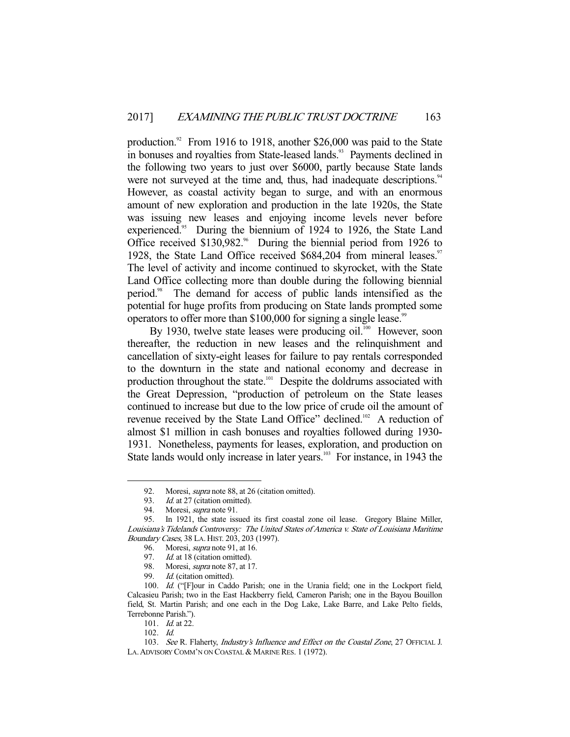production. $92$  From 1916 to 1918, another \$26,000 was paid to the State in bonuses and royalties from State-leased lands.<sup>93</sup> Payments declined in the following two years to just over \$6000, partly because State lands were not surveyed at the time and, thus, had inadequate descriptions.<sup>94</sup> However, as coastal activity began to surge, and with an enormous amount of new exploration and production in the late 1920s, the State was issuing new leases and enjoying income levels never before experienced.<sup>95</sup> During the biennium of 1924 to 1926, the State Land Office received  $$130,982$ .<sup>66</sup> During the biennial period from 1926 to 1928, the State Land Office received  $$684,204$  from mineral leases.<sup>97</sup> The level of activity and income continued to skyrocket, with the State Land Office collecting more than double during the following biennial period.98 The demand for access of public lands intensified as the potential for huge profits from producing on State lands prompted some operators to offer more than  $$100,000$  for signing a single lease.<sup>99</sup>

By 1930, twelve state leases were producing oil.<sup>100</sup> However, soon thereafter, the reduction in new leases and the relinquishment and cancellation of sixty-eight leases for failure to pay rentals corresponded to the downturn in the state and national economy and decrease in production throughout the state.<sup>101</sup> Despite the doldrums associated with the Great Depression, "production of petroleum on the State leases continued to increase but due to the low price of crude oil the amount of revenue received by the State Land Office" declined.<sup>102</sup> A reduction of almost \$1 million in cash bonuses and royalties followed during 1930- 1931. Nonetheless, payments for leases, exploration, and production on State lands would only increase in later years.<sup>103</sup> For instance, in 1943 the

<sup>92.</sup> Moresi, *supra* note 88, at 26 (citation omitted).

<sup>93.</sup> *Id.* at 27 (citation omitted).<br>94. Moresi, *supra* note 91.

Moresi, *supra* note 91.

 <sup>95.</sup> In 1921, the state issued its first coastal zone oil lease. Gregory Blaine Miller, Louisiana's Tidelands Controversy: The United States of America v. State of Louisiana Maritime Boundary Cases, 38 LA. HIST. 203, 203 (1997).

<sup>96.</sup> Moresi, *supra* note 91, at 16.<br>97. Id. at 18 (citation omitted).

Id. at 18 (citation omitted).

<sup>98.</sup> Moresi, *supra* note 87, at 17.<br>99 *Id.* (citation omitted).

Id. (citation omitted).

<sup>100.</sup> Id. ("[F]our in Caddo Parish; one in the Urania field; one in the Lockport field, Calcasieu Parish; two in the East Hackberry field, Cameron Parish; one in the Bayou Bouillon field, St. Martin Parish; and one each in the Dog Lake, Lake Barre, and Lake Pelto fields, Terrebonne Parish.").

<sup>101.</sup> *Id.* at 22.

 <sup>102.</sup> Id.

<sup>103.</sup> See R. Flaherty, Industry's Influence and Effect on the Coastal Zone, 27 OFFICIAL J. LA.ADVISORY COMM'N ON COASTAL & MARINE RES. 1 (1972).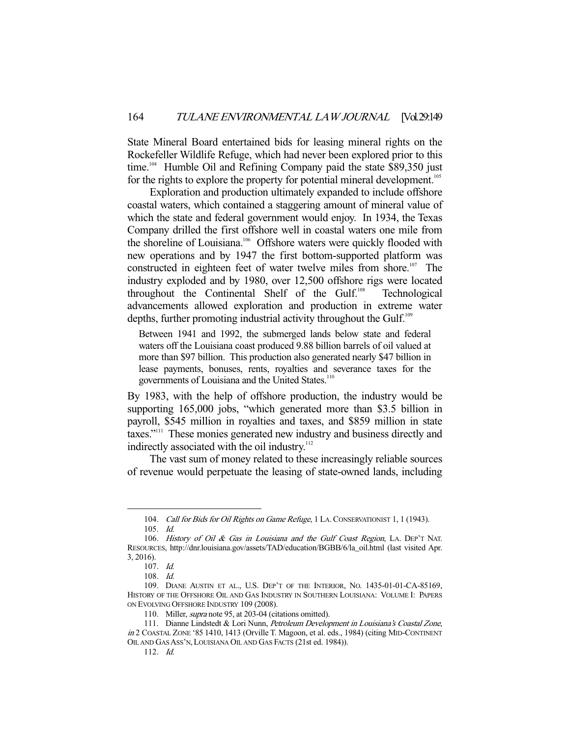State Mineral Board entertained bids for leasing mineral rights on the Rockefeller Wildlife Refuge, which had never been explored prior to this time.<sup>104</sup> Humble Oil and Refining Company paid the state \$89,350 just for the rights to explore the property for potential mineral development.<sup>105</sup>

 Exploration and production ultimately expanded to include offshore coastal waters, which contained a staggering amount of mineral value of which the state and federal government would enjoy. In 1934, the Texas Company drilled the first offshore well in coastal waters one mile from the shoreline of Louisiana.<sup>106</sup> Offshore waters were quickly flooded with new operations and by 1947 the first bottom-supported platform was constructed in eighteen feet of water twelve miles from shore.<sup>107</sup> The industry exploded and by 1980, over 12,500 offshore rigs were located throughout the Continental Shelf of the Gulf.<sup>108</sup> Technological advancements allowed exploration and production in extreme water depths, further promoting industrial activity throughout the Gulf.<sup>109</sup>

Between 1941 and 1992, the submerged lands below state and federal waters off the Louisiana coast produced 9.88 billion barrels of oil valued at more than \$97 billion. This production also generated nearly \$47 billion in lease payments, bonuses, rents, royalties and severance taxes for the governments of Louisiana and the United States.<sup>110</sup>

By 1983, with the help of offshore production, the industry would be supporting 165,000 jobs, "which generated more than \$3.5 billion in payroll, \$545 million in royalties and taxes, and \$859 million in state taxes."111 These monies generated new industry and business directly and indirectly associated with the oil industry.<sup>112</sup>

 The vast sum of money related to these increasingly reliable sources of revenue would perpetuate the leasing of state-owned lands, including

<sup>104.</sup> Call for Bids for Oil Rights on Game Refuge, 1 LA. CONSERVATIONIST 1, 1 (1943).

 <sup>105.</sup> Id.

<sup>106.</sup> History of Oil & Gas in Louisiana and the Gulf Coast Region, LA. DEP'T NAT. RESOURCES, http://dnr.louisiana.gov/assets/TAD/education/BGBB/6/la\_oil.html (last visited Apr. 3, 2016).

 <sup>107.</sup> Id.

 <sup>108.</sup> Id.

 <sup>109.</sup> DIANE AUSTIN ET AL., U.S. DEP'T OF THE INTERIOR, NO. 1435-01-01-CA-85169, HISTORY OF THE OFFSHORE OIL AND GAS INDUSTRY IN SOUTHERN LOUISIANA: VOLUME I: PAPERS ON EVOLVING OFFSHORE INDUSTRY 109 (2008).

<sup>110.</sup> Miller, *supra* note 95, at 203-04 (citations omitted).

<sup>111.</sup> Dianne Lindstedt & Lori Nunn, Petroleum Development in Louisiana's Coastal Zone, in 2 COASTAL ZONE '85 1410, 1413 (Orville T. Magoon, et al. eds., 1984) (citing MID-CONTINENT OIL AND GAS ASS'N, LOUISIANA OIL AND GAS FACTS (21st ed. 1984)).

 <sup>112.</sup> Id.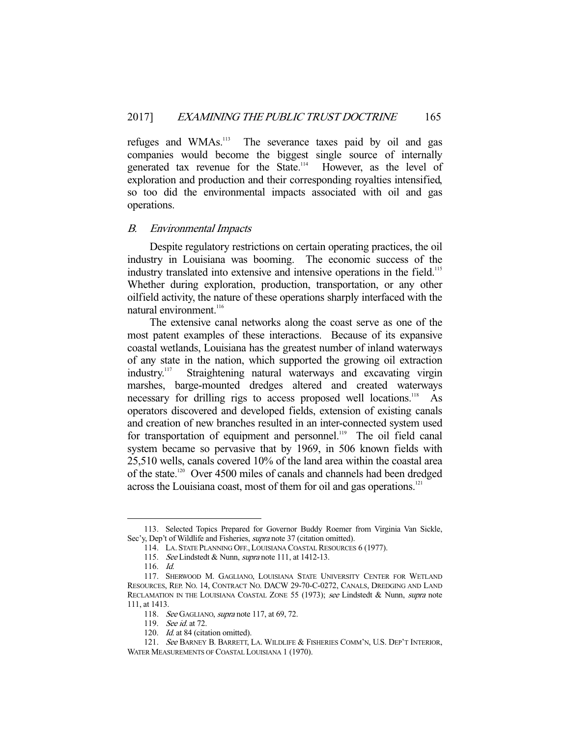refuges and WMAs.<sup>113</sup> The severance taxes paid by oil and gas companies would become the biggest single source of internally generated tax revenue for the State.<sup>114</sup> However, as the level of exploration and production and their corresponding royalties intensified, so too did the environmental impacts associated with oil and gas operations.

#### B. Environmental Impacts

 Despite regulatory restrictions on certain operating practices, the oil industry in Louisiana was booming. The economic success of the industry translated into extensive and intensive operations in the field.<sup>115</sup> Whether during exploration, production, transportation, or any other oilfield activity, the nature of these operations sharply interfaced with the natural environment<sup>116</sup>

 The extensive canal networks along the coast serve as one of the most patent examples of these interactions. Because of its expansive coastal wetlands, Louisiana has the greatest number of inland waterways of any state in the nation, which supported the growing oil extraction industry.117 Straightening natural waterways and excavating virgin marshes, barge-mounted dredges altered and created waterways necessary for drilling rigs to access proposed well locations.<sup>118</sup> As operators discovered and developed fields, extension of existing canals and creation of new branches resulted in an inter-connected system used for transportation of equipment and personnel.<sup>119</sup> The oil field canal system became so pervasive that by 1969, in 506 known fields with 25,510 wells, canals covered 10% of the land area within the coastal area of the state.<sup>120</sup> Over 4500 miles of canals and channels had been dredged across the Louisiana coast, most of them for oil and gas operations.<sup>121</sup>

 <sup>113.</sup> Selected Topics Prepared for Governor Buddy Roemer from Virginia Van Sickle, Sec'y, Dep't of Wildlife and Fisheries, *supra* note 37 (citation omitted).

 <sup>114.</sup> LA. STATE PLANNING OFF., LOUISIANA COASTAL RESOURCES 6 (1977).

<sup>115.</sup> See Lindstedt & Nunn, supra note 111, at 1412-13.

 <sup>116.</sup> Id.

 <sup>117.</sup> SHERWOOD M. GAGLIANO, LOUISIANA STATE UNIVERSITY CENTER FOR WETLAND RESOURCES, REP. NO. 14, CONTRACT NO. DACW 29-70-C-0272, CANALS, DREDGING AND LAND RECLAMATION IN THE LOUISIANA COASTAL ZONE 55 (1973); see Lindstedt & Nunn, supra note 111, at 1413.

<sup>118.</sup> See GAGLIANO, supra note 117, at 69, 72.

<sup>119.</sup> See id. at 72.

<sup>120.</sup> *Id.* at 84 (citation omitted).

 <sup>121.</sup> See BARNEY B. BARRETT, LA. WILDLIFE & FISHERIES COMM'N, U.S. DEP'T INTERIOR, WATER MEASUREMENTS OF COASTAL LOUISIANA 1 (1970).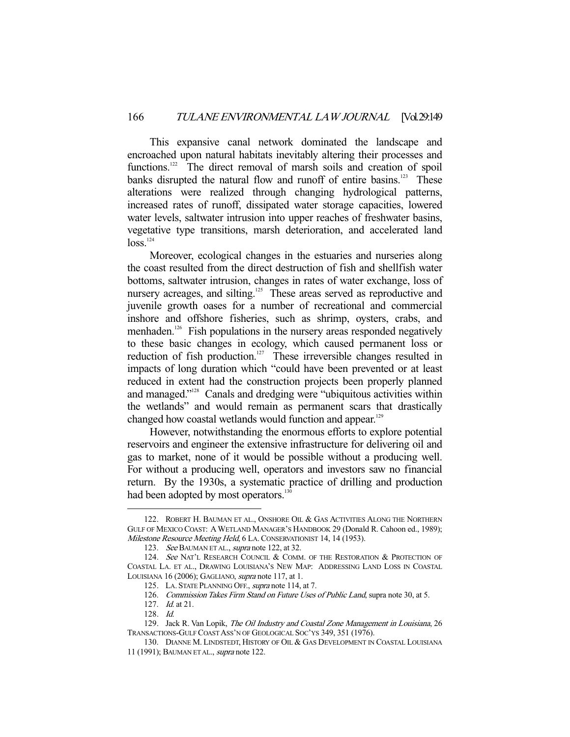This expansive canal network dominated the landscape and encroached upon natural habitats inevitably altering their processes and functions.<sup>122</sup> The direct removal of marsh soils and creation of spoil banks disrupted the natural flow and runoff of entire basins.<sup>123</sup> These alterations were realized through changing hydrological patterns, increased rates of runoff, dissipated water storage capacities, lowered water levels, saltwater intrusion into upper reaches of freshwater basins, vegetative type transitions, marsh deterioration, and accelerated land  $loss<sup>124</sup>$ 

 Moreover, ecological changes in the estuaries and nurseries along the coast resulted from the direct destruction of fish and shellfish water bottoms, saltwater intrusion, changes in rates of water exchange, loss of nursery acreages, and silting.<sup>125</sup> These areas served as reproductive and juvenile growth oases for a number of recreational and commercial inshore and offshore fisheries, such as shrimp, oysters, crabs, and menhaden.<sup>126</sup> Fish populations in the nursery areas responded negatively to these basic changes in ecology, which caused permanent loss or reduction of fish production.<sup>127</sup> These irreversible changes resulted in impacts of long duration which "could have been prevented or at least reduced in extent had the construction projects been properly planned and managed."128 Canals and dredging were "ubiquitous activities within the wetlands" and would remain as permanent scars that drastically changed how coastal wetlands would function and appear.<sup>129</sup>

 However, notwithstanding the enormous efforts to explore potential reservoirs and engineer the extensive infrastructure for delivering oil and gas to market, none of it would be possible without a producing well. For without a producing well, operators and investors saw no financial return. By the 1930s, a systematic practice of drilling and production had been adopted by most operators.<sup>130</sup>

<sup>122.</sup> ROBERT H. BAUMAN ET AL., ONSHORE OIL & GAS ACTIVITIES ALONG THE NORTHERN GULF OF MEXICO COAST: AWETLAND MANAGER'S HANDBOOK 29 (Donald R. Cahoon ed., 1989); Milestone Resource Meeting Held, 6 LA. CONSERVATIONIST 14, 14 (1953).

<sup>123.</sup> See BAUMAN ET AL., supra note 122, at 32.

<sup>124.</sup> See NAT'L RESEARCH COUNCIL & COMM. OF THE RESTORATION & PROTECTION OF COASTAL LA. ET AL., DRAWING LOUISIANA'S NEW MAP: ADDRESSING LAND LOSS IN COASTAL LOUISIANA 16 (2006); GAGLIANO, supra note 117, at 1.

 <sup>125.</sup> LA. STATE PLANNING OFF., supra note 114, at 7.

 <sup>126.</sup> Commission Takes Firm Stand on Future Uses of Public Land, supra note 30, at 5.

 <sup>127.</sup> Id. at 21.

 <sup>128.</sup> Id.

<sup>129.</sup> Jack R. Van Lopik, The Oil Industry and Coastal Zone Management in Louisiana, 26 TRANSACTIONS-GULF COAST ASS'N OF GEOLOGICAL SOC'YS 349, 351 (1976).

 <sup>130.</sup> DIANNE M. LINDSTEDT, HISTORY OF OIL & GAS DEVELOPMENT IN COASTAL LOUISIANA 11 (1991); BAUMAN ET AL., supra note 122.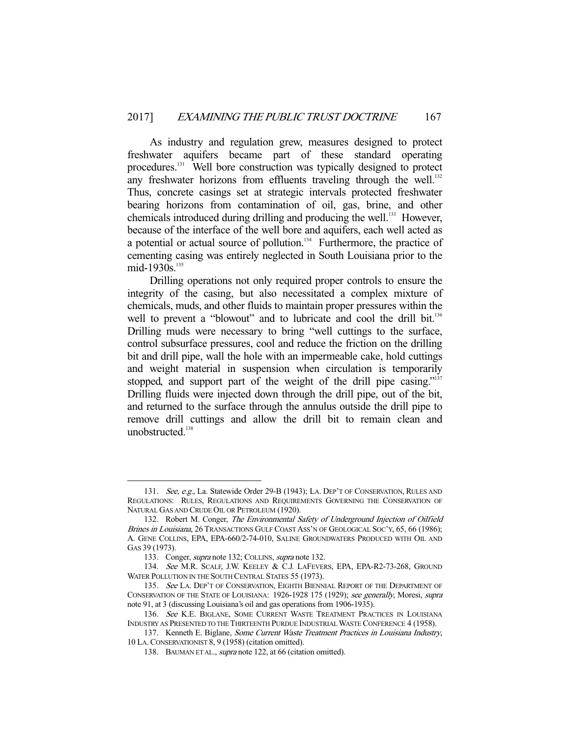As industry and regulation grew, measures designed to protect freshwater aquifers became part of these standard operating procedures.<sup>131</sup> Well bore construction was typically designed to protect any freshwater horizons from effluents traveling through the well.<sup>132</sup> Thus, concrete casings set at strategic intervals protected freshwater bearing horizons from contamination of oil, gas, brine, and other chemicals introduced during drilling and producing the well.<sup>133</sup> However, because of the interface of the well bore and aquifers, each well acted as a potential or actual source of pollution. $134$  Furthermore, the practice of cementing casing was entirely neglected in South Louisiana prior to the mid-1930s.<sup>135</sup>

 Drilling operations not only required proper controls to ensure the integrity of the casing, but also necessitated a complex mixture of chemicals, muds, and other fluids to maintain proper pressures within the well to prevent a "blowout" and to lubricate and cool the drill bit.<sup>136</sup> Drilling muds were necessary to bring "well cuttings to the surface, control subsurface pressures, cool and reduce the friction on the drilling bit and drill pipe, wall the hole with an impermeable cake, hold cuttings and weight material in suspension when circulation is temporarily stopped, and support part of the weight of the drill pipe casing."<sup>137</sup> Drilling fluids were injected down through the drill pipe, out of the bit, and returned to the surface through the annulus outside the drill pipe to remove drill cuttings and allow the drill bit to remain clean and unobstructed.<sup>138</sup>

<sup>131.</sup> See, e.g., La. Statewide Order 29-B (1943); LA. DEP'T OF CONSERVATION, RULES AND REGULATIONS: RULES, REGULATIONS AND REQUIREMENTS GOVERNING THE CONSERVATION OF NATURAL GAS AND CRUDE OIL OR PETROLEUM (1920).

<sup>132.</sup> Robert M. Conger, The Environmental Safety of Underground Injection of Oilfield Brines in Louisiana, 26 TRANSACTIONS GULF COAST ASS'N OF GEOLOGICAL SOC'Y, 65, 66 (1986); A. GENE COLLINS, EPA, EPA-660/2-74-010, SALINE GROUNDWATERS PRODUCED WITH OIL AND GAS 39 (1973).

<sup>133.</sup> Conger, *supra* note 132; COLLINS, *supra* note 132.

<sup>134.</sup> See M.R. SCALF, J.W. KEELEY & C.J. LAFEVERS, EPA, EPA-R2-73-268, GROUND WATER POLLUTION IN THE SOUTH CENTRAL STATES 55 (1973).

<sup>135.</sup> See LA. DEP'T OF CONSERVATION, EIGHTH BIENNIAL REPORT OF THE DEPARTMENT OF CONSERVATION OF THE STATE OF LOUISIANA: 1926-1928 175 (1929); see generally, Moresi, supra note 91, at 3 (discussing Louisiana's oil and gas operations from 1906-1935).

<sup>136.</sup> See K.E. BIGLANE, SOME CURRENT WASTE TREATMENT PRACTICES IN LOUISIANA INDUSTRY AS PRESENTED TO THE THIRTEENTH PURDUE INDUSTRIAL WASTE CONFERENCE 4 (1958).

<sup>137.</sup> Kenneth E. Biglane, Some Current Waste Treatment Practices in Louisiana Industry, 10 LA.CONSERVATIONIST 8, 9 (1958) (citation omitted).

<sup>138.</sup> BAUMAN ET AL., *supra* note 122, at 66 (citation omitted).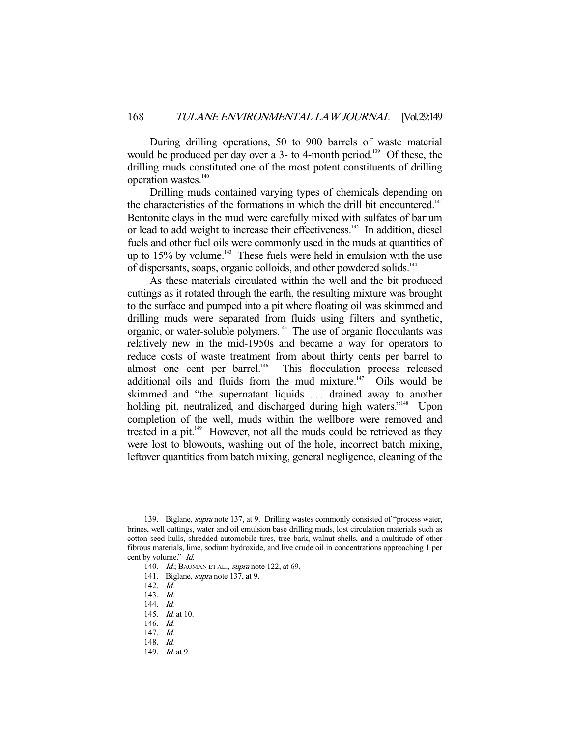During drilling operations, 50 to 900 barrels of waste material would be produced per day over a 3- to 4-month period.<sup>139</sup> Of these, the drilling muds constituted one of the most potent constituents of drilling operation wastes.<sup>140</sup>

 Drilling muds contained varying types of chemicals depending on the characteristics of the formations in which the drill bit encountered.<sup>141</sup> Bentonite clays in the mud were carefully mixed with sulfates of barium or lead to add weight to increase their effectiveness.<sup>142</sup> In addition, diesel fuels and other fuel oils were commonly used in the muds at quantities of up to 15% by volume.<sup>143</sup> These fuels were held in emulsion with the use of dispersants, soaps, organic colloids, and other powdered solids.144

 As these materials circulated within the well and the bit produced cuttings as it rotated through the earth, the resulting mixture was brought to the surface and pumped into a pit where floating oil was skimmed and drilling muds were separated from fluids using filters and synthetic, organic, or water-soluble polymers.145 The use of organic flocculants was relatively new in the mid-1950s and became a way for operators to reduce costs of waste treatment from about thirty cents per barrel to almost one cent per barrel.<sup>146</sup> This flocculation process released This flocculation process released additional oils and fluids from the mud mixture. $147$  Oils would be skimmed and "the supernatant liquids . . . drained away to another holding pit, neutralized, and discharged during high waters."<sup>148</sup> Upon completion of the well, muds within the wellbore were removed and treated in a pit.<sup>149</sup> However, not all the muds could be retrieved as they were lost to blowouts, washing out of the hole, incorrect batch mixing, leftover quantities from batch mixing, general negligence, cleaning of the

<sup>139.</sup> Biglane, *supra* note 137, at 9. Drilling wastes commonly consisted of "process water, brines, well cuttings, water and oil emulsion base drilling muds, lost circulation materials such as cotton seed hulls, shredded automobile tires, tree bark, walnut shells, and a multitude of other fibrous materials, lime, sodium hydroxide, and live crude oil in concentrations approaching 1 per cent by volume." Id.

<sup>140.</sup> *Id.*; BAUMAN ET AL., *supra* note 122, at 69.

<sup>141.</sup> Biglane, *supra* note 137, at 9.

 <sup>142.</sup> Id.

 <sup>143.</sup> Id.

 <sup>144.</sup> Id.

 <sup>145.</sup> Id. at 10.

 <sup>146.</sup> Id.

 <sup>147.</sup> Id.

 <sup>148.</sup> Id.

 <sup>149.</sup> Id. at 9.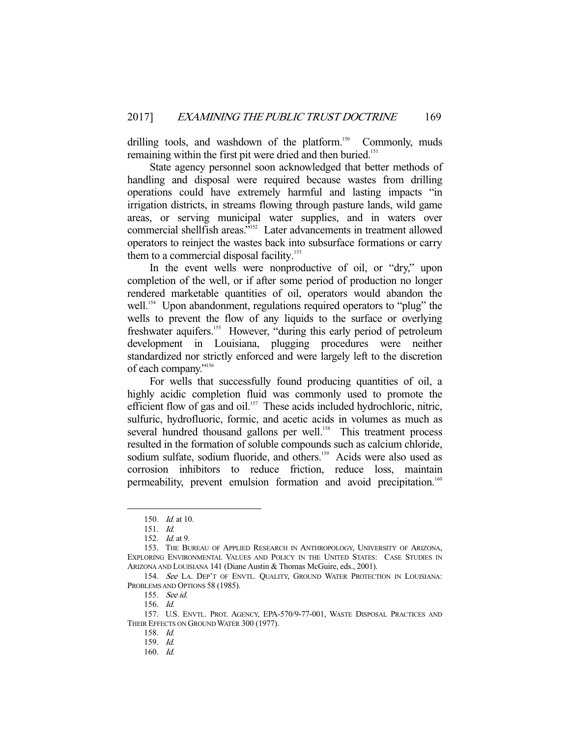drilling tools, and washdown of the platform.<sup>150</sup> Commonly, muds remaining within the first pit were dried and then buried.<sup>151</sup>

 State agency personnel soon acknowledged that better methods of handling and disposal were required because wastes from drilling operations could have extremely harmful and lasting impacts "in irrigation districts, in streams flowing through pasture lands, wild game areas, or serving municipal water supplies, and in waters over commercial shellfish areas."<sup>152</sup> Later advancements in treatment allowed operators to reinject the wastes back into subsurface formations or carry them to a commercial disposal facility.<sup>153</sup>

 In the event wells were nonproductive of oil, or "dry," upon completion of the well, or if after some period of production no longer rendered marketable quantities of oil, operators would abandon the well.<sup>154</sup> Upon abandonment, regulations required operators to "plug" the wells to prevent the flow of any liquids to the surface or overlying freshwater aquifers.155 However, "during this early period of petroleum development in Louisiana, plugging procedures were neither standardized nor strictly enforced and were largely left to the discretion of each company."156

 For wells that successfully found producing quantities of oil, a highly acidic completion fluid was commonly used to promote the efficient flow of gas and oil.<sup>157</sup> These acids included hydrochloric, nitric, sulfuric, hydrofluoric, formic, and acetic acids in volumes as much as several hundred thousand gallons per well.<sup>158</sup> This treatment process resulted in the formation of soluble compounds such as calcium chloride, sodium sulfate, sodium fluoride, and others.<sup>159</sup> Acids were also used as corrosion inhibitors to reduce friction, reduce loss, maintain permeability, prevent emulsion formation and avoid precipitation.<sup>160</sup>

 <sup>150.</sup> Id. at 10.

 <sup>151.</sup> Id.

 <sup>152.</sup> Id. at 9.

 <sup>153.</sup> THE BUREAU OF APPLIED RESEARCH IN ANTHROPOLOGY, UNIVERSITY OF ARIZONA, EXPLORING ENVIRONMENTAL VALUES AND POLICY IN THE UNITED STATES: CASE STUDIES IN ARIZONA AND LOUISIANA 141 (Diane Austin & Thomas McGuire, eds., 2001).

<sup>154.</sup> See LA. DEP'T OF ENVTL. QUALITY, GROUND WATER PROTECTION IN LOUISIANA: PROBLEMS AND OPTIONS 58 (1985).

 <sup>155.</sup> See id.

 <sup>156.</sup> Id.

 <sup>157.</sup> U.S. ENVTL. PROT. AGENCY, EPA-570/9-77-001, WASTE DISPOSAL PRACTICES AND THEIR EFFECTS ON GROUND WATER 300 (1977).

 <sup>158.</sup> Id.

 <sup>159.</sup> Id.

 <sup>160.</sup> Id.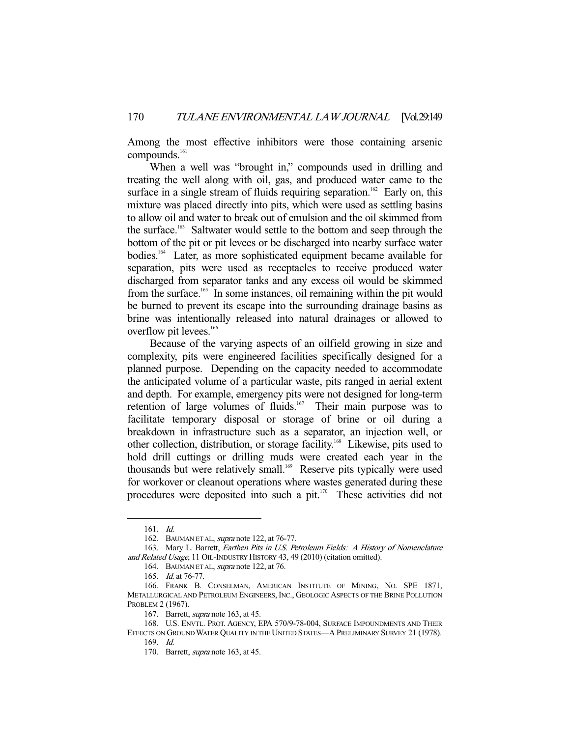Among the most effective inhibitors were those containing arsenic compounds.<sup>161</sup>

When a well was "brought in," compounds used in drilling and treating the well along with oil, gas, and produced water came to the surface in a single stream of fluids requiring separation.<sup>162</sup> Early on, this mixture was placed directly into pits, which were used as settling basins to allow oil and water to break out of emulsion and the oil skimmed from the surface.<sup>163</sup> Saltwater would settle to the bottom and seep through the bottom of the pit or pit levees or be discharged into nearby surface water bodies.164 Later, as more sophisticated equipment became available for separation, pits were used as receptacles to receive produced water discharged from separator tanks and any excess oil would be skimmed from the surface.<sup>165</sup> In some instances, oil remaining within the pit would be burned to prevent its escape into the surrounding drainage basins as brine was intentionally released into natural drainages or allowed to overflow pit levees.<sup>166</sup>

 Because of the varying aspects of an oilfield growing in size and complexity, pits were engineered facilities specifically designed for a planned purpose. Depending on the capacity needed to accommodate the anticipated volume of a particular waste, pits ranged in aerial extent and depth. For example, emergency pits were not designed for long-term retention of large volumes of fluids.<sup>167</sup> Their main purpose was to facilitate temporary disposal or storage of brine or oil during a breakdown in infrastructure such as a separator, an injection well, or other collection, distribution, or storage facility.<sup>168</sup> Likewise, pits used to hold drill cuttings or drilling muds were created each year in the thousands but were relatively small.<sup>169</sup> Reserve pits typically were used for workover or cleanout operations where wastes generated during these procedures were deposited into such a pit. $170$  These activities did not

 <sup>161.</sup> Id.

 <sup>162.</sup> BAUMAN ET AL, supra note 122, at 76-77.

 <sup>163.</sup> Mary L. Barrett, Earthen Pits in U.S. Petroleum Fields: A History of Nomenclature and Related Usage, 11 OIL-INDUSTRY HISTORY 43, 49 (2010) (citation omitted).

 <sup>164.</sup> BAUMAN ET AL, supra note 122, at 76.

 <sup>165.</sup> Id. at 76-77.

 <sup>166.</sup> FRANK B. CONSELMAN, AMERICAN INSTITUTE OF MINING, NO. SPE 1871, METALLURGICAL AND PETROLEUM ENGINEERS, INC., GEOLOGIC ASPECTS OF THE BRINE POLLUTION PROBLEM 2 (1967).

<sup>167.</sup> Barrett, *supra* note 163, at 45.

 <sup>168.</sup> U.S. ENVTL. PROT. AGENCY, EPA 570/9-78-004, SURFACE IMPOUNDMENTS AND THEIR

EFFECTS ON GROUND WATER QUALITY IN THE UNITED STATES—A PRELIMINARY SURVEY 21 (1978). 169.  $Id$ 

 <sup>170.</sup> Barrett, supra note 163, at 45.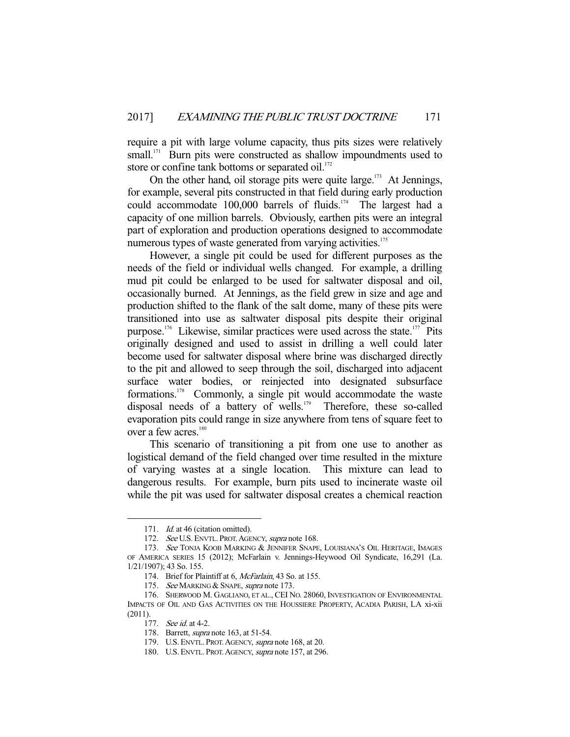require a pit with large volume capacity, thus pits sizes were relatively small.<sup>171</sup> Burn pits were constructed as shallow impoundments used to store or confine tank bottoms or separated oil. $172$ 

On the other hand, oil storage pits were quite large. $173$  At Jennings, for example, several pits constructed in that field during early production could accommodate  $100,000$  barrels of fluids.<sup>174</sup> The largest had a capacity of one million barrels. Obviously, earthen pits were an integral part of exploration and production operations designed to accommodate numerous types of waste generated from varying activities.<sup>175</sup>

 However, a single pit could be used for different purposes as the needs of the field or individual wells changed. For example, a drilling mud pit could be enlarged to be used for saltwater disposal and oil, occasionally burned. At Jennings, as the field grew in size and age and production shifted to the flank of the salt dome, many of these pits were transitioned into use as saltwater disposal pits despite their original purpose.<sup>176</sup> Likewise, similar practices were used across the state.<sup>177</sup> Pits originally designed and used to assist in drilling a well could later become used for saltwater disposal where brine was discharged directly to the pit and allowed to seep through the soil, discharged into adjacent surface water bodies, or reinjected into designated subsurface formations.178 Commonly, a single pit would accommodate the waste disposal needs of a battery of wells.<sup>179</sup> Therefore, these so-called evaporation pits could range in size anywhere from tens of square feet to over a few acres.<sup>180</sup>

 This scenario of transitioning a pit from one use to another as logistical demand of the field changed over time resulted in the mixture of varying wastes at a single location. This mixture can lead to dangerous results. For example, burn pits used to incinerate waste oil while the pit was used for saltwater disposal creates a chemical reaction

<sup>171.</sup> *Id.* at 46 (citation omitted).

<sup>172.</sup> See U.S. ENVTL. PROT. AGENCY, supra note 168.

<sup>173.</sup> See TONJA KOOB MARKING & JENNIFER SNAPE, LOUISIANA'S OIL HERITAGE, IMAGES OF AMERICA SERIES 15 (2012); McFarlain v. Jennings-Heywood Oil Syndicate, 16,291 (La. 1/21/1907); 43 So. 155.

 <sup>174.</sup> Brief for Plaintiff at 6, McFarlain, 43 So. at 155.

<sup>175.</sup> See MARKING & SNAPE, supra note 173.

 <sup>176.</sup> SHERWOOD M. GAGLIANO, ET AL., CEI NO. 28060, INVESTIGATION OF ENVIRONMENTAL IMPACTS OF OIL AND GAS ACTIVITIES ON THE HOUSSIERE PROPERTY, ACADIA PARISH, LA xi-xii (2011).

<sup>177.</sup> See id. at 4-2.

<sup>178.</sup> Barrett, *supra* note 163, at 51-54.

<sup>179.</sup> U.S. ENVTL. PROT. AGENCY, supra note 168, at 20.

 <sup>180.</sup> U.S. ENVTL. PROT.AGENCY, supra note 157, at 296.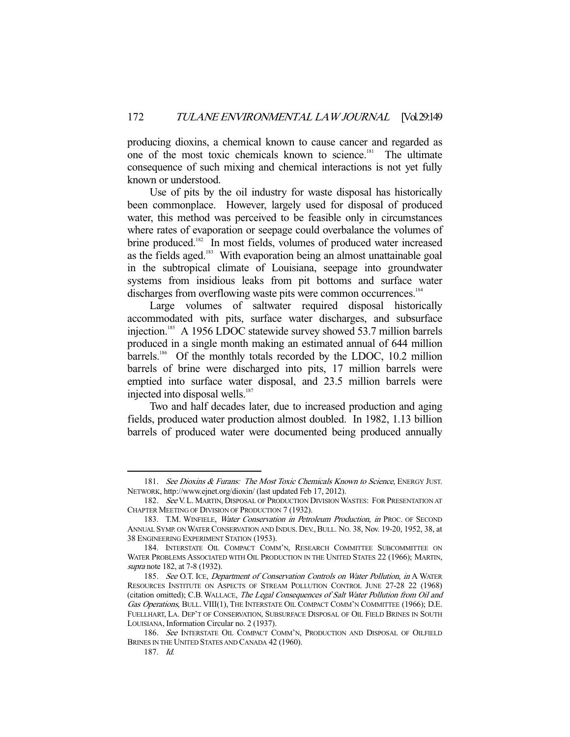producing dioxins, a chemical known to cause cancer and regarded as one of the most toxic chemicals known to science.<sup>181</sup> The ultimate consequence of such mixing and chemical interactions is not yet fully known or understood.

 Use of pits by the oil industry for waste disposal has historically been commonplace. However, largely used for disposal of produced water, this method was perceived to be feasible only in circumstances where rates of evaporation or seepage could overbalance the volumes of brine produced.<sup>182</sup> In most fields, volumes of produced water increased as the fields aged.<sup>183</sup> With evaporation being an almost unattainable goal in the subtropical climate of Louisiana, seepage into groundwater systems from insidious leaks from pit bottoms and surface water discharges from overflowing waste pits were common occurrences.<sup>184</sup>

 Large volumes of saltwater required disposal historically accommodated with pits, surface water discharges, and subsurface injection.<sup>185</sup> A 1956 LDOC statewide survey showed 53.7 million barrels produced in a single month making an estimated annual of 644 million barrels.<sup>186</sup> Of the monthly totals recorded by the LDOC, 10.2 million barrels of brine were discharged into pits, 17 million barrels were emptied into surface water disposal, and 23.5 million barrels were injected into disposal wells.<sup>187</sup>

 Two and half decades later, due to increased production and aging fields, produced water production almost doubled. In 1982, 1.13 billion barrels of produced water were documented being produced annually

<sup>181.</sup> See Dioxins & Furans: The Most Toxic Chemicals Known to Science, ENERGY JUST. NETWORK, http://www.ejnet.org/dioxin/ (last updated Feb 17, 2012).

<sup>182.</sup> See V. L. MARTIN, DISPOSAL OF PRODUCTION DIVISION WASTES: FOR PRESENTATION AT CHAPTER MEETING OF DIVISION OF PRODUCTION 7 (1932).

<sup>183.</sup> T.M. WINFIELE, Water Conservation in Petroleum Production, in PROC. OF SECOND ANNUAL SYMP. ON WATER CONSERVATION AND INDUS. DEV., BULL. NO. 38, Nov. 19-20, 1952, 38, at 38 ENGINEERING EXPERIMENT STATION (1953).

 <sup>184.</sup> INTERSTATE OIL COMPACT COMM'N, RESEARCH COMMITTEE SUBCOMMITTEE ON WATER PROBLEMS ASSOCIATED WITH OIL PRODUCTION IN THE UNITED STATES 22 (1966); MARTIN, supra note 182, at 7-8 (1932).

<sup>185.</sup> See O.T. ICE, Department of Conservation Controls on Water Pollution, in A WATER RESOURCES INSTITUTE ON ASPECTS OF STREAM POLLUTION CONTROL JUNE 27-28 22 (1968) (citation omitted); C.B. WALLACE, The Legal Consequences of Salt Water Pollution from Oil and Gas Operations, BULL. VIII(1), THE INTERSTATE OIL COMPACT COMM'N COMMITTEE (1966); D.E. FUELLHART, LA. DEP'T OF CONSERVATION, SUBSURFACE DISPOSAL OF OIL FIELD BRINES IN SOUTH LOUISIANA, Information Circular no. 2 (1937).

<sup>186.</sup> See INTERSTATE OIL COMPACT COMM'N, PRODUCTION AND DISPOSAL OF OILFIELD BRINES IN THE UNITED STATES AND CANADA 42 (1960).

 <sup>187.</sup> Id.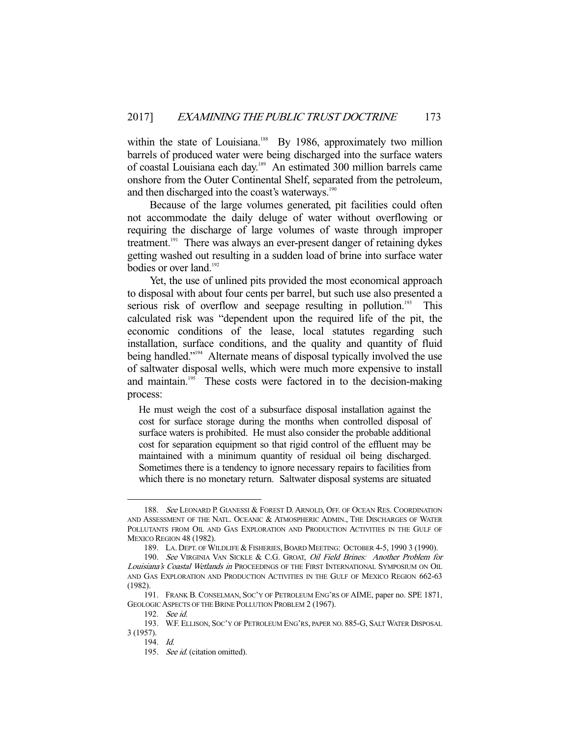within the state of Louisiana.<sup>188</sup> By 1986, approximately two million barrels of produced water were being discharged into the surface waters of coastal Louisiana each day.189 An estimated 300 million barrels came onshore from the Outer Continental Shelf, separated from the petroleum, and then discharged into the coast's waterways.<sup>190</sup>

 Because of the large volumes generated, pit facilities could often not accommodate the daily deluge of water without overflowing or requiring the discharge of large volumes of waste through improper treatment.<sup>191</sup> There was always an ever-present danger of retaining dykes getting washed out resulting in a sudden load of brine into surface water bodies or over land.<sup>192</sup>

 Yet, the use of unlined pits provided the most economical approach to disposal with about four cents per barrel, but such use also presented a serious risk of overflow and seepage resulting in pollution.<sup>193</sup> This calculated risk was "dependent upon the required life of the pit, the economic conditions of the lease, local statutes regarding such installation, surface conditions, and the quality and quantity of fluid being handled."<sup>194</sup> Alternate means of disposal typically involved the use of saltwater disposal wells, which were much more expensive to install and maintain.<sup>195</sup> These costs were factored in to the decision-making process:

He must weigh the cost of a subsurface disposal installation against the cost for surface storage during the months when controlled disposal of surface waters is prohibited. He must also consider the probable additional cost for separation equipment so that rigid control of the effluent may be maintained with a minimum quantity of residual oil being discharged. Sometimes there is a tendency to ignore necessary repairs to facilities from which there is no monetary return. Saltwater disposal systems are situated

<sup>188.</sup> See LEONARD P. GIANESSI & FOREST D. ARNOLD, OFF. OF OCEAN RES. COORDINATION AND ASSESSMENT OF THE NATL. OCEANIC & ATMOSPHERIC ADMIN., THE DISCHARGES OF WATER POLLUTANTS FROM OIL AND GAS EXPLORATION AND PRODUCTION ACTIVITIES IN THE GULF OF MEXICO REGION 48 (1982).

<sup>189.</sup> LA. DEPT. OF WILDLIFE & FISHERIES, BOARD MEETING: OCTOBER 4-5, 1990 3 (1990).

<sup>190.</sup> See VIRGINIA VAN SICKLE & C.G. GROAT, *Oil Field Brines: Another Problem for* Louisiana's Coastal Wetlands in PROCEEDINGS OF THE FIRST INTERNATIONAL SYMPOSIUM ON OIL AND GAS EXPLORATION AND PRODUCTION ACTIVITIES IN THE GULF OF MEXICO REGION 662-63 (1982).

 <sup>191.</sup> FRANK B. CONSELMAN, SOC'Y OF PETROLEUM ENG'RS OF AIME, paper no. SPE 1871, GEOLOGIC ASPECTS OF THE BRINE POLLUTION PROBLEM 2 (1967).

 <sup>192.</sup> See id.

 <sup>193.</sup> W.F. ELLISON, SOC'Y OF PETROLEUM ENG'RS, PAPER NO. 885-G, SALT WATER DISPOSAL 3 (1957).

 <sup>194.</sup> Id.

<sup>195.</sup> See id. (citation omitted).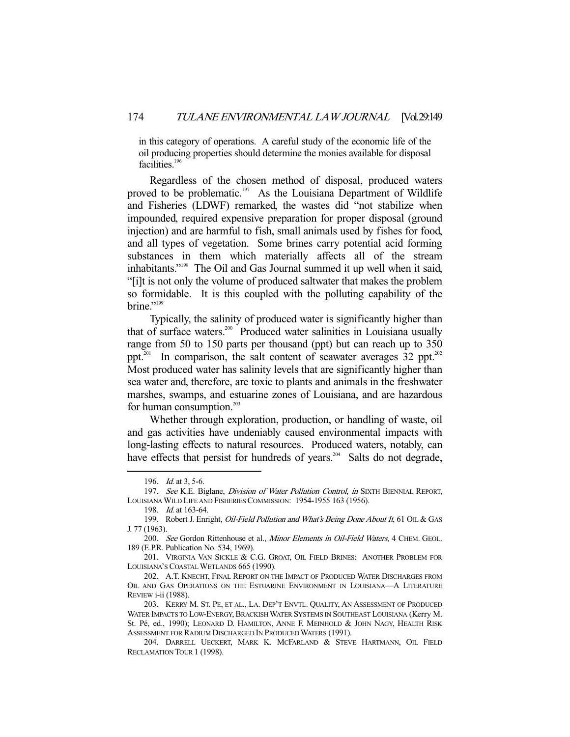in this category of operations. A careful study of the economic life of the oil producing properties should determine the monies available for disposal facilities. $196$ 

 Regardless of the chosen method of disposal, produced waters proved to be problematic.<sup>197</sup> As the Louisiana Department of Wildlife and Fisheries (LDWF) remarked, the wastes did "not stabilize when impounded, required expensive preparation for proper disposal (ground injection) and are harmful to fish, small animals used by fishes for food, and all types of vegetation. Some brines carry potential acid forming substances in them which materially affects all of the stream inhabitants."198 The Oil and Gas Journal summed it up well when it said, "[i]t is not only the volume of produced saltwater that makes the problem so formidable. It is this coupled with the polluting capability of the brine." $199$ 

 Typically, the salinity of produced water is significantly higher than that of surface waters.200 Produced water salinities in Louisiana usually range from 50 to 150 parts per thousand (ppt) but can reach up to 350 ppt.<sup>201</sup> In comparison, the salt content of seawater averages 32 ppt.<sup>202</sup> Most produced water has salinity levels that are significantly higher than sea water and, therefore, are toxic to plants and animals in the freshwater marshes, swamps, and estuarine zones of Louisiana, and are hazardous for human consumption. $203$ 

 Whether through exploration, production, or handling of waste, oil and gas activities have undeniably caused environmental impacts with long-lasting effects to natural resources. Produced waters, notably, can have effects that persist for hundreds of years.<sup>204</sup> Salts do not degrade,

 <sup>196.</sup> Id. at 3, 5-6.

<sup>197.</sup> See K.E. Biglane, *Division of Water Pollution Control, in* SIXTH BIENNIAL REPORT, LOUISIANA WILD LIFE AND FISHERIES COMMISSION: 1954-1955 163 (1956).

 <sup>198.</sup> Id. at 163-64.

<sup>199.</sup> Robert J. Enright, *Oil-Field Pollution and What's Being Done About It*, 61 OIL & GAS J. 77 (1963).

<sup>200.</sup> See Gordon Rittenhouse et al., Minor Elements in Oil-Field Waters, 4 CHEM. GEOL. 189 (E.P.R. Publication No. 534, 1969).

 <sup>201.</sup> VIRGINIA VAN SICKLE & C.G. GROAT, OIL FIELD BRINES: ANOTHER PROBLEM FOR LOUISIANA'S COASTAL WETLANDS 665 (1990).

 <sup>202.</sup> A.T. KNECHT, FINAL REPORT ON THE IMPACT OF PRODUCED WATER DISCHARGES FROM OIL AND GAS OPERATIONS ON THE ESTUARINE ENVIRONMENT IN LOUISIANA-A LITERATURE REVIEW i-ii (1988).

 <sup>203.</sup> KERRY M. ST. PE, ET AL., LA. DEP'T ENVTL. QUALITY, AN ASSESSMENT OF PRODUCED WATER IMPACTS TO LOW-ENERGY, BRACKISH WATER SYSTEMS IN SOUTHEAST LOUISIANA (Kerry M. St. Pé, ed., 1990); LEONARD D. HAMILTON, ANNE F. MEINHOLD & JOHN NAGY, HEALTH RISK ASSESSMENT FOR RADIUM DISCHARGED IN PRODUCED WATERS (1991).

 <sup>204.</sup> DARRELL UECKERT, MARK K. MCFARLAND & STEVE HARTMANN, OIL FIELD RECLAMATION TOUR 1 (1998).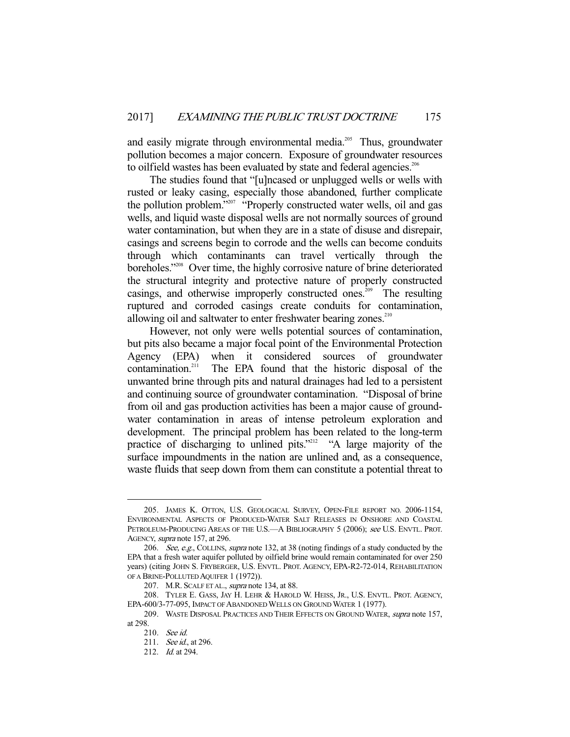and easily migrate through environmental media.<sup>205</sup> Thus, groundwater pollution becomes a major concern. Exposure of groundwater resources to oilfield wastes has been evaluated by state and federal agencies.<sup>206</sup>

 The studies found that "[u]ncased or unplugged wells or wells with rusted or leaky casing, especially those abandoned, further complicate the pollution problem."207 "Properly constructed water wells, oil and gas wells, and liquid waste disposal wells are not normally sources of ground water contamination, but when they are in a state of disuse and disrepair, casings and screens begin to corrode and the wells can become conduits through which contaminants can travel vertically through the boreholes."208 Over time, the highly corrosive nature of brine deteriorated the structural integrity and protective nature of properly constructed casings, and otherwise improperly constructed ones.<sup>209</sup> The resulting ruptured and corroded casings create conduits for contamination, allowing oil and saltwater to enter freshwater bearing zones. $210$ 

 However, not only were wells potential sources of contamination, but pits also became a major focal point of the Environmental Protection Agency (EPA) when it considered sources of groundwater contamination.<sup>211</sup> The EPA found that the historic disposal of the The EPA found that the historic disposal of the unwanted brine through pits and natural drainages had led to a persistent and continuing source of groundwater contamination. "Disposal of brine from oil and gas production activities has been a major cause of groundwater contamination in areas of intense petroleum exploration and development. The principal problem has been related to the long-term practice of discharging to unlined pits."<sup>212</sup> "A large majority of the surface impoundments in the nation are unlined and, as a consequence, waste fluids that seep down from them can constitute a potential threat to

 <sup>205.</sup> JAMES K. OTTON, U.S. GEOLOGICAL SURVEY, OPEN-FILE REPORT NO. 2006-1154, ENVIRONMENTAL ASPECTS OF PRODUCED-WATER SALT RELEASES IN ONSHORE AND COASTAL PETROLEUM-PRODUCING AREAS OF THE U.S. A BIBLIOGRAPHY 5 (2006); see U.S. ENVTL. PROT. AGENCY, supra note 157, at 296.

<sup>206.</sup> See, e.g., COLLINS, supra note 132, at 38 (noting findings of a study conducted by the EPA that a fresh water aquifer polluted by oilfield brine would remain contaminated for over 250 years) (citing JOHN S. FRYBERGER, U.S. ENVTL. PROT. AGENCY, EPA-R2-72-014, REHABILITATION OF A BRINE-POLLUTED AQUIFER 1 (1972)).

<sup>207.</sup> M.R. SCALF ET AL., *supra* note 134, at 88.

 <sup>208.</sup> TYLER E. GASS, JAY H. LEHR & HAROLD W. HEISS, JR., U.S. ENVTL. PROT. AGENCY, EPA-600/3-77-095, IMPACT OF ABANDONED WELLS ON GROUND WATER 1 (1977).

<sup>209.</sup> WASTE DISPOSAL PRACTICES AND THEIR EFFECTS ON GROUND WATER, supra note 157, at 298.

 <sup>210.</sup> See id.

<sup>211.</sup> *See id.*, at 296.

 <sup>212.</sup> Id. at 294.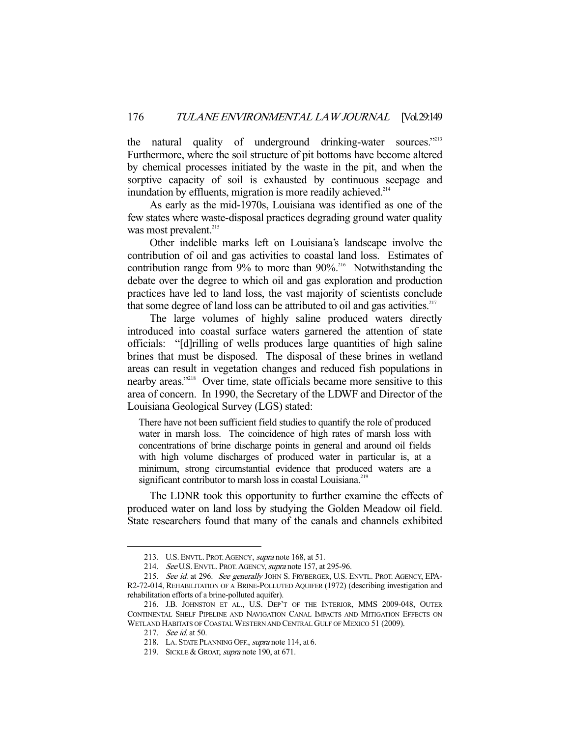the natural quality of underground drinking-water sources."<sup>213</sup> Furthermore, where the soil structure of pit bottoms have become altered by chemical processes initiated by the waste in the pit, and when the sorptive capacity of soil is exhausted by continuous seepage and inundation by effluents, migration is more readily achieved. $214$ 

 As early as the mid-1970s, Louisiana was identified as one of the few states where waste-disposal practices degrading ground water quality was most prevalent.<sup>215</sup>

 Other indelible marks left on Louisiana's landscape involve the contribution of oil and gas activities to coastal land loss. Estimates of contribution range from  $9\%$  to more than  $90\%$ <sup>216</sup> Notwithstanding the debate over the degree to which oil and gas exploration and production practices have led to land loss, the vast majority of scientists conclude that some degree of land loss can be attributed to oil and gas activities.<sup>217</sup>

 The large volumes of highly saline produced waters directly introduced into coastal surface waters garnered the attention of state officials: "[d]rilling of wells produces large quantities of high saline brines that must be disposed. The disposal of these brines in wetland areas can result in vegetation changes and reduced fish populations in nearby areas."<sup>218</sup> Over time, state officials became more sensitive to this area of concern. In 1990, the Secretary of the LDWF and Director of the Louisiana Geological Survey (LGS) stated:

There have not been sufficient field studies to quantify the role of produced water in marsh loss. The coincidence of high rates of marsh loss with concentrations of brine discharge points in general and around oil fields with high volume discharges of produced water in particular is, at a minimum, strong circumstantial evidence that produced waters are a significant contributor to marsh loss in coastal Louisiana.<sup>219</sup>

 The LDNR took this opportunity to further examine the effects of produced water on land loss by studying the Golden Meadow oil field. State researchers found that many of the canals and channels exhibited

<sup>213.</sup> U.S. ENVTL. PROT. AGENCY, supra note 168, at 51.

<sup>214.</sup> See U.S. ENVTL. PROT. AGENCY, supra note 157, at 295-96.

<sup>215.</sup> See id. at 296. See generally JOHN S. FRYBERGER, U.S. ENVTL. PROT. AGENCY, EPA-R2-72-014, REHABILITATION OF A BRINE-POLLUTED AQUIFER (1972) (describing investigation and rehabilitation efforts of a brine-polluted aquifer).

 <sup>216.</sup> J.B. JOHNSTON ET AL., U.S. DEP'T OF THE INTERIOR, MMS 2009-048, OUTER CONTINENTAL SHELF PIPELINE AND NAVIGATION CANAL IMPACTS AND MITIGATION EFFECTS ON WETLAND HABITATS OF COASTAL WESTERN AND CENTRAL GULF OF MEXICO 51 (2009).

<sup>217.</sup> *See id.* at 50.

 <sup>218.</sup> LA. STATE PLANNING OFF., supra note 114, at 6.

<sup>219.</sup> SICKLE & GROAT, *supra* note 190, at 671.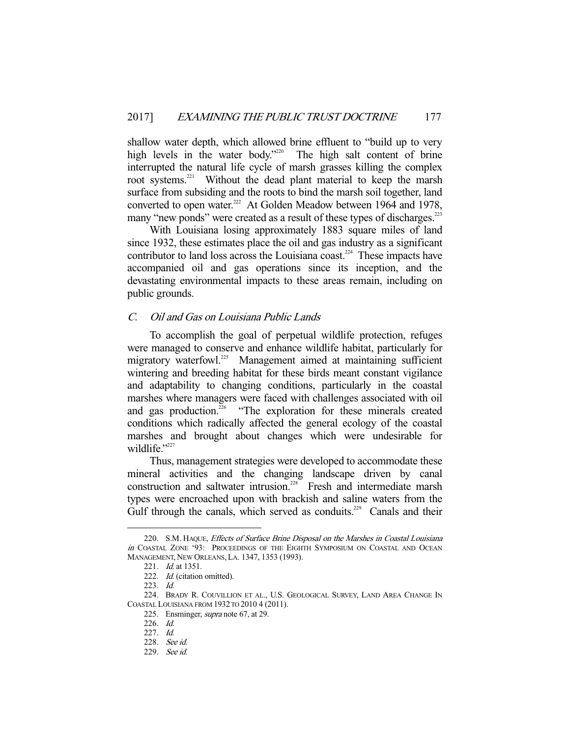shallow water depth, which allowed brine effluent to "build up to very high levels in the water body."<sup>220</sup> The high salt content of brine interrupted the natural life cycle of marsh grasses killing the complex root systems.<sup>221</sup> Without the dead plant material to keep the marsh surface from subsiding and the roots to bind the marsh soil together, land converted to open water.<sup>222</sup> At Golden Meadow between 1964 and 1978, many "new ponds" were created as a result of these types of discharges.<sup>223</sup>

 With Louisiana losing approximately 1883 square miles of land since 1932, these estimates place the oil and gas industry as a significant contributor to land loss across the Louisiana coast.<sup>224</sup> These impacts have accompanied oil and gas operations since its inception, and the devastating environmental impacts to these areas remain, including on public grounds.

# C. Oil and Gas on Louisiana Public Lands

 To accomplish the goal of perpetual wildlife protection, refuges were managed to conserve and enhance wildlife habitat, particularly for migratory waterfowl.<sup>225</sup> Management aimed at maintaining sufficient wintering and breeding habitat for these birds meant constant vigilance and adaptability to changing conditions, particularly in the coastal marshes where managers were faced with challenges associated with oil and gas production.<sup>226</sup> "The exploration for these minerals created conditions which radically affected the general ecology of the coastal marshes and brought about changes which were undesirable for wildlife."227

 Thus, management strategies were developed to accommodate these mineral activities and the changing landscape driven by canal construction and saltwater intrusion.<sup>228</sup> Fresh and intermediate marsh types were encroached upon with brackish and saline waters from the Gulf through the canals, which served as conduits.<sup>229</sup> Canals and their

<sup>220.</sup> S.M. HAQUE, Effects of Surface Brine Disposal on the Marshes in Coastal Louisiana in COASTAL ZONE '93: PROCEEDINGS OF THE EIGHTH SYMPOSIUM ON COASTAL AND OCEAN MANAGEMENT, NEW ORLEANS,LA. 1347, 1353 (1993).

<sup>221.</sup> *Id.* at 1351.

<sup>222.</sup> Id. (citation omitted).

 <sup>223.</sup> Id.

 <sup>224.</sup> BRADY R. COUVILLION ET AL., U.S. GEOLOGICAL SURVEY, LAND AREA CHANGE IN COASTAL LOUISIANA FROM 1932 TO 2010 4 (2011).

<sup>225.</sup> Ensminger, *supra* note 67, at 29.

 <sup>226.</sup> Id.

 <sup>227.</sup> Id.

 <sup>228.</sup> See id.

 <sup>229.</sup> See id.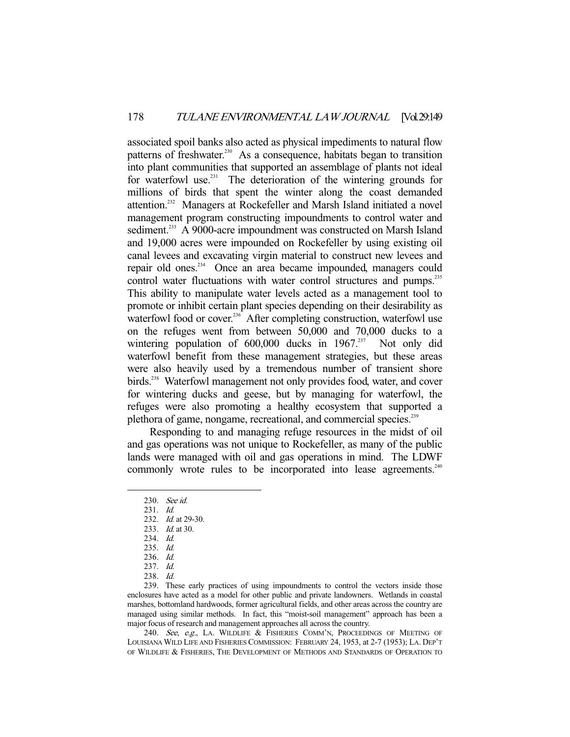associated spoil banks also acted as physical impediments to natural flow patterns of freshwater.<sup>230</sup> As a consequence, habitats began to transition into plant communities that supported an assemblage of plants not ideal for waterfowl use.<sup>231</sup> The deterioration of the wintering grounds for millions of birds that spent the winter along the coast demanded attention.232 Managers at Rockefeller and Marsh Island initiated a novel management program constructing impoundments to control water and sediment.<sup>233</sup> A 9000-acre impoundment was constructed on Marsh Island and 19,000 acres were impounded on Rockefeller by using existing oil canal levees and excavating virgin material to construct new levees and repair old ones.234 Once an area became impounded, managers could control water fluctuations with water control structures and pumps.<sup>235</sup> This ability to manipulate water levels acted as a management tool to promote or inhibit certain plant species depending on their desirability as waterfowl food or cover.<sup>236</sup> After completing construction, waterfowl use on the refuges went from between 50,000 and 70,000 ducks to a wintering population of  $600,000$  ducks in  $1967.^{237}$  Not only did wintering population of  $600,000$  ducks in  $1967$ <sup>237</sup> waterfowl benefit from these management strategies, but these areas were also heavily used by a tremendous number of transient shore birds.<sup>238</sup> Waterfowl management not only provides food, water, and cover for wintering ducks and geese, but by managing for waterfowl, the refuges were also promoting a healthy ecosystem that supported a plethora of game, nongame, recreational, and commercial species.<sup>239</sup>

 Responding to and managing refuge resources in the midst of oil and gas operations was not unique to Rockefeller, as many of the public lands were managed with oil and gas operations in mind. The LDWF commonly wrote rules to be incorporated into lease agreements.<sup>240</sup>

-

 239. These early practices of using impoundments to control the vectors inside those enclosures have acted as a model for other public and private landowners. Wetlands in coastal marshes, bottomland hardwoods, former agricultural fields, and other areas across the country are managed using similar methods. In fact, this "moist-soil management" approach has been a major focus of research and management approaches all across the country.

240. See, e.g., LA. WILDLIFE & FISHERIES COMM'N, PROCEEDINGS OF MEETING OF LOUISIANA WILD LIFE AND FISHERIES COMMISSION: FEBRUARY 24, 1953, at 2-7 (1953); LA. DEP'T OF WILDLIFE & FISHERIES, THE DEVELOPMENT OF METHODS AND STANDARDS OF OPERATION TO

 <sup>230.</sup> See id.

 <sup>231.</sup> Id.

<sup>232.</sup> *Id.* at 29-30.

<sup>233.</sup> *Id.* at 30.

 <sup>234.</sup> Id.

 <sup>235.</sup> Id.

 <sup>236.</sup> Id.

 <sup>237.</sup> Id.

 <sup>238.</sup> Id.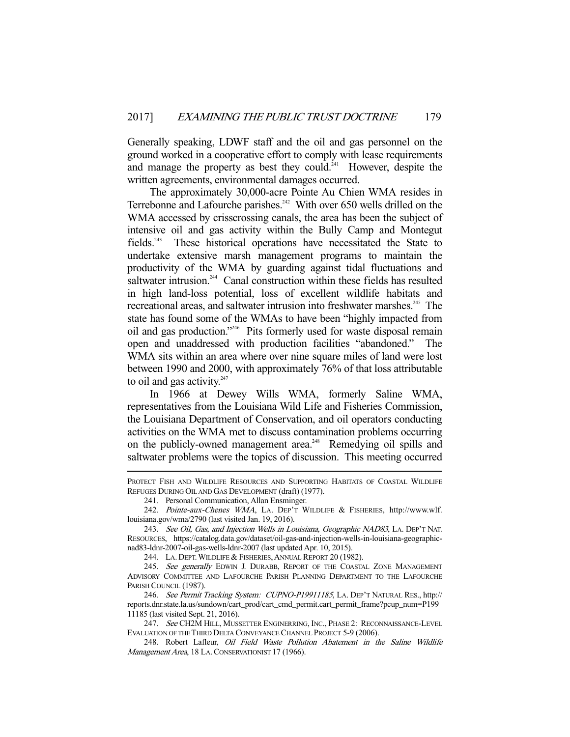Generally speaking, LDWF staff and the oil and gas personnel on the ground worked in a cooperative effort to comply with lease requirements and manage the property as best they could.<sup>241</sup> However, despite the written agreements, environmental damages occurred.

 The approximately 30,000-acre Pointe Au Chien WMA resides in Terrebonne and Lafourche parishes.<sup>242</sup> With over 650 wells drilled on the WMA accessed by crisscrossing canals, the area has been the subject of intensive oil and gas activity within the Bully Camp and Montegut fields.243 These historical operations have necessitated the State to undertake extensive marsh management programs to maintain the productivity of the WMA by guarding against tidal fluctuations and saltwater intrusion.<sup>244</sup> Canal construction within these fields has resulted in high land-loss potential, loss of excellent wildlife habitats and recreational areas, and saltwater intrusion into freshwater marshes.<sup>245</sup> The state has found some of the WMAs to have been "highly impacted from oil and gas production."246 Pits formerly used for waste disposal remain open and unaddressed with production facilities "abandoned." The WMA sits within an area where over nine square miles of land were lost between 1990 and 2000, with approximately 76% of that loss attributable to oil and gas activity. $247$ 

 In 1966 at Dewey Wills WMA, formerly Saline WMA, representatives from the Louisiana Wild Life and Fisheries Commission, the Louisiana Department of Conservation, and oil operators conducting activities on the WMA met to discuss contamination problems occurring on the publicly-owned management area.<sup>248</sup> Remedying oil spills and saltwater problems were the topics of discussion. This meeting occurred

PROTECT FISH AND WILDLIFE RESOURCES AND SUPPORTING HABITATS OF COASTAL WILDLIFE REFUGES DURING OIL AND GAS DEVELOPMENT (draft) (1977).

 <sup>241.</sup> Personal Communication, Allan Ensminger.

 <sup>242.</sup> Pointe-aux-Chenes WMA, LA. DEP'T WILDLIFE & FISHERIES, http://www.wlf. louisiana.gov/wma/2790 (last visited Jan. 19, 2016).

 <sup>243.</sup> See Oil, Gas, and Injection Wells in Louisiana, Geographic NAD83, LA. DEP'T NAT. RESOURCES, https://catalog.data.gov/dataset/oil-gas-and-injection-wells-in-louisiana-geographicnad83-ldnr-2007-oil-gas-wells-ldnr-2007 (last updated Apr. 10, 2015).

 <sup>244.</sup> LA. DEPT.WILDLIFE & FISHERIES,ANNUAL REPORT 20 (1982).

<sup>245.</sup> See generally EDWIN J. DURABB, REPORT OF THE COASTAL ZONE MANAGEMENT ADVISORY COMMITTEE AND LAFOURCHE PARISH PLANNING DEPARTMENT TO THE LAFOURCHE PARISH COUNCIL (1987).

<sup>246.</sup> See Permit Tracking System: CUPNO-P19911185, LA. DEP'T NATURAL RES., http:// reports.dnr.state.la.us/sundown/cart\_prod/cart\_cmd\_permit.cart\_permit\_frame?pcup\_num=P199 11185 (last visited Sept. 21, 2016).

<sup>247.</sup> See CH2M HILL, MUSSETTER ENGINERRING, INC., PHASE 2: RECONNAISSANCE-LEVEL EVALUATION OF THE THIRD DELTA CONVEYANCE CHANNEL PROJECT 5-9 (2006).

<sup>248.</sup> Robert Lafleur, Oil Field Waste Pollution Abatement in the Saline Wildlife Management Area, 18 LA. CONSERVATIONIST 17 (1966).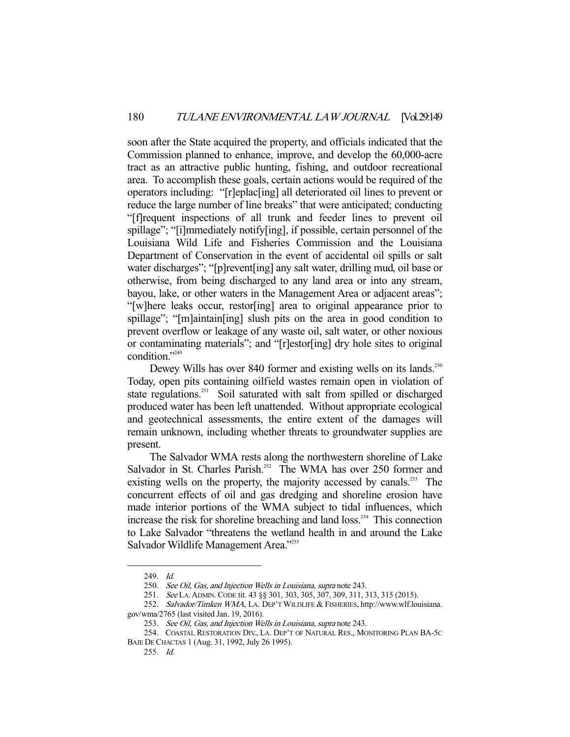soon after the State acquired the property, and officials indicated that the Commission planned to enhance, improve, and develop the 60,000-acre tract as an attractive public hunting, fishing, and outdoor recreational area. To accomplish these goals, certain actions would be required of the operators including: "[r]eplac[ing] all deteriorated oil lines to prevent or reduce the large number of line breaks" that were anticipated; conducting "[f]requent inspections of all trunk and feeder lines to prevent oil spillage"; "[i]mmediately notify[ing], if possible, certain personnel of the Louisiana Wild Life and Fisheries Commission and the Louisiana Department of Conservation in the event of accidental oil spills or salt water discharges"; "[p]revent[ing] any salt water, drilling mud, oil base or otherwise, from being discharged to any land area or into any stream, bayou, lake, or other waters in the Management Area or adjacent areas"; "[w]here leaks occur, restor[ing] area to original appearance prior to spillage"; "[m]aintain[ing] slush pits on the area in good condition to prevent overflow or leakage of any waste oil, salt water, or other noxious or contaminating materials"; and "[r]estor[ing] dry hole sites to original condition."<sup>249</sup>

Dewey Wills has over 840 former and existing wells on its lands.<sup>250</sup> Today, open pits containing oilfield wastes remain open in violation of state regulations.<sup>251</sup> Soil saturated with salt from spilled or discharged produced water has been left unattended. Without appropriate ecological and geotechnical assessments, the entire extent of the damages will remain unknown, including whether threats to groundwater supplies are present.

 The Salvador WMA rests along the northwestern shoreline of Lake Salvador in St. Charles Parish.<sup>252</sup> The WMA has over 250 former and existing wells on the property, the majority accessed by canals.<sup>253</sup> The concurrent effects of oil and gas dredging and shoreline erosion have made interior portions of the WMA subject to tidal influences, which increase the risk for shoreline breaching and land loss.<sup>254</sup> This connection to Lake Salvador "threatens the wetland health in and around the Lake Salvador Wildlife Management Area."<sup>255</sup>

-

251. See LA.ADMIN.CODE tit. 43 §§ 301, 303, 305, 307, 309, 311, 313, 315 (2015).

 <sup>249.</sup> Id.

 <sup>250.</sup> See Oil, Gas, and Injection Wells in Louisiana, supra note 243.

<sup>252.</sup> Salvador/Timken WMA, LA. DEP'T WILDLIFE & FISHERIES, http://www.wlf.louisiana. gov/wma/2765 (last visited Jan. 19, 2016).

 <sup>253.</sup> See Oil, Gas, and Injection Wells in Louisiana, supra note 243.

 <sup>254.</sup> COASTAL RESTORATION DIV., LA. DEP'T OF NATURAL RES., MONITORING PLAN BA-5C BAJE DE CHACTAS 1 (Aug. 31, 1992, July 26 1995).

 <sup>255.</sup> Id.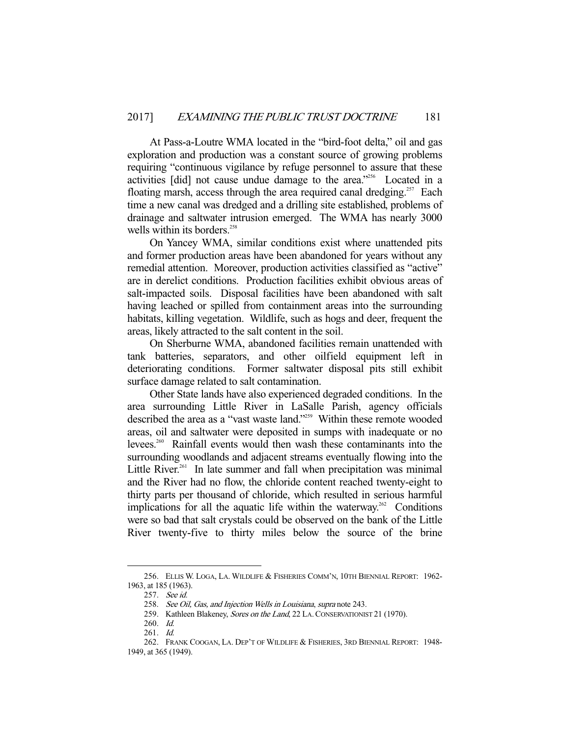At Pass-a-Loutre WMA located in the "bird-foot delta," oil and gas exploration and production was a constant source of growing problems requiring "continuous vigilance by refuge personnel to assure that these activities [did] not cause undue damage to the area."256 Located in a floating marsh, access through the area required canal dredging.<sup>257</sup> Each time a new canal was dredged and a drilling site established, problems of drainage and saltwater intrusion emerged. The WMA has nearly 3000 wells within its borders.<sup>258</sup>

 On Yancey WMA, similar conditions exist where unattended pits and former production areas have been abandoned for years without any remedial attention. Moreover, production activities classified as "active" are in derelict conditions. Production facilities exhibit obvious areas of salt-impacted soils. Disposal facilities have been abandoned with salt having leached or spilled from containment areas into the surrounding habitats, killing vegetation. Wildlife, such as hogs and deer, frequent the areas, likely attracted to the salt content in the soil.

 On Sherburne WMA, abandoned facilities remain unattended with tank batteries, separators, and other oilfield equipment left in deteriorating conditions. Former saltwater disposal pits still exhibit surface damage related to salt contamination.

 Other State lands have also experienced degraded conditions. In the area surrounding Little River in LaSalle Parish, agency officials described the area as a "vast waste land."<sup>259</sup> Within these remote wooded areas, oil and saltwater were deposited in sumps with inadequate or no levees.260 Rainfall events would then wash these contaminants into the surrounding woodlands and adjacent streams eventually flowing into the Little River.<sup>261</sup> In late summer and fall when precipitation was minimal and the River had no flow, the chloride content reached twenty-eight to thirty parts per thousand of chloride, which resulted in serious harmful implications for all the aquatic life within the waterway.<sup>262</sup> Conditions were so bad that salt crystals could be observed on the bank of the Little River twenty-five to thirty miles below the source of the brine

 <sup>256.</sup> ELLIS W. LOGA, LA. WILDLIFE & FISHERIES COMM'N, 10TH BIENNIAL REPORT: 1962- 1963, at 185 (1963).

 <sup>257.</sup> See id.

<sup>258.</sup> See Oil, Gas, and Injection Wells in Louisiana, supra note 243.

<sup>259.</sup> Kathleen Blakeney, Sores on the Land, 22 LA. CONSERVATIONIST 21 (1970).

 <sup>260.</sup> Id.

 <sup>261.</sup> Id.

 <sup>262.</sup> FRANK COOGAN, LA. DEP'T OF WILDLIFE & FISHERIES, 3RD BIENNIAL REPORT: 1948- 1949, at 365 (1949).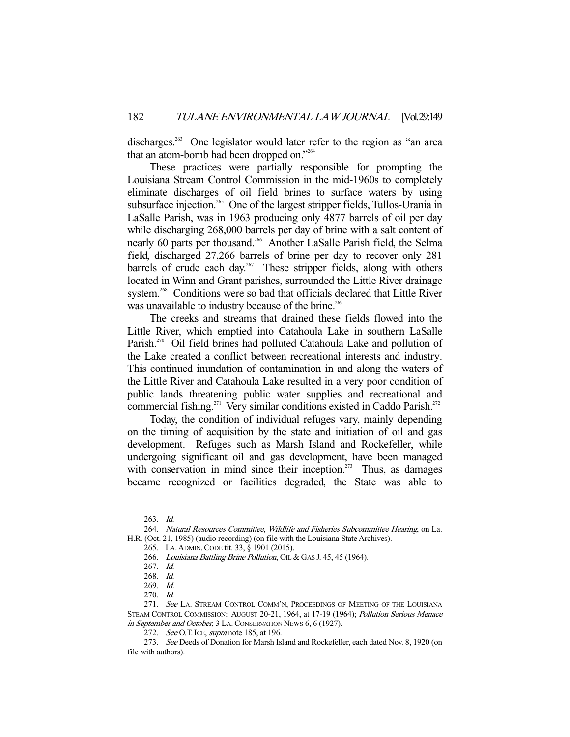discharges.<sup>263</sup> One legislator would later refer to the region as "an area that an atom-bomb had been dropped on."264

 These practices were partially responsible for prompting the Louisiana Stream Control Commission in the mid-1960s to completely eliminate discharges of oil field brines to surface waters by using subsurface injection.<sup>265</sup> One of the largest stripper fields, Tullos-Urania in LaSalle Parish, was in 1963 producing only 4877 barrels of oil per day while discharging 268,000 barrels per day of brine with a salt content of nearly 60 parts per thousand.<sup>266</sup> Another LaSalle Parish field, the Selma field, discharged 27,266 barrels of brine per day to recover only 281 barrels of crude each day.<sup>267</sup> These stripper fields, along with others located in Winn and Grant parishes, surrounded the Little River drainage system.<sup>268</sup> Conditions were so bad that officials declared that Little River was unavailable to industry because of the brine.<sup>269</sup>

 The creeks and streams that drained these fields flowed into the Little River, which emptied into Catahoula Lake in southern LaSalle Parish.<sup>270</sup> Oil field brines had polluted Catahoula Lake and pollution of the Lake created a conflict between recreational interests and industry. This continued inundation of contamination in and along the waters of the Little River and Catahoula Lake resulted in a very poor condition of public lands threatening public water supplies and recreational and commercial fishing.<sup>271</sup> Very similar conditions existed in Caddo Parish.<sup>272</sup>

 Today, the condition of individual refuges vary, mainly depending on the timing of acquisition by the state and initiation of oil and gas development. Refuges such as Marsh Island and Rockefeller, while undergoing significant oil and gas development, have been managed with conservation in mind since their inception. $273$  Thus, as damages became recognized or facilities degraded, the State was able to

 <sup>263.</sup> Id.

 <sup>264.</sup> Natural Resources Committee, Wildlife and Fisheries Subcommittee Hearing, on La. H.R. (Oct. 21, 1985) (audio recording) (on file with the Louisiana State Archives).

 <sup>265.</sup> LA.ADMIN.CODE tit. 33, § 1901 (2015).

<sup>266.</sup> Louisiana Battling Brine Pollution, OIL & GAS J. 45, 45 (1964).

 <sup>267.</sup> Id.

 <sup>268.</sup> Id.

 <sup>269.</sup> Id.

 <sup>270.</sup> Id.

<sup>271.</sup> See LA. STREAM CONTROL COMM'N, PROCEEDINGS OF MEETING OF THE LOUISIANA STEAM CONTROL COMMISSION: AUGUST 20-21, 1964, at 17-19 (1964); Pollution Serious Menace in September and October, 3 LA. CONSERVATION NEWS 6, 6 (1927).

<sup>272.</sup> See O.T. ICE, *supra* note 185, at 196.

 <sup>273.</sup> See Deeds of Donation for Marsh Island and Rockefeller, each dated Nov. 8, 1920 (on file with authors).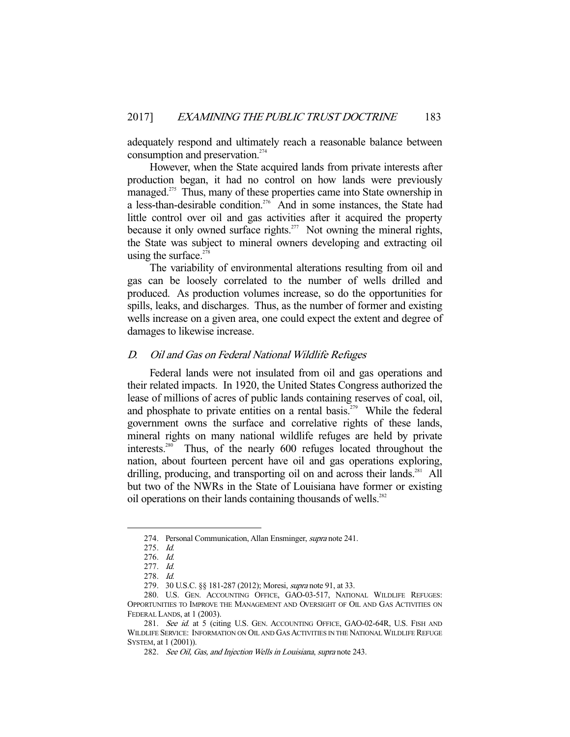adequately respond and ultimately reach a reasonable balance between consumption and preservation.<sup>274</sup>

 However, when the State acquired lands from private interests after production began, it had no control on how lands were previously managed.<sup>275</sup> Thus, many of these properties came into State ownership in a less-than-desirable condition.<sup>276</sup> And in some instances, the State had little control over oil and gas activities after it acquired the property because it only owned surface rights.<sup>277</sup> Not owning the mineral rights, the State was subject to mineral owners developing and extracting oil using the surface. $278$ 

 The variability of environmental alterations resulting from oil and gas can be loosely correlated to the number of wells drilled and produced. As production volumes increase, so do the opportunities for spills, leaks, and discharges. Thus, as the number of former and existing wells increase on a given area, one could expect the extent and degree of damages to likewise increase.

# D. Oil and Gas on Federal National Wildlife Refuges

 Federal lands were not insulated from oil and gas operations and their related impacts. In 1920, the United States Congress authorized the lease of millions of acres of public lands containing reserves of coal, oil, and phosphate to private entities on a rental basis.<sup>279</sup> While the federal government owns the surface and correlative rights of these lands, mineral rights on many national wildlife refuges are held by private interests.280 Thus, of the nearly 600 refuges located throughout the nation, about fourteen percent have oil and gas operations exploring, drilling, producing, and transporting oil on and across their lands.<sup>281</sup> All but two of the NWRs in the State of Louisiana have former or existing oil operations on their lands containing thousands of wells. $282$ 

<sup>274.</sup> Personal Communication, Allan Ensminger, *supra* note 241.

 <sup>275.</sup> Id.

 <sup>276.</sup> Id.

 <sup>277.</sup> Id.

 <sup>278.</sup> Id.

<sup>279. 30</sup> U.S.C. §§ 181-287 (2012); Moresi, *supra* note 91, at 33.

 <sup>280.</sup> U.S. GEN. ACCOUNTING OFFICE, GAO-03-517, NATIONAL WILDLIFE REFUGES: OPPORTUNITIES TO IMPROVE THE MANAGEMENT AND OVERSIGHT OF OIL AND GAS ACTIVITIES ON FEDERAL LANDS, at 1 (2003).

<sup>281.</sup> See id. at 5 (citing U.S. GEN. ACCOUNTING OFFICE, GAO-02-64R, U.S. FISH AND WILDLIFE SERVICE: INFORMATION ON OIL AND GAS ACTIVITIES IN THE NATIONAL WILDLIFE REFUGE SYSTEM, at 1 (2001)).

 <sup>282.</sup> See Oil, Gas, and Injection Wells in Louisiana, supra note 243.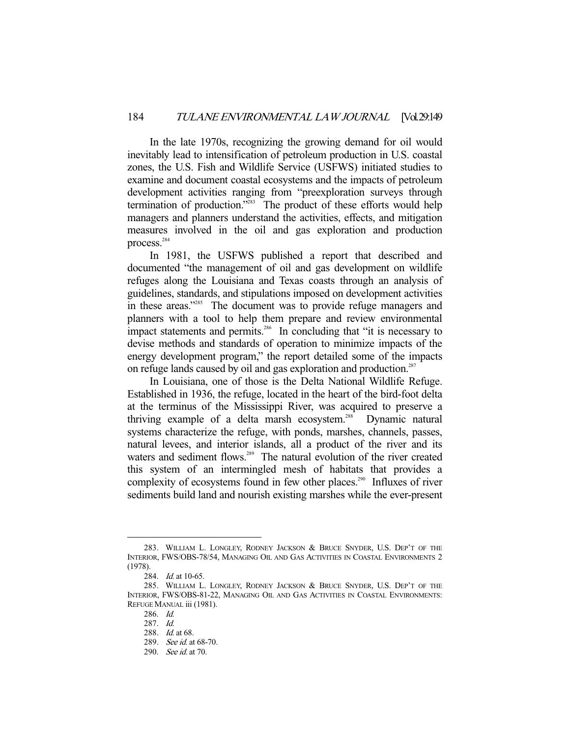In the late 1970s, recognizing the growing demand for oil would inevitably lead to intensification of petroleum production in U.S. coastal zones, the U.S. Fish and Wildlife Service (USFWS) initiated studies to examine and document coastal ecosystems and the impacts of petroleum development activities ranging from "preexploration surveys through termination of production."<sup>283</sup> The product of these efforts would help managers and planners understand the activities, effects, and mitigation measures involved in the oil and gas exploration and production process.<sup>284</sup>

 In 1981, the USFWS published a report that described and documented "the management of oil and gas development on wildlife refuges along the Louisiana and Texas coasts through an analysis of guidelines, standards, and stipulations imposed on development activities in these areas."<sup>285</sup> The document was to provide refuge managers and planners with a tool to help them prepare and review environmental impact statements and permits.<sup>286</sup> In concluding that "it is necessary to devise methods and standards of operation to minimize impacts of the energy development program," the report detailed some of the impacts on refuge lands caused by oil and gas exploration and production.<sup>287</sup>

 In Louisiana, one of those is the Delta National Wildlife Refuge. Established in 1936, the refuge, located in the heart of the bird-foot delta at the terminus of the Mississippi River, was acquired to preserve a thriving example of a delta marsh ecosystem.<sup>288</sup> Dynamic natural systems characterize the refuge, with ponds, marshes, channels, passes, natural levees, and interior islands, all a product of the river and its waters and sediment flows.<sup>289</sup> The natural evolution of the river created this system of an intermingled mesh of habitats that provides a complexity of ecosystems found in few other places.<sup>290</sup> Influxes of river sediments build land and nourish existing marshes while the ever-present

 <sup>283.</sup> WILLIAM L. LONGLEY, RODNEY JACKSON & BRUCE SNYDER, U.S. DEP'T OF THE INTERIOR, FWS/OBS-78/54, MANAGING OIL AND GAS ACTIVITIES IN COASTAL ENVIRONMENTS 2 (1978).

<sup>284.</sup> *Id.* at 10-65.

 <sup>285.</sup> WILLIAM L. LONGLEY, RODNEY JACKSON & BRUCE SNYDER, U.S. DEP'T OF THE INTERIOR, FWS/OBS-81-22, MANAGING OIL AND GAS ACTIVITIES IN COASTAL ENVIRONMENTS: REFUGE MANUAL iii (1981).

 <sup>286.</sup> Id.

 <sup>287.</sup> Id.

 <sup>288.</sup> Id. at 68.

 <sup>289.</sup> See id. at 68-70.

 <sup>290.</sup> See id. at 70.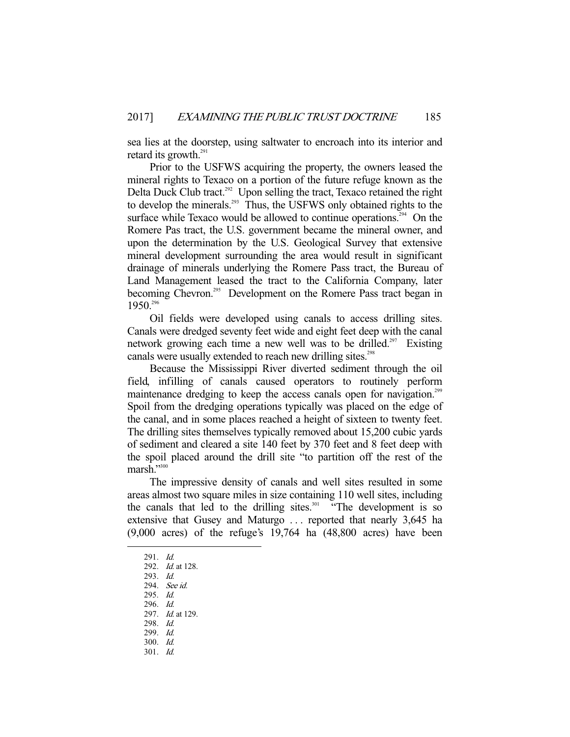sea lies at the doorstep, using saltwater to encroach into its interior and retard its growth. $^{291}$ 

 Prior to the USFWS acquiring the property, the owners leased the mineral rights to Texaco on a portion of the future refuge known as the Delta Duck Club tract.<sup>292</sup> Upon selling the tract, Texaco retained the right to develop the minerals.<sup>293</sup> Thus, the USFWS only obtained rights to the surface while Texaco would be allowed to continue operations.<sup>294</sup> On the Romere Pas tract, the U.S. government became the mineral owner, and upon the determination by the U.S. Geological Survey that extensive mineral development surrounding the area would result in significant drainage of minerals underlying the Romere Pass tract, the Bureau of Land Management leased the tract to the California Company, later becoming Chevron.<sup>295</sup> Development on the Romere Pass tract began in 1950.296

 Oil fields were developed using canals to access drilling sites. Canals were dredged seventy feet wide and eight feet deep with the canal network growing each time a new well was to be drilled.<sup>297</sup> Existing canals were usually extended to reach new drilling sites.<sup>298</sup>

 Because the Mississippi River diverted sediment through the oil field, infilling of canals caused operators to routinely perform maintenance dredging to keep the access canals open for navigation.<sup>299</sup> Spoil from the dredging operations typically was placed on the edge of the canal, and in some places reached a height of sixteen to twenty feet. The drilling sites themselves typically removed about 15,200 cubic yards of sediment and cleared a site 140 feet by 370 feet and 8 feet deep with the spoil placed around the drill site "to partition off the rest of the marsh."300

 The impressive density of canals and well sites resulted in some areas almost two square miles in size containing 110 well sites, including the canals that led to the drilling sites.<sup>301</sup> "The development is so extensive that Gusey and Maturgo . . . reported that nearly 3,645 ha (9,000 acres) of the refuge's 19,764 ha (48,800 acres) have been

- 300. Id.
- 301. Id.

 <sup>291.</sup> Id.

 <sup>292.</sup> Id. at 128.

 <sup>293.</sup> Id.

 <sup>294.</sup> See id.

 <sup>295.</sup> Id. 296. Id.

 <sup>297.</sup> Id. at 129.

 <sup>298.</sup> Id.

 <sup>299.</sup> Id.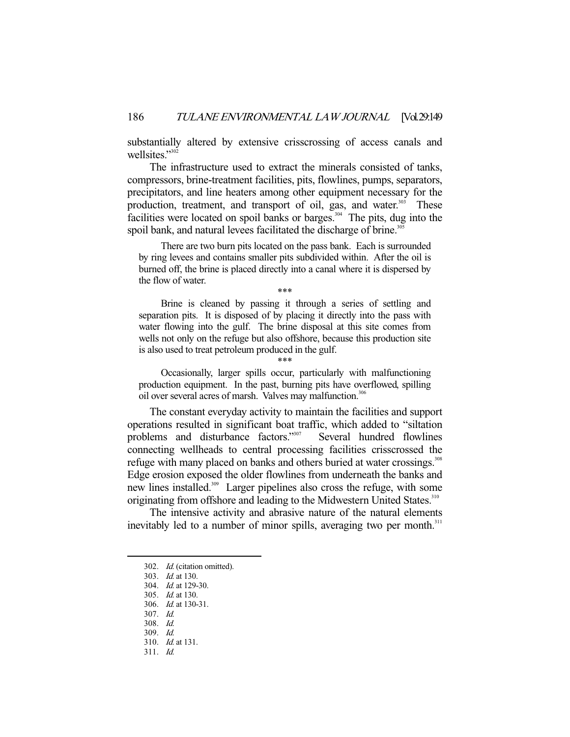substantially altered by extensive crisscrossing of access canals and wellsites."<sup>302</sup>

 The infrastructure used to extract the minerals consisted of tanks, compressors, brine-treatment facilities, pits, flowlines, pumps, separators, precipitators, and line heaters among other equipment necessary for the production, treatment, and transport of oil, gas, and water.<sup>303</sup> These facilities were located on spoil banks or barges.<sup>304</sup> The pits, dug into the spoil bank, and natural levees facilitated the discharge of brine.<sup>305</sup>

 There are two burn pits located on the pass bank. Each is surrounded by ring levees and contains smaller pits subdivided within. After the oil is burned off, the brine is placed directly into a canal where it is dispersed by the flow of water.

\*\*\*

 Brine is cleaned by passing it through a series of settling and separation pits. It is disposed of by placing it directly into the pass with water flowing into the gulf. The brine disposal at this site comes from wells not only on the refuge but also offshore, because this production site is also used to treat petroleum produced in the gulf.

\*\*\*

 Occasionally, larger spills occur, particularly with malfunctioning production equipment. In the past, burning pits have overflowed, spilling oil over several acres of marsh. Valves may malfunction.<sup>306</sup>

 The constant everyday activity to maintain the facilities and support operations resulted in significant boat traffic, which added to "siltation problems and disturbance factors."<sup>307</sup> Several hundred flowlines connecting wellheads to central processing facilities crisscrossed the refuge with many placed on banks and others buried at water crossings.<sup>308</sup> Edge erosion exposed the older flowlines from underneath the banks and new lines installed.<sup>309</sup> Larger pipelines also cross the refuge, with some originating from offshore and leading to the Midwestern United States.<sup>310</sup>

 The intensive activity and abrasive nature of the natural elements inevitably led to a number of minor spills, averaging two per month.<sup>311</sup>

 <sup>302.</sup> Id. (citation omitted).

 <sup>303.</sup> Id. at 130.

 <sup>304.</sup> Id. at 129-30.

 <sup>305.</sup> Id. at 130.

 <sup>306.</sup> Id. at 130-31.

 <sup>307.</sup> Id.

 <sup>308.</sup> Id.

 <sup>309.</sup> Id. 310. Id. at 131.

 <sup>311.</sup> Id.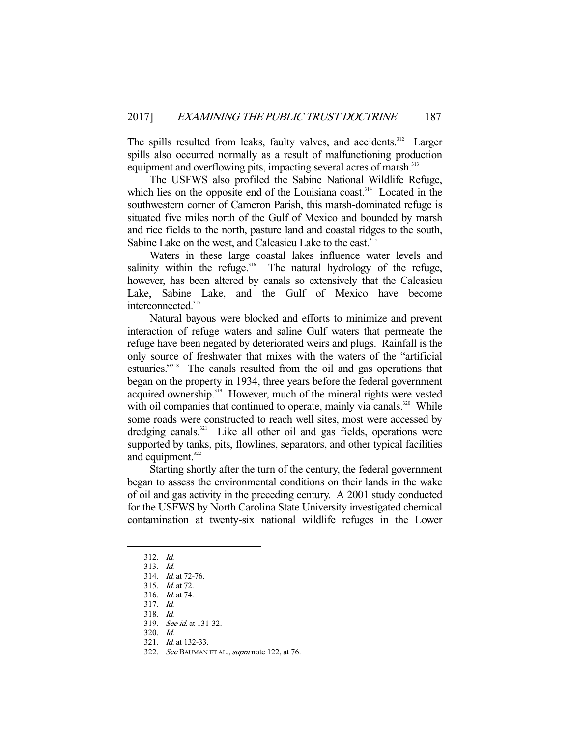The spills resulted from leaks, faulty valves, and accidents.<sup>312</sup> Larger spills also occurred normally as a result of malfunctioning production equipment and overflowing pits, impacting several acres of marsh.<sup>313</sup>

 The USFWS also profiled the Sabine National Wildlife Refuge, which lies on the opposite end of the Louisiana coast.<sup>314</sup> Located in the southwestern corner of Cameron Parish, this marsh-dominated refuge is situated five miles north of the Gulf of Mexico and bounded by marsh and rice fields to the north, pasture land and coastal ridges to the south, Sabine Lake on the west, and Calcasieu Lake to the east.<sup>315</sup>

 Waters in these large coastal lakes influence water levels and salinity within the refuge.<sup>316</sup> The natural hydrology of the refuge, however, has been altered by canals so extensively that the Calcasieu Lake, Sabine Lake, and the Gulf of Mexico have become interconnected.<sup>317</sup>

 Natural bayous were blocked and efforts to minimize and prevent interaction of refuge waters and saline Gulf waters that permeate the refuge have been negated by deteriorated weirs and plugs. Rainfall is the only source of freshwater that mixes with the waters of the "artificial estuaries."318 The canals resulted from the oil and gas operations that began on the property in 1934, three years before the federal government acquired ownership.<sup>319</sup> However, much of the mineral rights were vested with oil companies that continued to operate, mainly via canals.<sup>320</sup> While some roads were constructed to reach well sites, most were accessed by dredging canals.<sup>321</sup> Like all other oil and gas fields, operations were supported by tanks, pits, flowlines, separators, and other typical facilities and equipment. $322$ 

 Starting shortly after the turn of the century, the federal government began to assess the environmental conditions on their lands in the wake of oil and gas activity in the preceding century. A 2001 study conducted for the USFWS by North Carolina State University investigated chemical contamination at twenty-six national wildlife refuges in the Lower

 <sup>312.</sup> Id.

 <sup>313.</sup> Id.

 <sup>314.</sup> Id. at 72-76.

 <sup>315.</sup> Id. at 72.

 <sup>316.</sup> Id. at 74.

 <sup>317.</sup> Id.

 <sup>318.</sup> Id.

 <sup>319.</sup> See id. at 131-32.

 <sup>320.</sup> Id.

 <sup>321.</sup> Id. at 132-33.

<sup>322.</sup> See BAUMAN ET AL., supra note 122, at 76.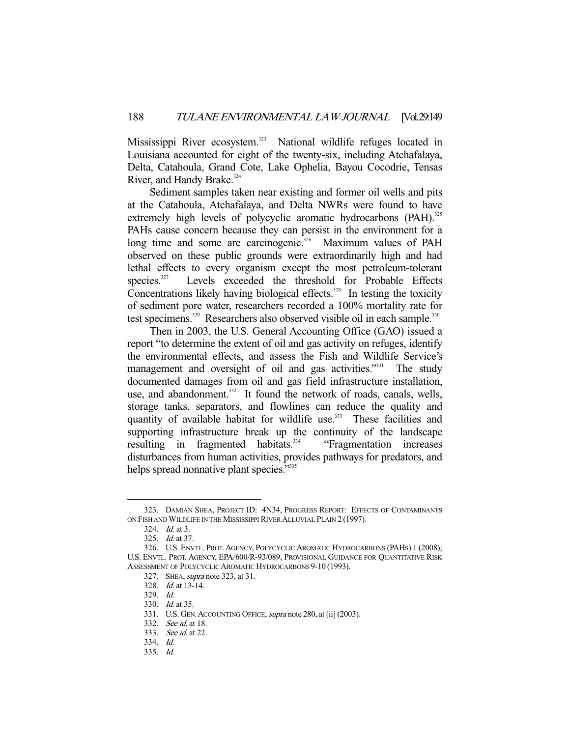Mississippi River ecosystem.<sup>323</sup> National wildlife refuges located in Louisiana accounted for eight of the twenty-six, including Atchafalaya, Delta, Catahoula, Grand Cote, Lake Ophelia, Bayou Cocodrie, Tensas River, and Handy Brake.<sup>324</sup>

 Sediment samples taken near existing and former oil wells and pits at the Catahoula, Atchafalaya, and Delta NWRs were found to have extremely high levels of polycyclic aromatic hydrocarbons (PAH).<sup>325</sup> PAHs cause concern because they can persist in the environment for a long time and some are carcinogenic.<sup>326</sup> Maximum values of PAH observed on these public grounds were extraordinarily high and had lethal effects to every organism except the most petroleum-tolerant species.<sup>327</sup> Levels exceeded the threshold for Probable Effects Concentrations likely having biological effects.<sup>328</sup> In testing the toxicity of sediment pore water, researchers recorded a 100% mortality rate for test specimens.<sup>329</sup> Researchers also observed visible oil in each sample.<sup>330</sup>

 Then in 2003, the U.S. General Accounting Office (GAO) issued a report "to determine the extent of oil and gas activity on refuges, identify the environmental effects, and assess the Fish and Wildlife Service's management and oversight of oil and gas activities."<sup>331</sup> The study documented damages from oil and gas field infrastructure installation, use, and abandonment.<sup>332</sup> It found the network of roads, canals, wells, storage tanks, separators, and flowlines can reduce the quality and quantity of available habitat for wildlife use.<sup>333</sup> These facilities and supporting infrastructure break up the continuity of the landscape resulting in fragmented habitats.<sup>334</sup> "Fragmentation increases disturbances from human activities, provides pathways for predators, and helps spread nonnative plant species."<sup>335</sup>

 <sup>323.</sup> DAMIAN SHEA, PROJECT ID: 4N34, PROGRESS REPORT: EFFECTS OF CONTAMINANTS ON FISH AND WILDLIFE IN THE MISSISSIPPI RIVER ALLUVIAL PLAIN 2 (1997).

 <sup>324.</sup> Id. at 3.

 <sup>325.</sup> Id. at 37.

 <sup>326.</sup> U.S. ENVTL. PROT.AGENCY, POLYCYCLIC AROMATIC HYDROCARBONS (PAHS) 1 (2008); U.S. ENVTL. PROT. AGENCY, EPA/600/R-93/089, PROVISIONAL GUIDANCE FOR QUANTITATIVE RISK ASSESSMENT OF POLYCYCLIC AROMATIC HYDROCARBONS 9-10 (1993).

<sup>327.</sup> SHEA, *supra* note 323, at 31.

 <sup>328.</sup> Id. at 13-14.

 <sup>329.</sup> Id.

 <sup>330.</sup> Id. at 35.

<sup>331.</sup> U.S. GEN. ACCOUNTING OFFICE, supra note 280, at [ii] (2003).

 <sup>332.</sup> See id. at 18.

 <sup>333.</sup> See id. at 22.

 <sup>334.</sup> Id.

 <sup>335.</sup> Id.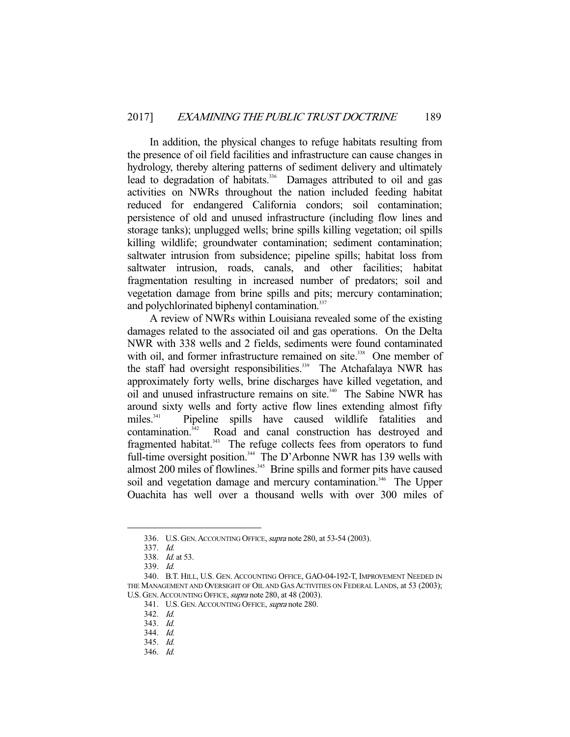In addition, the physical changes to refuge habitats resulting from the presence of oil field facilities and infrastructure can cause changes in hydrology, thereby altering patterns of sediment delivery and ultimately lead to degradation of habitats.<sup>336</sup> Damages attributed to oil and gas activities on NWRs throughout the nation included feeding habitat reduced for endangered California condors; soil contamination; persistence of old and unused infrastructure (including flow lines and storage tanks); unplugged wells; brine spills killing vegetation; oil spills killing wildlife; groundwater contamination; sediment contamination; saltwater intrusion from subsidence; pipeline spills; habitat loss from saltwater intrusion, roads, canals, and other facilities; habitat fragmentation resulting in increased number of predators; soil and vegetation damage from brine spills and pits; mercury contamination; and polychlorinated biphenyl contamination.<sup>337</sup>

 A review of NWRs within Louisiana revealed some of the existing damages related to the associated oil and gas operations. On the Delta NWR with 338 wells and 2 fields, sediments were found contaminated with oil, and former infrastructure remained on site.<sup>338</sup> One member of the staff had oversight responsibilities.<sup>339</sup> The Atchafalaya NWR has approximately forty wells, brine discharges have killed vegetation, and oil and unused infrastructure remains on site.<sup>340</sup> The Sabine NWR has around sixty wells and forty active flow lines extending almost fifty miles.341 Pipeline spills have caused wildlife fatalities and contamination.342 Road and canal construction has destroyed and fragmented habitat.<sup>343</sup> The refuge collects fees from operators to fund full-time oversight position.<sup>344</sup> The D'Arbonne NWR has 139 wells with almost 200 miles of flowlines.<sup>345</sup> Brine spills and former pits have caused soil and vegetation damage and mercury contamination.<sup>346</sup> The Upper Ouachita has well over a thousand wells with over 300 miles of

<sup>336.</sup> U.S. GEN. ACCOUNTING OFFICE, *supra* note 280, at 53-54 (2003).

 <sup>337.</sup> Id.

<sup>338.</sup> *Id.* at 53.

 <sup>339.</sup> Id.

 <sup>340.</sup> B.T. HILL, U.S. GEN. ACCOUNTING OFFICE, GAO-04-192-T, IMPROVEMENT NEEDED IN THE MANAGEMENT AND OVERSIGHT OF OIL AND GAS ACTIVITIES ON FEDERAL LANDS, at 53 (2003); U.S. GEN. ACCOUNTING OFFICE, supra note 280, at 48 (2003).

<sup>341.</sup> U.S. GEN. ACCOUNTING OFFICE, supra note 280.

 <sup>342.</sup> Id.

 <sup>343.</sup> Id.

 <sup>344.</sup> Id.

 <sup>345.</sup> Id.

 <sup>346.</sup> Id.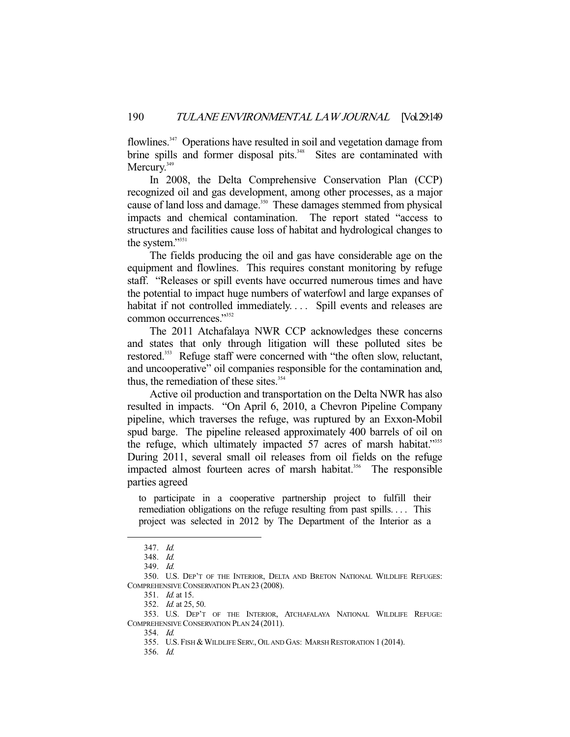flowlines.<sup>347</sup> Operations have resulted in soil and vegetation damage from brine spills and former disposal pits.<sup>348</sup> Sites are contaminated with Mercury.<sup>349</sup>

 In 2008, the Delta Comprehensive Conservation Plan (CCP) recognized oil and gas development, among other processes, as a major cause of land loss and damage.<sup>350</sup> These damages stemmed from physical impacts and chemical contamination. The report stated "access to structures and facilities cause loss of habitat and hydrological changes to the system."<sup>351</sup>

 The fields producing the oil and gas have considerable age on the equipment and flowlines. This requires constant monitoring by refuge staff. "Releases or spill events have occurred numerous times and have the potential to impact huge numbers of waterfowl and large expanses of habitat if not controlled immediately.... Spill events and releases are common occurrences."<sup>352</sup>

 The 2011 Atchafalaya NWR CCP acknowledges these concerns and states that only through litigation will these polluted sites be restored.<sup>353</sup> Refuge staff were concerned with "the often slow, reluctant, and uncooperative" oil companies responsible for the contamination and, thus, the remediation of these sites.<sup>354</sup>

 Active oil production and transportation on the Delta NWR has also resulted in impacts. "On April 6, 2010, a Chevron Pipeline Company pipeline, which traverses the refuge, was ruptured by an Exxon-Mobil spud barge. The pipeline released approximately 400 barrels of oil on the refuge, which ultimately impacted 57 acres of marsh habitat."<sup>355</sup> During 2011, several small oil releases from oil fields on the refuge impacted almost fourteen acres of marsh habitat.<sup>356</sup> The responsible parties agreed

to participate in a cooperative partnership project to fulfill their remediation obligations on the refuge resulting from past spills.... This project was selected in 2012 by The Department of the Interior as a

-

356. Id.

 <sup>347.</sup> Id.

 <sup>348.</sup> Id.

 <sup>349.</sup> Id.

 <sup>350.</sup> U.S. DEP'T OF THE INTERIOR, DELTA AND BRETON NATIONAL WILDLIFE REFUGES: COMPREHENSIVE CONSERVATION PLAN 23 (2008).

 <sup>351.</sup> Id. at 15.

<sup>352.</sup> *Id.* at 25, 50.

 <sup>353.</sup> U.S. DEP'T OF THE INTERIOR, ATCHAFALAYA NATIONAL WILDLIFE REFUGE: COMPREHENSIVE CONSERVATION PLAN 24 (2011).

 <sup>354.</sup> Id.

<sup>355.</sup> U.S. FISH & WILDLIFE SERV., OIL AND GAS: MARSH RESTORATION 1 (2014).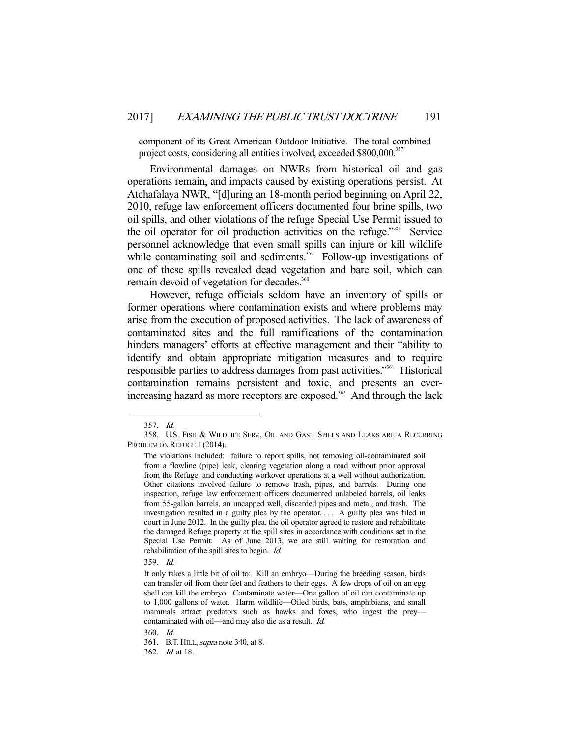component of its Great American Outdoor Initiative. The total combined project costs, considering all entities involved, exceeded \$800,000.<sup>357</sup>

 Environmental damages on NWRs from historical oil and gas operations remain, and impacts caused by existing operations persist. At Atchafalaya NWR, "[d]uring an 18-month period beginning on April 22, 2010, refuge law enforcement officers documented four brine spills, two oil spills, and other violations of the refuge Special Use Permit issued to the oil operator for oil production activities on the refuge."358 Service personnel acknowledge that even small spills can injure or kill wildlife while contaminating soil and sediments.<sup>359</sup> Follow-up investigations of one of these spills revealed dead vegetation and bare soil, which can remain devoid of vegetation for decades.<sup>360</sup>

 However, refuge officials seldom have an inventory of spills or former operations where contamination exists and where problems may arise from the execution of proposed activities. The lack of awareness of contaminated sites and the full ramifications of the contamination hinders managers' efforts at effective management and their "ability to identify and obtain appropriate mitigation measures and to require responsible parties to address damages from past activities."361 Historical contamination remains persistent and toxic, and presents an everincreasing hazard as more receptors are exposed.<sup>362</sup> And through the lack

-

359. Id.

 <sup>357.</sup> Id.

 <sup>358.</sup> U.S. FISH & WILDLIFE SERV., OIL AND GAS: SPILLS AND LEAKS ARE A RECURRING PROBLEM ON REFUGE 1 (2014).

The violations included: failure to report spills, not removing oil-contaminated soil from a flowline (pipe) leak, clearing vegetation along a road without prior approval from the Refuge, and conducting workover operations at a well without authorization. Other citations involved failure to remove trash, pipes, and barrels. During one inspection, refuge law enforcement officers documented unlabeled barrels, oil leaks from 55-gallon barrels, an uncapped well, discarded pipes and metal, and trash. The investigation resulted in a guilty plea by the operator. . . . A guilty plea was filed in court in June 2012. In the guilty plea, the oil operator agreed to restore and rehabilitate the damaged Refuge property at the spill sites in accordance with conditions set in the Special Use Permit. As of June 2013, we are still waiting for restoration and rehabilitation of the spill sites to begin. Id.

It only takes a little bit of oil to: Kill an embryo—During the breeding season, birds can transfer oil from their feet and feathers to their eggs. A few drops of oil on an egg shell can kill the embryo. Contaminate water—One gallon of oil can contaminate up to 1,000 gallons of water. Harm wildlife—Oiled birds, bats, amphibians, and small mammals attract predators such as hawks and foxes, who ingest the prey contaminated with oil—and may also die as a result. Id.

 <sup>360.</sup> Id.

<sup>361.</sup> B.T. HILL, *supra* note 340, at 8.

 <sup>362.</sup> Id. at 18.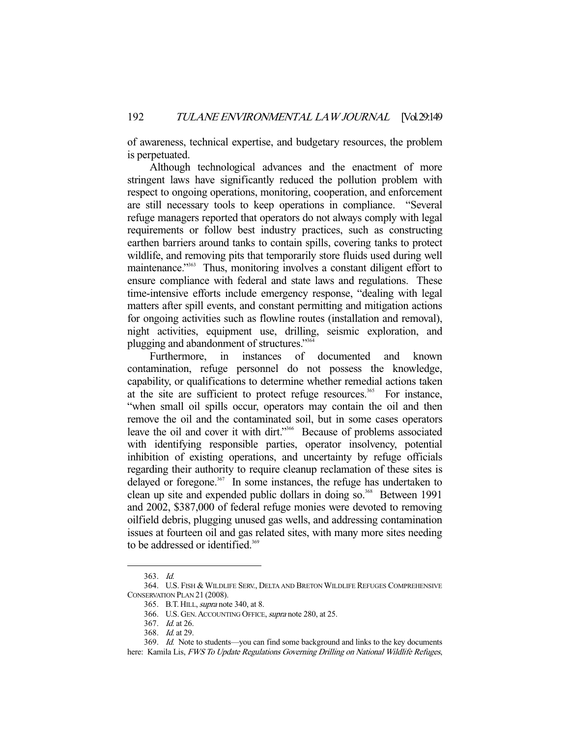of awareness, technical expertise, and budgetary resources, the problem is perpetuated.

 Although technological advances and the enactment of more stringent laws have significantly reduced the pollution problem with respect to ongoing operations, monitoring, cooperation, and enforcement are still necessary tools to keep operations in compliance. "Several refuge managers reported that operators do not always comply with legal requirements or follow best industry practices, such as constructing earthen barriers around tanks to contain spills, covering tanks to protect wildlife, and removing pits that temporarily store fluids used during well maintenance."363 Thus, monitoring involves a constant diligent effort to ensure compliance with federal and state laws and regulations. These time-intensive efforts include emergency response, "dealing with legal matters after spill events, and constant permitting and mitigation actions for ongoing activities such as flowline routes (installation and removal), night activities, equipment use, drilling, seismic exploration, and plugging and abandonment of structures."364

 Furthermore, in instances of documented and known contamination, refuge personnel do not possess the knowledge, capability, or qualifications to determine whether remedial actions taken at the site are sufficient to protect refuge resources.<sup>365</sup> For instance, "when small oil spills occur, operators may contain the oil and then remove the oil and the contaminated soil, but in some cases operators leave the oil and cover it with dirt."366 Because of problems associated with identifying responsible parties, operator insolvency, potential inhibition of existing operations, and uncertainty by refuge officials regarding their authority to require cleanup reclamation of these sites is delayed or foregone.<sup>367</sup> In some instances, the refuge has undertaken to clean up site and expended public dollars in doing so.<sup>368</sup> Between 1991 and 2002, \$387,000 of federal refuge monies were devoted to removing oilfield debris, plugging unused gas wells, and addressing contamination issues at fourteen oil and gas related sites, with many more sites needing to be addressed or identified.<sup>369</sup>

 <sup>363.</sup> Id.

 <sup>364.</sup> U.S. FISH & WILDLIFE SERV., DELTA AND BRETON WILDLIFE REFUGES COMPREHENSIVE CONSERVATION PLAN 21 (2008).

<sup>365.</sup> B.T. HILL, *supra* note 340, at 8.

<sup>366.</sup> U.S. GEN. ACCOUNTING OFFICE, supra note 280, at 25.

 <sup>367.</sup> Id. at 26.

 <sup>368.</sup> Id. at 29.

 <sup>369.</sup> Id. Note to students—you can find some background and links to the key documents

here: Kamila Lis, FWS To Update Regulations Governing Drilling on National Wildlife Refuges,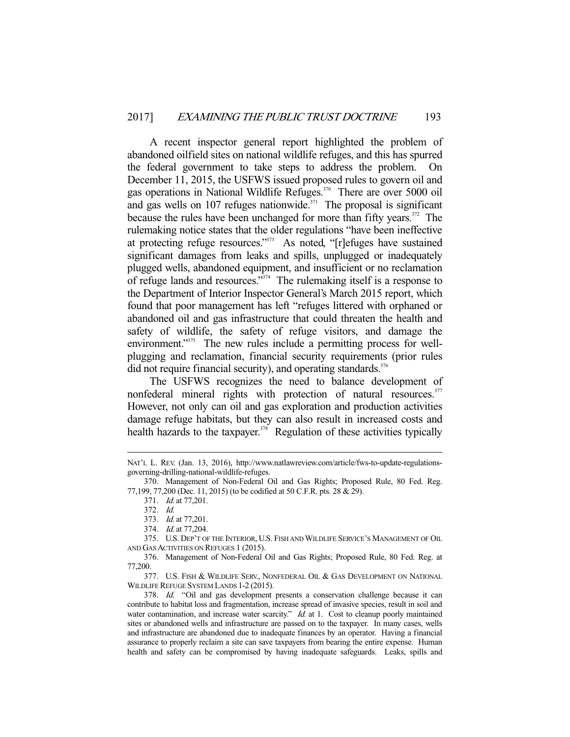A recent inspector general report highlighted the problem of abandoned oilfield sites on national wildlife refuges, and this has spurred the federal government to take steps to address the problem. On December 11, 2015, the USFWS issued proposed rules to govern oil and gas operations in National Wildlife Refuges.<sup>370</sup> There are over 5000 oil and gas wells on 107 refuges nationwide.<sup> $371$ </sup> The proposal is significant because the rules have been unchanged for more than fifty years.<sup>372</sup> The rulemaking notice states that the older regulations "have been ineffective at protecting refuge resources."373 As noted, "[r]efuges have sustained significant damages from leaks and spills, unplugged or inadequately plugged wells, abandoned equipment, and insufficient or no reclamation of refuge lands and resources."374 The rulemaking itself is a response to the Department of Interior Inspector General's March 2015 report, which found that poor management has left "refuges littered with orphaned or abandoned oil and gas infrastructure that could threaten the health and safety of wildlife, the safety of refuge visitors, and damage the environment."<sup>375</sup> The new rules include a permitting process for wellplugging and reclamation, financial security requirements (prior rules did not require financial security), and operating standards.<sup>376</sup>

 The USFWS recognizes the need to balance development of nonfederal mineral rights with protection of natural resources.<sup>377</sup> However, not only can oil and gas exploration and production activities damage refuge habitats, but they can also result in increased costs and health hazards to the taxpayer.<sup> $378$ </sup> Regulation of these activities typically

-

 377. U.S. FISH & WILDLIFE SERV., NONFEDERAL OIL & GAS DEVELOPMENT ON NATIONAL WILDLIFE REFUGE SYSTEM LANDS 1-2 (2015).

 378. Id. "Oil and gas development presents a conservation challenge because it can contribute to habitat loss and fragmentation, increase spread of invasive species, result in soil and water contamination, and increase water scarcity." Id. at 1. Cost to cleanup poorly maintained sites or abandoned wells and infrastructure are passed on to the taxpayer. In many cases, wells and infrastructure are abandoned due to inadequate finances by an operator. Having a financial assurance to properly reclaim a site can save taxpayers from bearing the entire expense. Human health and safety can be compromised by having inadequate safeguards. Leaks, spills and

NAT'L L. REV. (Jan. 13, 2016), http://www.natlawreview.com/article/fws-to-update-regulationsgoverning-drilling-national-wildlife-refuges.

 <sup>370.</sup> Management of Non-Federal Oil and Gas Rights; Proposed Rule, 80 Fed. Reg. 77,199, 77,200 (Dec. 11, 2015) (to be codified at 50 C.F.R. pts. 28 & 29).

 <sup>371.</sup> Id. at 77,201.

 <sup>372.</sup> Id.

 <sup>373.</sup> Id. at 77,201.

 <sup>374.</sup> Id. at 77,204.

 <sup>375.</sup> U.S. DEP'T OF THE INTERIOR, U.S. FISH AND WILDLIFE SERVICE'S MANAGEMENT OF OIL AND GAS ACTIVITIES ON REFUGES 1 (2015).

 <sup>376.</sup> Management of Non-Federal Oil and Gas Rights; Proposed Rule, 80 Fed. Reg. at 77,200.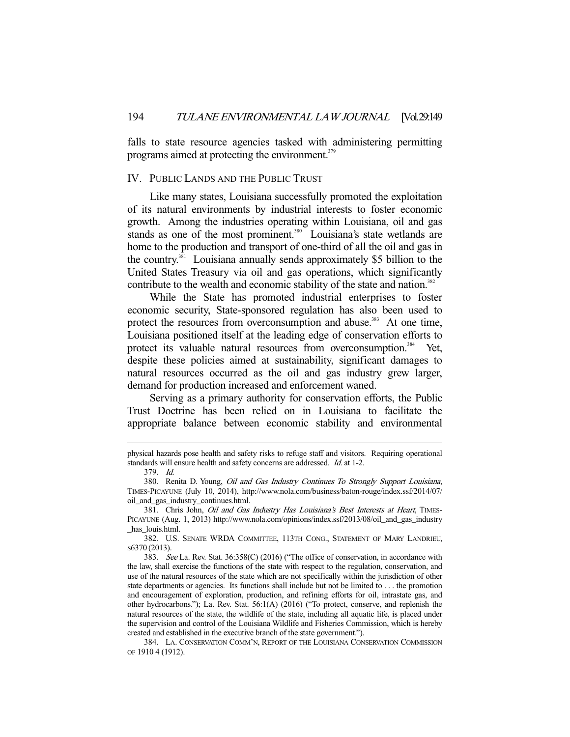falls to state resource agencies tasked with administering permitting programs aimed at protecting the environment.<sup>379</sup>

## IV. PUBLIC LANDS AND THE PUBLIC TRUST

 Like many states, Louisiana successfully promoted the exploitation of its natural environments by industrial interests to foster economic growth. Among the industries operating within Louisiana, oil and gas stands as one of the most prominent.<sup>380</sup> Louisiana's state wetlands are home to the production and transport of one-third of all the oil and gas in the country.381 Louisiana annually sends approximately \$5 billion to the United States Treasury via oil and gas operations, which significantly contribute to the wealth and economic stability of the state and nation.<sup>382</sup>

 While the State has promoted industrial enterprises to foster economic security, State-sponsored regulation has also been used to protect the resources from overconsumption and abuse.<sup>383</sup> At one time, Louisiana positioned itself at the leading edge of conservation efforts to protect its valuable natural resources from overconsumption.<sup>384</sup> Yet, despite these policies aimed at sustainability, significant damages to natural resources occurred as the oil and gas industry grew larger, demand for production increased and enforcement waned.

 Serving as a primary authority for conservation efforts, the Public Trust Doctrine has been relied on in Louisiana to facilitate the appropriate balance between economic stability and environmental

physical hazards pose health and safety risks to refuge staff and visitors. Requiring operational standards will ensure health and safety concerns are addressed. Id. at 1-2.

 <sup>379.</sup> Id.

 <sup>380.</sup> Renita D. Young, Oil and Gas Industry Continues To Strongly Support Louisiana, TIMES-PICAYUNE (July 10, 2014), http://www.nola.com/business/baton-rouge/index.ssf/2014/07/ oil\_and\_gas\_industry\_continues.html.

<sup>381.</sup> Chris John, Oil and Gas Industry Has Louisiana's Best Interests at Heart, TIMES-PICAYUNE (Aug. 1, 2013) http://www.nola.com/opinions/index.ssf/2013/08/oil\_and\_gas\_industry \_has\_louis.html.

 <sup>382.</sup> U.S. SENATE WRDA COMMITTEE, 113TH CONG., STATEMENT OF MARY LANDRIEU, S6370 (2013).

 <sup>383.</sup> See La. Rev. Stat. 36:358(C) (2016) ("The office of conservation, in accordance with the law, shall exercise the functions of the state with respect to the regulation, conservation, and use of the natural resources of the state which are not specifically within the jurisdiction of other state departments or agencies. Its functions shall include but not be limited to . . . the promotion and encouragement of exploration, production, and refining efforts for oil, intrastate gas, and other hydrocarbons."); La. Rev. Stat. 56:1(A) (2016) ("To protect, conserve, and replenish the natural resources of the state, the wildlife of the state, including all aquatic life, is placed under the supervision and control of the Louisiana Wildlife and Fisheries Commission, which is hereby created and established in the executive branch of the state government.").

 <sup>384.</sup> LA. CONSERVATION COMM'N, REPORT OF THE LOUISIANA CONSERVATION COMMISSION OF 1910 4 (1912).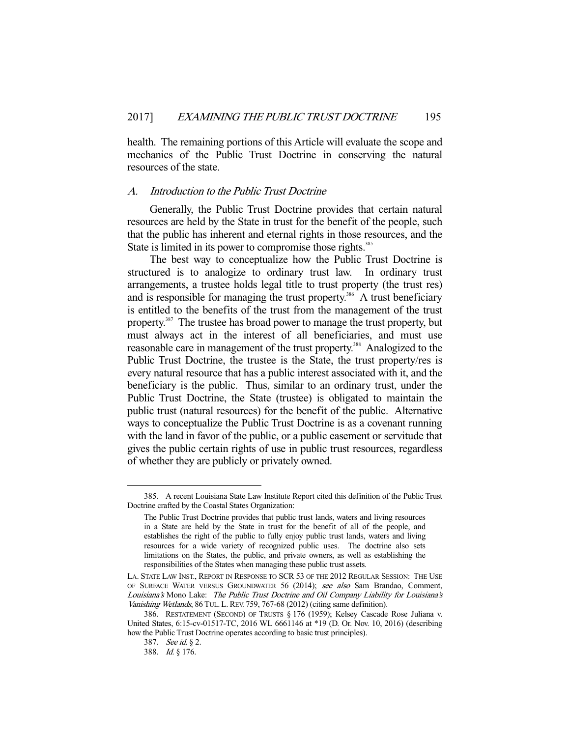health. The remaining portions of this Article will evaluate the scope and mechanics of the Public Trust Doctrine in conserving the natural resources of the state.

### A. Introduction to the Public Trust Doctrine

 Generally, the Public Trust Doctrine provides that certain natural resources are held by the State in trust for the benefit of the people, such that the public has inherent and eternal rights in those resources, and the State is limited in its power to compromise those rights.<sup>385</sup>

 The best way to conceptualize how the Public Trust Doctrine is structured is to analogize to ordinary trust law. In ordinary trust arrangements, a trustee holds legal title to trust property (the trust res) and is responsible for managing the trust property.<sup>386</sup> A trust beneficiary is entitled to the benefits of the trust from the management of the trust property.<sup>387</sup> The trustee has broad power to manage the trust property, but must always act in the interest of all beneficiaries, and must use reasonable care in management of the trust property.<sup>388</sup> Analogized to the Public Trust Doctrine, the trustee is the State, the trust property/res is every natural resource that has a public interest associated with it, and the beneficiary is the public. Thus, similar to an ordinary trust, under the Public Trust Doctrine, the State (trustee) is obligated to maintain the public trust (natural resources) for the benefit of the public. Alternative ways to conceptualize the Public Trust Doctrine is as a covenant running with the land in favor of the public, or a public easement or servitude that gives the public certain rights of use in public trust resources, regardless of whether they are publicly or privately owned.

 <sup>385.</sup> A recent Louisiana State Law Institute Report cited this definition of the Public Trust Doctrine crafted by the Coastal States Organization:

The Public Trust Doctrine provides that public trust lands, waters and living resources in a State are held by the State in trust for the benefit of all of the people, and establishes the right of the public to fully enjoy public trust lands, waters and living resources for a wide variety of recognized public uses. The doctrine also sets limitations on the States, the public, and private owners, as well as establishing the responsibilities of the States when managing these public trust assets.

LA. STATE LAW INST., REPORT IN RESPONSE TO SCR 53 OF THE 2012 REGULAR SESSION: THE USE OF SURFACE WATER VERSUS GROUNDWATER 56 (2014); see also Sam Brandao, Comment, Louisiana's Mono Lake: The Public Trust Doctrine and Oil Company Liability for Louisiana's Vanishing Wetlands, 86 TUL. L. REV. 759, 767-68 (2012) (citing same definition).

 <sup>386.</sup> RESTATEMENT (SECOND) OF TRUSTS § 176 (1959); Kelsey Cascade Rose Juliana v. United States, 6:15-cv-01517-TC, 2016 WL 6661146 at \*19 (D. Or. Nov. 10, 2016) (describing how the Public Trust Doctrine operates according to basic trust principles).

 <sup>387.</sup> See id. § 2.

 <sup>388.</sup> Id. § 176.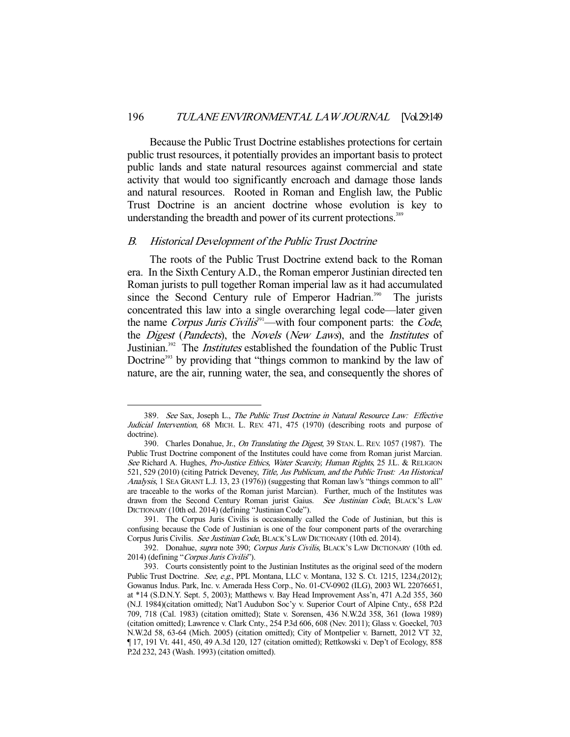Because the Public Trust Doctrine establishes protections for certain public trust resources, it potentially provides an important basis to protect public lands and state natural resources against commercial and state activity that would too significantly encroach and damage those lands and natural resources. Rooted in Roman and English law, the Public Trust Doctrine is an ancient doctrine whose evolution is key to understanding the breadth and power of its current protections.<sup>389</sup>

#### B. Historical Development of the Public Trust Doctrine

-

 The roots of the Public Trust Doctrine extend back to the Roman era. In the Sixth Century A.D., the Roman emperor Justinian directed ten Roman jurists to pull together Roman imperial law as it had accumulated since the Second Century rule of Emperor Hadrian.<sup>390</sup> The jurists concentrated this law into a single overarching legal code—later given the name Corpus Juris Civilis<sup>391</sup>—with four component parts: the Code, the *Digest (Pandects)*, the *Novels (New Laws)*, and the *Institutes* of Justinian.<sup>392</sup> The *Institutes* established the foundation of the Public Trust Doctrine<sup>393</sup> by providing that "things common to mankind by the law of nature, are the air, running water, the sea, and consequently the shores of

<sup>389.</sup> See Sax, Joseph L., The Public Trust Doctrine in Natural Resource Law: Effective Judicial Intervention, 68 MICH. L. REV. 471, 475 (1970) (describing roots and purpose of doctrine).

 <sup>390.</sup> Charles Donahue, Jr., On Translating the Digest, 39 STAN. L. REV. 1057 (1987). The Public Trust Doctrine component of the Institutes could have come from Roman jurist Marcian. See Richard A. Hughes, Pro-Justice Ethics, Water Scarcity, Human Rights, 25 J.L. & RELIGION 521, 529 (2010) (citing Patrick Deveney, Title, Jus Publicum, and the Public Trust: An Historical Analysis, 1 SEA GRANT L.J. 13, 23 (1976)) (suggesting that Roman law's "things common to all" are traceable to the works of the Roman jurist Marcian). Further, much of the Institutes was drawn from the Second Century Roman jurist Gaius. See Justinian Code, BLACK'S LAW DICTIONARY (10th ed. 2014) (defining "Justinian Code").

 <sup>391.</sup> The Corpus Juris Civilis is occasionally called the Code of Justinian, but this is confusing because the Code of Justinian is one of the four component parts of the overarching Corpus Juris Civilis. See Justinian Code, BLACK'S LAW DICTIONARY (10th ed. 2014).

<sup>392.</sup> Donahue, *supra* note 390; Corpus Juris Civilis, BLACK'S LAW DICTIONARY (10th ed. 2014) (defining "Corpus Juris Civilis").

 <sup>393.</sup> Courts consistently point to the Justinian Institutes as the original seed of the modern Public Trust Doctrine. See, e.g., PPL Montana, LLC v. Montana, 132 S. Ct. 1215, 1234,(2012); Gowanus Indus. Park, Inc. v. Amerada Hess Corp., No. 01-CV-0902 (ILG), 2003 WL 22076651, at \*14 (S.D.N.Y. Sept. 5, 2003); Matthews v. Bay Head Improvement Ass'n, 471 A.2d 355, 360 (N.J. 1984)(citation omitted); Nat'l Audubon Soc'y v. Superior Court of Alpine Cnty., 658 P.2d 709, 718 (Cal. 1983) (citation omitted); State v. Sorensen, 436 N.W.2d 358, 361 (Iowa 1989) (citation omitted); Lawrence v. Clark Cnty., 254 P.3d 606, 608 (Nev. 2011); Glass v. Goeckel, 703 N.W.2d 58, 63-64 (Mich. 2005) (citation omitted); City of Montpelier v. Barnett, 2012 VT 32, ¶ 17, 191 Vt. 441, 450, 49 A.3d 120, 127 (citation omitted); Rettkowski v. Dep't of Ecology, 858 P.2d 232, 243 (Wash. 1993) (citation omitted).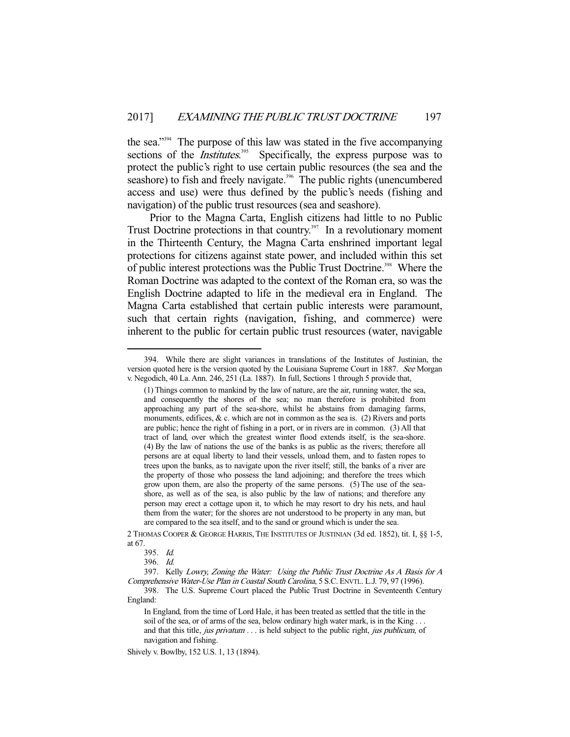the sea."394 The purpose of this law was stated in the five accompanying sections of the *Institutes*.<sup>395</sup> Specifically, the express purpose was to protect the public's right to use certain public resources (the sea and the seashore) to fish and freely navigate.<sup>396</sup> The public rights (unencumbered access and use) were thus defined by the public's needs (fishing and navigation) of the public trust resources (sea and seashore).

 Prior to the Magna Carta, English citizens had little to no Public Trust Doctrine protections in that country. $397$  In a revolutionary moment in the Thirteenth Century, the Magna Carta enshrined important legal protections for citizens against state power, and included within this set of public interest protections was the Public Trust Doctrine.398 Where the Roman Doctrine was adapted to the context of the Roman era, so was the English Doctrine adapted to life in the medieval era in England. The Magna Carta established that certain public interests were paramount, such that certain rights (navigation, fishing, and commerce) were inherent to the public for certain public trust resources (water, navigable

 <sup>394.</sup> While there are slight variances in translations of the Institutes of Justinian, the version quoted here is the version quoted by the Louisiana Supreme Court in 1887. See Morgan v. Negodich, 40 La. Ann. 246, 251 (La. 1887). In full, Sections 1 through 5 provide that,

<sup>(1)</sup> Things common to mankind by the law of nature, are the air, running water, the sea, and consequently the shores of the sea; no man therefore is prohibited from approaching any part of the sea-shore, whilst he abstains from damaging farms, monuments, edifices,  $&c.$  which are not in common as the sea is. (2) Rivers and ports are public; hence the right of fishing in a port, or in rivers are in common. (3) All that tract of land, over which the greatest winter flood extends itself, is the sea-shore. (4) By the law of nations the use of the banks is as public as the rivers; therefore all persons are at equal liberty to land their vessels, unload them, and to fasten ropes to trees upon the banks, as to navigate upon the river itself; still, the banks of a river are the property of those who possess the land adjoining; and therefore the trees which grow upon them, are also the property of the same persons. (5) The use of the seashore, as well as of the sea, is also public by the law of nations; and therefore any person may erect a cottage upon it, to which he may resort to dry his nets, and haul them from the water; for the shores are not understood to be property in any man, but are compared to the sea itself, and to the sand or ground which is under the sea.

<sup>2</sup> THOMAS COOPER & GEORGE HARRIS, THE INSTITUTES OF JUSTINIAN (3d ed. 1852), tit. I, §§ 1-5, at 67.

 <sup>395.</sup> Id.

 <sup>396.</sup> Id.

 <sup>397.</sup> Kelly Lowry, Zoning the Water: Using the Public Trust Doctrine As A Basis for A Comprehensive Water-Use Plan in Coastal South Carolina, 5 S.C. ENVTL. L.J. 79, 97 (1996).

 <sup>398.</sup> The U.S. Supreme Court placed the Public Trust Doctrine in Seventeenth Century England:

In England, from the time of Lord Hale, it has been treated as settled that the title in the soil of the sea, or of arms of the sea, below ordinary high water mark, is in the King . . . and that this title, jus privatum . . . is held subject to the public right, jus publicum, of navigation and fishing.

Shively v. Bowlby, 152 U.S. 1, 13 (1894).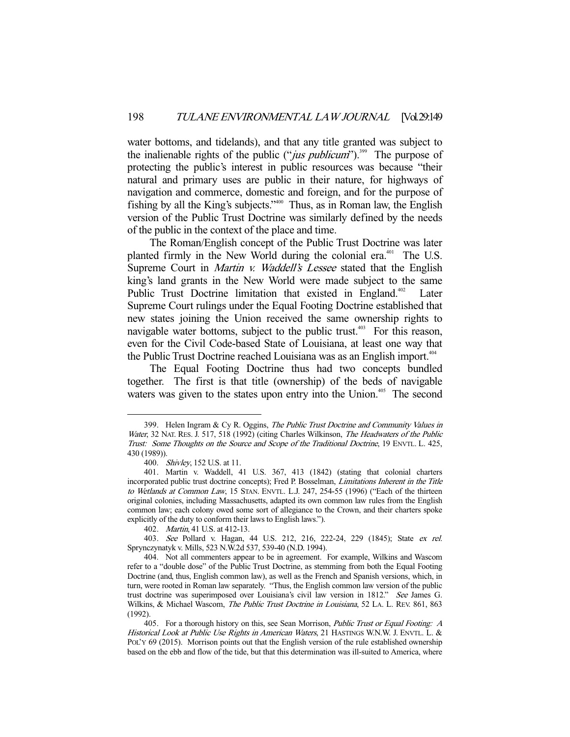water bottoms, and tidelands), and that any title granted was subject to the inalienable rights of the public ("*jus publicum*").<sup>399</sup> The purpose of protecting the public's interest in public resources was because "their natural and primary uses are public in their nature, for highways of navigation and commerce, domestic and foreign, and for the purpose of fishing by all the King's subjects."400 Thus, as in Roman law, the English version of the Public Trust Doctrine was similarly defined by the needs of the public in the context of the place and time.

 The Roman/English concept of the Public Trust Doctrine was later planted firmly in the New World during the colonial era.<sup>401</sup> The U.S. Supreme Court in *Martin v. Waddell's Lessee* stated that the English king's land grants in the New World were made subject to the same Public Trust Doctrine limitation that existed in England.<sup>402</sup> Later Supreme Court rulings under the Equal Footing Doctrine established that new states joining the Union received the same ownership rights to navigable water bottoms, subject to the public trust.<sup>403</sup> For this reason, even for the Civil Code-based State of Louisiana, at least one way that the Public Trust Doctrine reached Louisiana was as an English import.<sup>404</sup>

 The Equal Footing Doctrine thus had two concepts bundled together. The first is that title (ownership) of the beds of navigable waters was given to the states upon entry into the Union.<sup>405</sup> The second

 <sup>399.</sup> Helen Ingram & Cy R. Oggins, The Public Trust Doctrine and Community Values in Water, 32 NAT. RES. J. 517, 518 (1992) (citing Charles Wilkinson, The Headwaters of the Public Trust: Some Thoughts on the Source and Scope of the Traditional Doctrine, 19 ENVTL. L. 425, 430 (1989)).

 <sup>400.</sup> Shivley, 152 U.S. at 11.

 <sup>401.</sup> Martin v. Waddell, 41 U.S. 367, 413 (1842) (stating that colonial charters incorporated public trust doctrine concepts); Fred P. Bosselman, Limitations Inherent in the Title to Wetlands at Common Law, 15 STAN. ENVTL. L.J. 247, 254-55 (1996) ("Each of the thirteen original colonies, including Massachusetts, adapted its own common law rules from the English common law; each colony owed some sort of allegiance to the Crown, and their charters spoke explicitly of the duty to conform their laws to English laws.").

 <sup>402.</sup> Martin, 41 U.S. at 412-13.

 <sup>403.</sup> See Pollard v. Hagan, 44 U.S. 212, 216, 222-24, 229 (1845); State ex rel. Sprynczynatyk v. Mills, 523 N.W.2d 537, 539-40 (N.D. 1994).

 <sup>404.</sup> Not all commenters appear to be in agreement. For example, Wilkins and Wascom refer to a "double dose" of the Public Trust Doctrine, as stemming from both the Equal Footing Doctrine (and, thus, English common law), as well as the French and Spanish versions, which, in turn, were rooted in Roman law separately. "Thus, the English common law version of the public trust doctrine was superimposed over Louisiana's civil law version in 1812." See James G. Wilkins, & Michael Wascom, The Public Trust Doctrine in Louisiana, 52 LA. L. REV. 861, 863 (1992).

<sup>405.</sup> For a thorough history on this, see Sean Morrison, Public Trust or Equal Footing: A Historical Look at Public Use Rights in American Waters, 21 HASTINGS W.N.W. J. ENVTL. L. & POL'Y 69 (2015). Morrison points out that the English version of the rule established ownership based on the ebb and flow of the tide, but that this determination was ill-suited to America, where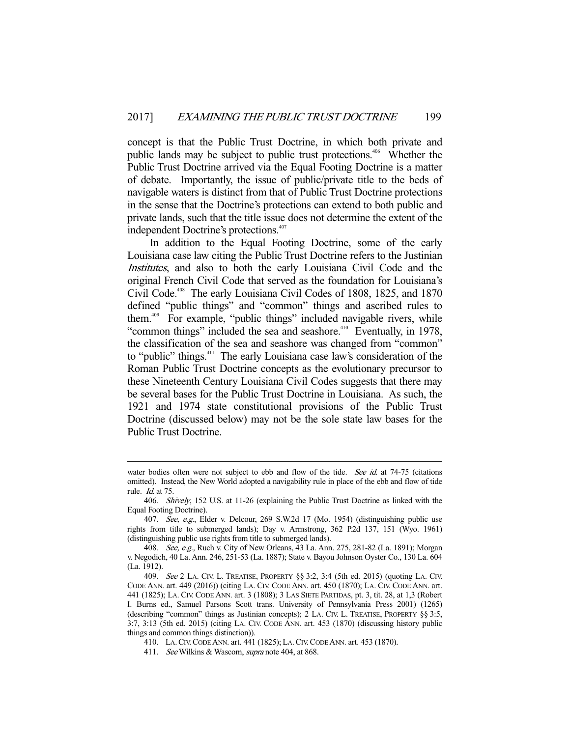concept is that the Public Trust Doctrine, in which both private and public lands may be subject to public trust protections.<sup>406</sup> Whether the Public Trust Doctrine arrived via the Equal Footing Doctrine is a matter of debate. Importantly, the issue of public/private title to the beds of navigable waters is distinct from that of Public Trust Doctrine protections in the sense that the Doctrine's protections can extend to both public and private lands, such that the title issue does not determine the extent of the independent Doctrine's protections.<sup>407</sup>

 In addition to the Equal Footing Doctrine, some of the early Louisiana case law citing the Public Trust Doctrine refers to the Justinian Institutes, and also to both the early Louisiana Civil Code and the original French Civil Code that served as the foundation for Louisiana's Civil Code.<sup>408</sup> The early Louisiana Civil Codes of 1808, 1825, and 1870 defined "public things" and "common" things and ascribed rules to them.409 For example, "public things" included navigable rivers, while "common things" included the sea and seashore.<sup>410</sup> Eventually, in 1978, the classification of the sea and seashore was changed from "common" to "public" things.<sup>411</sup> The early Louisiana case law's consideration of the Roman Public Trust Doctrine concepts as the evolutionary precursor to these Nineteenth Century Louisiana Civil Codes suggests that there may be several bases for the Public Trust Doctrine in Louisiana. As such, the 1921 and 1974 state constitutional provisions of the Public Trust Doctrine (discussed below) may not be the sole state law bases for the Public Trust Doctrine.

water bodies often were not subject to ebb and flow of the tide. See id. at 74-75 (citations omitted). Instead, the New World adopted a navigability rule in place of the ebb and flow of tide rule. Id. at 75.

 <sup>406.</sup> Shively, 152 U.S. at 11-26 (explaining the Public Trust Doctrine as linked with the Equal Footing Doctrine).

 <sup>407.</sup> See, e.g., Elder v. Delcour, 269 S.W.2d 17 (Mo. 1954) (distinguishing public use rights from title to submerged lands); Day v. Armstrong, 362 P.2d 137, 151 (Wyo. 1961) (distinguishing public use rights from title to submerged lands).

 <sup>408.</sup> See, e.g., Ruch v. City of New Orleans, 43 La. Ann. 275, 281-82 (La. 1891); Morgan v. Negodich, 40 La. Ann. 246, 251-53 (La. 1887); State v. Bayou Johnson Oyster Co., 130 La. 604 (La. 1912).

 <sup>409.</sup> See 2 LA. CIV. L. TREATISE, PROPERTY §§ 3:2, 3:4 (5th ed. 2015) (quoting LA. CIV. CODE ANN. art. 449 (2016)) (citing LA. CIV. CODE ANN. art. 450 (1870); LA. CIV. CODE ANN. art. 441 (1825); LA. CIV. CODE ANN. art. 3 (1808); 3 LAS SIETE PARTIDAS, pt. 3, tit. 28, at 1,3 (Robert I. Burns ed., Samuel Parsons Scott trans. University of Pennsylvania Press 2001) (1265) (describing "common" things as Justinian concepts); 2 LA. CIV. L. TREATISE, PROPERTY §§ 3:5, 3:7, 3:13 (5th ed. 2015) (citing LA. CIV. CODE ANN. art. 453 (1870) (discussing history public things and common things distinction)).

 <sup>410.</sup> LA.CIV.CODE ANN. art. 441 (1825); LA.CIV.CODE ANN. art. 453 (1870).

<sup>411.</sup> See Wilkins & Wascom, *supra* note 404, at 868.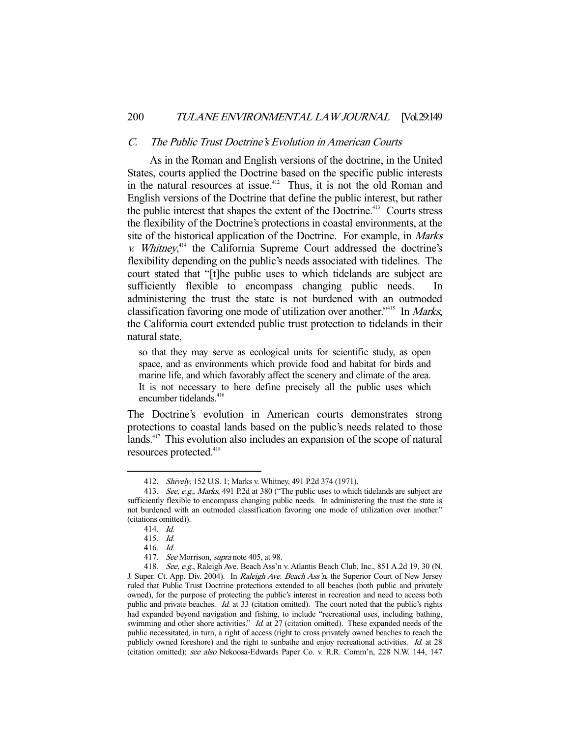### C. The Public Trust Doctrine's Evolution in American Courts

 As in the Roman and English versions of the doctrine, in the United States, courts applied the Doctrine based on the specific public interests in the natural resources at issue.<sup>412</sup> Thus, it is not the old Roman and English versions of the Doctrine that define the public interest, but rather the public interest that shapes the extent of the Doctrine.<sup>413</sup> Courts stress the flexibility of the Doctrine's protections in coastal environments, at the site of the historical application of the Doctrine. For example, in Marks  $v.$  Whitney,<sup> $414$ </sup> the California Supreme Court addressed the doctrine's flexibility depending on the public's needs associated with tidelines. The court stated that "[t]he public uses to which tidelands are subject are sufficiently flexible to encompass changing public needs. In administering the trust the state is not burdened with an outmoded classification favoring one mode of utilization over another."<sup>415</sup> In *Marks*, the California court extended public trust protection to tidelands in their natural state,

so that they may serve as ecological units for scientific study, as open space, and as environments which provide food and habitat for birds and marine life, and which favorably affect the scenery and climate of the area. It is not necessary to here define precisely all the public uses which encumber tidelands.<sup>416</sup>

The Doctrine's evolution in American courts demonstrates strong protections to coastal lands based on the public's needs related to those lands.<sup>417</sup> This evolution also includes an expansion of the scope of natural resources protected.<sup>418</sup>

 <sup>412.</sup> Shively, 152 U.S. 1; Marks v. Whitney, 491 P.2d 374 (1971).

<sup>413.</sup> See, e.g., Marks, 491 P.2d at 380 ("The public uses to which tidelands are subject are sufficiently flexible to encompass changing public needs. In administering the trust the state is not burdened with an outmoded classification favoring one mode of utilization over another." (citations omitted)).

 <sup>414.</sup> Id.

 <sup>415.</sup> Id.

 <sup>416.</sup> Id.

<sup>417.</sup> See Morrison, *supra* note 405, at 98.

<sup>418.</sup> See, e.g., Raleigh Ave. Beach Ass'n v. Atlantis Beach Club, Inc., 851 A.2d 19, 30 (N. J. Super. Ct. App. Div. 2004). In Raleigh Ave. Beach Ass'n, the Superior Court of New Jersey ruled that Public Trust Doctrine protections extended to all beaches (both public and privately owned), for the purpose of protecting the public's interest in recreation and need to access both public and private beaches. *Id.* at 33 (citation omitted). The court noted that the public's rights had expanded beyond navigation and fishing, to include "recreational uses, including bathing, swimming and other shore activities." *Id.* at 27 (citation omitted). These expanded needs of the public necessitated, in turn, a right of access (right to cross privately owned beaches to reach the publicly owned foreshore) and the right to sunbathe and enjoy recreational activities. Id. at 28 (citation omitted); see also Nekoosa-Edwards Paper Co. v. R.R. Comm'n, 228 N.W. 144, 147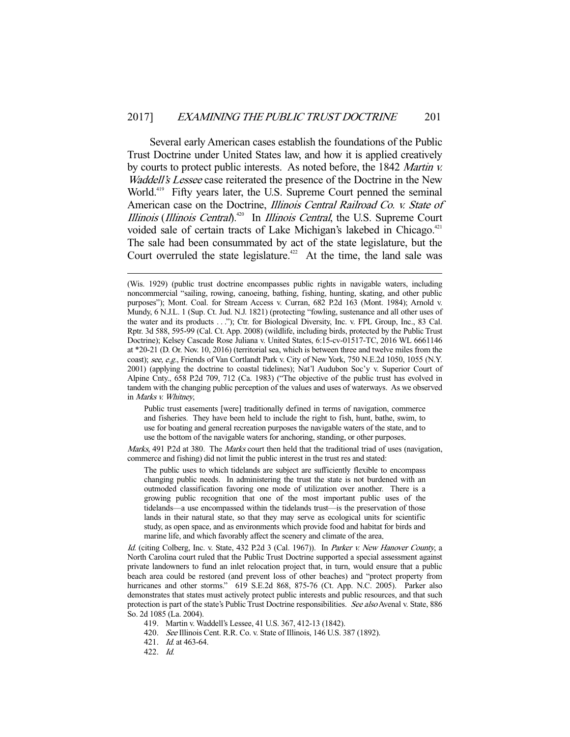Several early American cases establish the foundations of the Public Trust Doctrine under United States law, and how it is applied creatively by courts to protect public interests. As noted before, the 1842 Martin v. Waddell's Lessee case reiterated the presence of the Doctrine in the New World.<sup>419</sup> Fifty years later, the U.S. Supreme Court penned the seminal American case on the Doctrine, Illinois Central Railroad Co. v. State of Illinois (Illinois Central).<sup> $420$ </sup> In *Illinois Central*, the U.S. Supreme Court voided sale of certain tracts of Lake Michigan's lakebed in Chicago.<sup>421</sup> The sale had been consummated by act of the state legislature, but the Court overruled the state legislature.<sup>422</sup> At the time, the land sale was

Public trust easements [were] traditionally defined in terms of navigation, commerce and fisheries. They have been held to include the right to fish, hunt, bathe, swim, to use for boating and general recreation purposes the navigable waters of the state, and to use the bottom of the navigable waters for anchoring, standing, or other purposes.

Marks, 491 P.2d at 380. The *Marks* court then held that the traditional triad of uses (navigation, commerce and fishing) did not limit the public interest in the trust res and stated:

The public uses to which tidelands are subject are sufficiently flexible to encompass changing public needs. In administering the trust the state is not burdened with an outmoded classification favoring one mode of utilization over another. There is a growing public recognition that one of the most important public uses of the tidelands—a use encompassed within the tidelands trust—is the preservation of those lands in their natural state, so that they may serve as ecological units for scientific study, as open space, and as environments which provide food and habitat for birds and marine life, and which favorably affect the scenery and climate of the area.

Id. (citing Colberg, Inc. v. State, 432 P.2d 3 (Cal. 1967)). In Parker v. New Hanover County, a North Carolina court ruled that the Public Trust Doctrine supported a special assessment against private landowners to fund an inlet relocation project that, in turn, would ensure that a public beach area could be restored (and prevent loss of other beaches) and "protect property from hurricanes and other storms." 619 S.E.2d 868, 875-76 (Ct. App. N.C. 2005). Parker also demonstrates that states must actively protect public interests and public resources, and that such protection is part of the state's Public Trust Doctrine responsibilities. See also Avenal v. State, 886 So. 2d 1085 (La. 2004).

419. Martin v. Waddell's Lessee, 41 U.S. 367, 412-13 (1842).

420. See Illinois Cent. R.R. Co. v. State of Illinois, 146 U.S. 387 (1892).

421. Id. at 463-64.

422. Id.

<sup>(</sup>Wis. 1929) (public trust doctrine encompasses public rights in navigable waters, including noncommercial "sailing, rowing, canoeing, bathing, fishing, hunting, skating, and other public purposes"); Mont. Coal. for Stream Access v. Curran, 682 P.2d 163 (Mont. 1984); Arnold v. Mundy, 6 N.J.L. 1 (Sup. Ct. Jud. N.J. 1821) (protecting "fowling, sustenance and all other uses of the water and its products . . ."); Ctr. for Biological Diversity, Inc. v. FPL Group, Inc., 83 Cal. Rptr. 3d 588, 595-99 (Cal. Ct. App. 2008) (wildlife, including birds, protected by the Public Trust Doctrine); Kelsey Cascade Rose Juliana v. United States, 6:15-cv-01517-TC, 2016 WL 6661146 at \*20-21 (D. Or. Nov. 10, 2016) (territorial sea, which is between three and twelve miles from the coast); see, e.g., Friends of Van Cortlandt Park v. City of New York, 750 N.E.2d 1050, 1055 (N.Y. 2001) (applying the doctrine to coastal tidelines); Nat'l Audubon Soc'y v. Superior Court of Alpine Cnty., 658 P.2d 709, 712 (Ca. 1983) ("The objective of the public trust has evolved in tandem with the changing public perception of the values and uses of waterways. As we observed in Marks v. Whitney,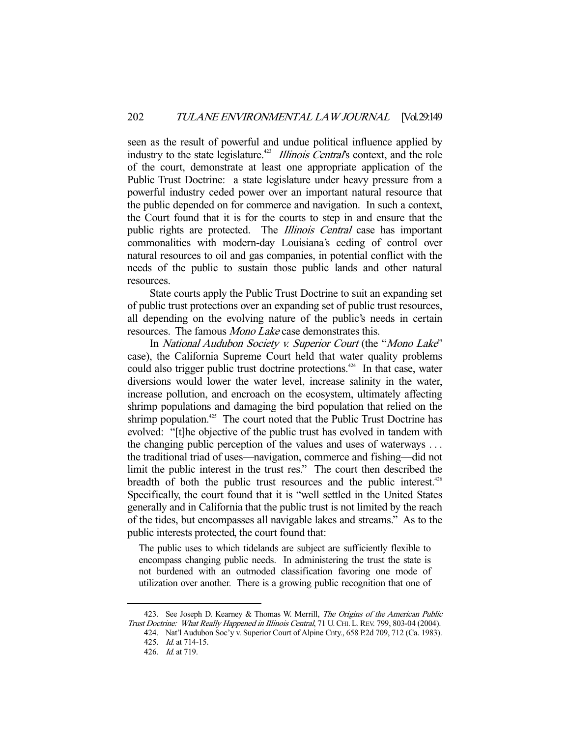seen as the result of powerful and undue political influence applied by industry to the state legislature.<sup>423</sup> *Illinois Central's* context, and the role of the court, demonstrate at least one appropriate application of the Public Trust Doctrine: a state legislature under heavy pressure from a powerful industry ceded power over an important natural resource that the public depended on for commerce and navigation. In such a context, the Court found that it is for the courts to step in and ensure that the public rights are protected. The *Illinois Central* case has important commonalities with modern-day Louisiana's ceding of control over natural resources to oil and gas companies, in potential conflict with the needs of the public to sustain those public lands and other natural resources.

 State courts apply the Public Trust Doctrine to suit an expanding set of public trust protections over an expanding set of public trust resources, all depending on the evolving nature of the public's needs in certain resources. The famous Mono Lake case demonstrates this.

In National Audubon Society v. Superior Court (the "Mono Lake" case), the California Supreme Court held that water quality problems could also trigger public trust doctrine protections.<sup> $424$ </sup> In that case, water diversions would lower the water level, increase salinity in the water, increase pollution, and encroach on the ecosystem, ultimately affecting shrimp populations and damaging the bird population that relied on the shrimp population.<sup>425</sup> The court noted that the Public Trust Doctrine has evolved: "[t]he objective of the public trust has evolved in tandem with the changing public perception of the values and uses of waterways . . . the traditional triad of uses—navigation, commerce and fishing—did not limit the public interest in the trust res." The court then described the breadth of both the public trust resources and the public interest.<sup>426</sup> Specifically, the court found that it is "well settled in the United States generally and in California that the public trust is not limited by the reach of the tides, but encompasses all navigable lakes and streams." As to the public interests protected, the court found that:

The public uses to which tidelands are subject are sufficiently flexible to encompass changing public needs. In administering the trust the state is not burdened with an outmoded classification favoring one mode of utilization over another. There is a growing public recognition that one of

<sup>423.</sup> See Joseph D. Kearney & Thomas W. Merrill, The Origins of the American Public Trust Doctrine: What Really Happened in Illinois Central, 71 U.CHI. L.REV. 799, 803-04 (2004).

 <sup>424.</sup> Nat'l Audubon Soc'y v. Superior Court of Alpine Cnty., 658 P.2d 709, 712 (Ca. 1983). 425. Id. at 714-15.

 <sup>426.</sup> Id. at 719.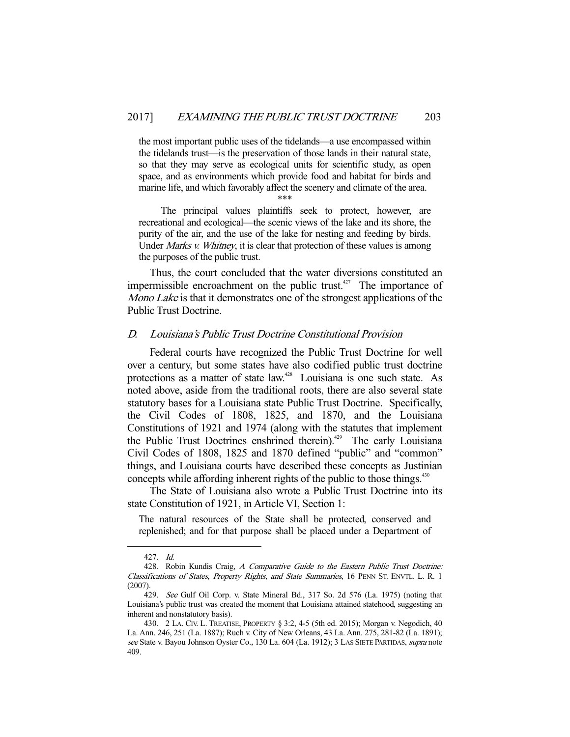the most important public uses of the tidelands—a use encompassed within the tidelands trust—is the preservation of those lands in their natural state, so that they may serve as ecological units for scientific study, as open space, and as environments which provide food and habitat for birds and marine life, and which favorably affect the scenery and climate of the area.

\*\*\*

 The principal values plaintiffs seek to protect, however, are recreational and ecological—the scenic views of the lake and its shore, the purity of the air, and the use of the lake for nesting and feeding by birds. Under *Marks v. Whitney*, it is clear that protection of these values is among the purposes of the public trust.

 Thus, the court concluded that the water diversions constituted an impermissible encroachment on the public trust.<sup>427</sup> The importance of Mono Lake is that it demonstrates one of the strongest applications of the Public Trust Doctrine.

## D. Louisiana's Public Trust Doctrine Constitutional Provision

 Federal courts have recognized the Public Trust Doctrine for well over a century, but some states have also codified public trust doctrine protections as a matter of state law.<sup>428</sup> Louisiana is one such state. As noted above, aside from the traditional roots, there are also several state statutory bases for a Louisiana state Public Trust Doctrine. Specifically, the Civil Codes of 1808, 1825, and 1870, and the Louisiana Constitutions of 1921 and 1974 (along with the statutes that implement the Public Trust Doctrines enshrined therein).<sup>429</sup> The early Louisiana Civil Codes of 1808, 1825 and 1870 defined "public" and "common" things, and Louisiana courts have described these concepts as Justinian concepts while affording inherent rights of the public to those things.<sup>430</sup>

 The State of Louisiana also wrote a Public Trust Doctrine into its state Constitution of 1921, in Article VI, Section 1:

The natural resources of the State shall be protected, conserved and replenished; and for that purpose shall be placed under a Department of

 <sup>427.</sup> Id.

<sup>428.</sup> Robin Kundis Craig, A Comparative Guide to the Eastern Public Trust Doctrine: Classifications of States, Property Rights, and State Summaries, 16 PENN ST. ENVTL. L. R. 1 (2007).

<sup>429.</sup> See Gulf Oil Corp. v. State Mineral Bd., 317 So. 2d 576 (La. 1975) (noting that Louisiana's public trust was created the moment that Louisiana attained statehood, suggesting an inherent and nonstatutory basis).

 <sup>430. 2</sup> LA. CIV. L. TREATISE, PROPERTY § 3:2, 4-5 (5th ed. 2015); Morgan v. Negodich, 40 La. Ann. 246, 251 (La. 1887); Ruch v. City of New Orleans, 43 La. Ann. 275, 281-82 (La. 1891); see State v. Bayou Johnson Oyster Co., 130 La. 604 (La. 1912); 3 LAS SIETE PARTIDAS, supra note 409.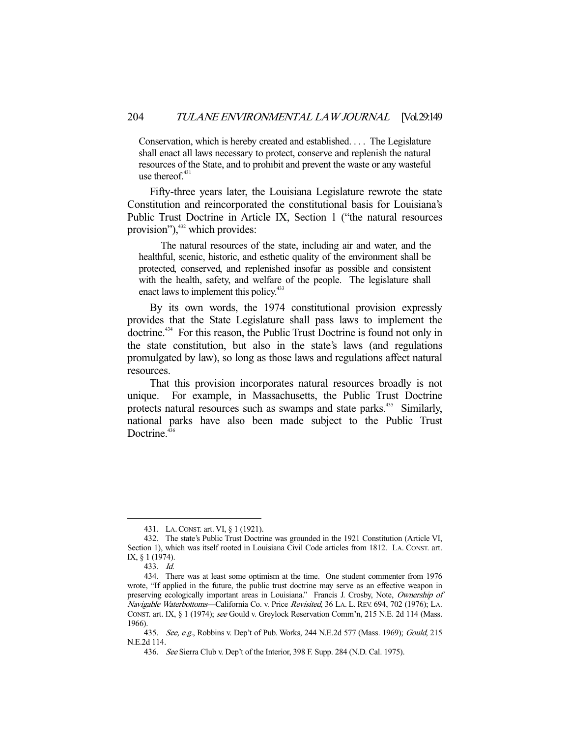Conservation, which is hereby created and established. . . . The Legislature shall enact all laws necessary to protect, conserve and replenish the natural resources of the State, and to prohibit and prevent the waste or any wasteful use thereof. $431$ 

 Fifty-three years later, the Louisiana Legislature rewrote the state Constitution and reincorporated the constitutional basis for Louisiana's Public Trust Doctrine in Article IX, Section 1 ("the natural resources provision"), $432$  which provides:

 The natural resources of the state, including air and water, and the healthful, scenic, historic, and esthetic quality of the environment shall be protected, conserved, and replenished insofar as possible and consistent with the health, safety, and welfare of the people. The legislature shall enact laws to implement this policy.<sup>433</sup>

 By its own words, the 1974 constitutional provision expressly provides that the State Legislature shall pass laws to implement the doctrine.<sup>434</sup> For this reason, the Public Trust Doctrine is found not only in the state constitution, but also in the state's laws (and regulations promulgated by law), so long as those laws and regulations affect natural resources.

 That this provision incorporates natural resources broadly is not unique. For example, in Massachusetts, the Public Trust Doctrine protects natural resources such as swamps and state parks.<sup>435</sup> Similarly, national parks have also been made subject to the Public Trust Doctrine.<sup>436</sup>

 <sup>431.</sup> LA.CONST. art. VI, § 1 (1921).

 <sup>432.</sup> The state's Public Trust Doctrine was grounded in the 1921 Constitution (Article VI, Section 1), which was itself rooted in Louisiana Civil Code articles from 1812. LA. CONST. art. IX, § 1 (1974).

 <sup>433.</sup> Id.

 <sup>434.</sup> There was at least some optimism at the time. One student commenter from 1976 wrote, "If applied in the future, the public trust doctrine may serve as an effective weapon in preserving ecologically important areas in Louisiana." Francis J. Crosby, Note, Ownership of Navigable Waterbottoms—California Co. v. Price Revisited, 36 LA. L. REV. 694, 702 (1976); LA. CONST. art. IX, § 1 (1974); see Gould v. Greylock Reservation Comm'n, 215 N.E. 2d 114 (Mass. 1966).

<sup>435.</sup> See, e.g., Robbins v. Dep't of Pub. Works, 244 N.E.2d 577 (Mass. 1969); Gould, 215 N.E.2d 114.

 <sup>436.</sup> See Sierra Club v. Dep't of the Interior, 398 F. Supp. 284 (N.D. Cal. 1975).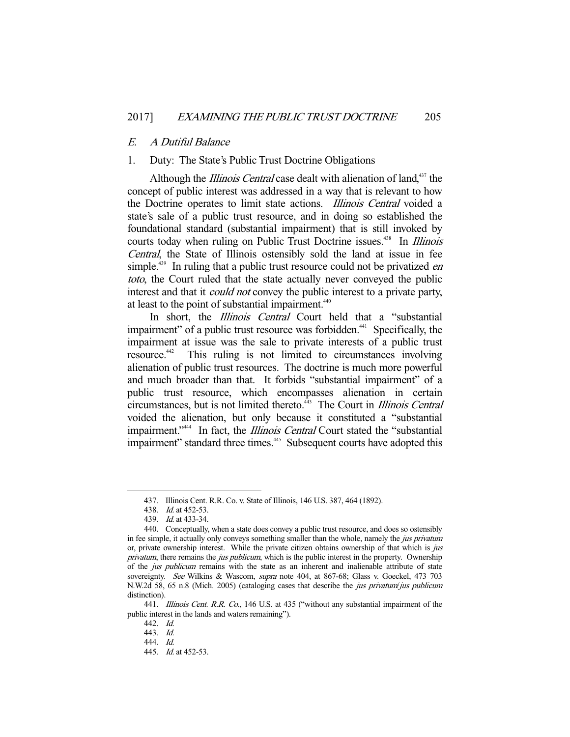#### E. A Dutiful Balance

# 1. Duty: The State's Public Trust Doctrine Obligations

Although the *Illinois Central* case dealt with alienation of land,<sup>437</sup> the concept of public interest was addressed in a way that is relevant to how the Doctrine operates to limit state actions. Illinois Central voided a state's sale of a public trust resource, and in doing so established the foundational standard (substantial impairment) that is still invoked by courts today when ruling on Public Trust Doctrine issues.<sup>438</sup> In *Illinois* Central, the State of Illinois ostensibly sold the land at issue in fee simple.<sup>439</sup> In ruling that a public trust resource could not be privatized *en* toto, the Court ruled that the state actually never conveyed the public interest and that it *could not* convey the public interest to a private party, at least to the point of substantial impairment.<sup>440</sup>

In short, the *Illinois Central* Court held that a "substantial impairment" of a public trust resource was forbidden.<sup>441</sup> Specifically, the impairment at issue was the sale to private interests of a public trust<br>resource.<sup>442</sup> This ruling is not limited to circumstances involving This ruling is not limited to circumstances involving alienation of public trust resources. The doctrine is much more powerful and much broader than that. It forbids "substantial impairment" of a public trust resource, which encompasses alienation in certain circumstances, but is not limited thereto.<sup>443</sup> The Court in *Illinois Central* voided the alienation, but only because it constituted a "substantial impairment."<sup>444</sup> In fact, the *Illinois Central* Court stated the "substantial impairment" standard three times.<sup>445</sup> Subsequent courts have adopted this

 <sup>437.</sup> Illinois Cent. R.R. Co. v. State of Illinois, 146 U.S. 387, 464 (1892).

 <sup>438.</sup> Id. at 452-53.

 <sup>439.</sup> Id. at 433-34.

 <sup>440.</sup> Conceptually, when a state does convey a public trust resource, and does so ostensibly in fee simple, it actually only conveys something smaller than the whole, namely the *jus privatum* or, private ownership interest. While the private citizen obtains ownership of that which is just privatum, there remains the *jus publicum*, which is the public interest in the property. Ownership of the *jus publicum* remains with the state as an inherent and inalienable attribute of state sovereignty. See Wilkins & Wascom, *supra* note 404, at 867-68; Glass v. Goeckel, 473 703 N.W.2d 58, 65 n.8 (Mich. 2005) (cataloging cases that describe the jus privatum/jus publicum distinction).

<sup>441.</sup> *Illinois Cent. R.R. Co.*, 146 U.S. at 435 ("without any substantial impairment of the public interest in the lands and waters remaining").

 <sup>442.</sup> Id.

 <sup>443.</sup> Id.

 <sup>444.</sup> Id.

 <sup>445.</sup> Id. at 452-53.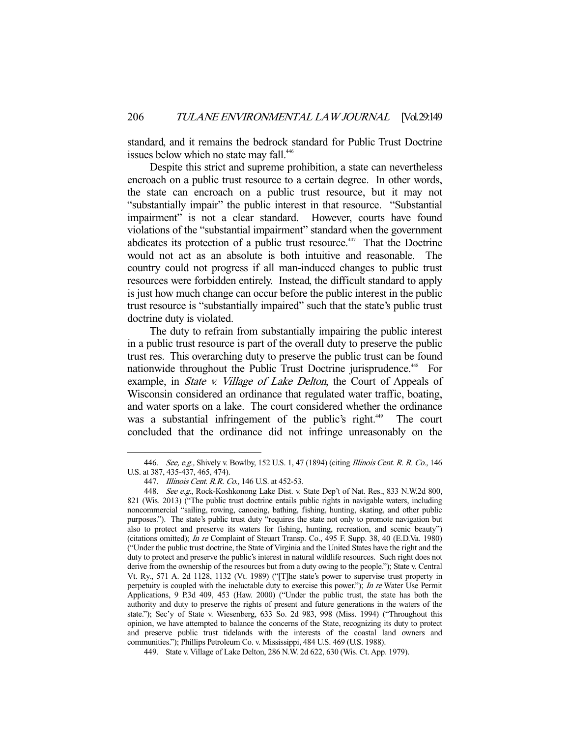standard, and it remains the bedrock standard for Public Trust Doctrine issues below which no state may fall.<sup>446</sup>

 Despite this strict and supreme prohibition, a state can nevertheless encroach on a public trust resource to a certain degree. In other words, the state can encroach on a public trust resource, but it may not "substantially impair" the public interest in that resource. "Substantial impairment" is not a clear standard. However, courts have found violations of the "substantial impairment" standard when the government abdicates its protection of a public trust resource.<sup> $447$ </sup> That the Doctrine would not act as an absolute is both intuitive and reasonable. The country could not progress if all man-induced changes to public trust resources were forbidden entirely. Instead, the difficult standard to apply is just how much change can occur before the public interest in the public trust resource is "substantially impaired" such that the state's public trust doctrine duty is violated.

 The duty to refrain from substantially impairing the public interest in a public trust resource is part of the overall duty to preserve the public trust res. This overarching duty to preserve the public trust can be found nationwide throughout the Public Trust Doctrine jurisprudence.<sup>448</sup> For example, in *State v. Village of Lake Delton*, the Court of Appeals of Wisconsin considered an ordinance that regulated water traffic, boating, and water sports on a lake. The court considered whether the ordinance was a substantial infringement of the public's right.<sup>449</sup> The court concluded that the ordinance did not infringe unreasonably on the

<sup>446.</sup> See, e.g., Shively v. Bowlby, 152 U.S. 1, 47 (1894) (citing Illinois Cent. R. R. Co., 146 U.S. at 387, 435-437, 465, 474).

 <sup>447.</sup> Illinois Cent. R.R. Co., 146 U.S. at 452-53.

<sup>448.</sup> See e.g., Rock-Koshkonong Lake Dist. v. State Dep't of Nat. Res., 833 N.W.2d 800, 821 (Wis. 2013) ("The public trust doctrine entails public rights in navigable waters, including noncommercial "sailing, rowing, canoeing, bathing, fishing, hunting, skating, and other public purposes."). The state's public trust duty "requires the state not only to promote navigation but also to protect and preserve its waters for fishing, hunting, recreation, and scenic beauty") (citations omitted); In re Complaint of Steuart Transp. Co., 495 F. Supp. 38, 40 (E.D.Va. 1980) ("Under the public trust doctrine, the State of Virginia and the United States have the right and the duty to protect and preserve the public's interest in natural wildlife resources. Such right does not derive from the ownership of the resources but from a duty owing to the people."); State v. Central Vt. Ry., 571 A. 2d 1128, 1132 (Vt. 1989) ("[T]he state's power to supervise trust property in perpetuity is coupled with the ineluctable duty to exercise this power."); In re Water Use Permit Applications, 9 P.3d 409, 453 (Haw. 2000) ("Under the public trust, the state has both the authority and duty to preserve the rights of present and future generations in the waters of the state."); Sec'y of State v. Wiesenberg, 633 So. 2d 983, 998 (Miss. 1994) ("Throughout this opinion, we have attempted to balance the concerns of the State, recognizing its duty to protect and preserve public trust tidelands with the interests of the coastal land owners and communities."); Phillips Petroleum Co. v. Mississippi, 484 U.S. 469 (U.S. 1988).

 <sup>449.</sup> State v. Village of Lake Delton, 286 N.W. 2d 622, 630 (Wis. Ct. App. 1979).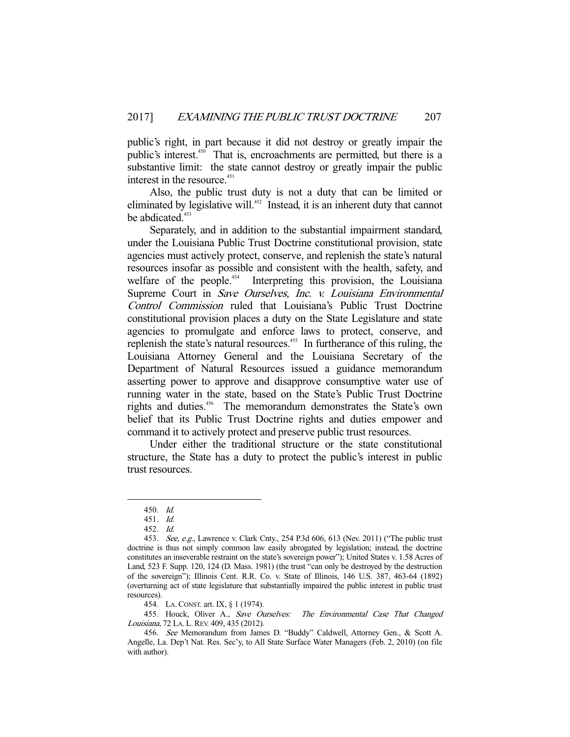public's right, in part because it did not destroy or greatly impair the public's interest.<sup>450</sup> That is, encroachments are permitted, but there is a substantive limit: the state cannot destroy or greatly impair the public interest in the resource.<sup>451</sup>

 Also, the public trust duty is not a duty that can be limited or eliminated by legislative will.<sup>452</sup> Instead, it is an inherent duty that cannot be abdicated.<sup>453</sup>

 Separately, and in addition to the substantial impairment standard, under the Louisiana Public Trust Doctrine constitutional provision, state agencies must actively protect, conserve, and replenish the state's natural resources insofar as possible and consistent with the health, safety, and welfare of the people.<sup>454</sup> Interpreting this provision, the Louisiana Supreme Court in Save Ourselves, Inc. v. Louisiana Environmental Control Commission ruled that Louisiana's Public Trust Doctrine constitutional provision places a duty on the State Legislature and state agencies to promulgate and enforce laws to protect, conserve, and replenish the state's natural resources.<sup>455</sup> In furtherance of this ruling, the Louisiana Attorney General and the Louisiana Secretary of the Department of Natural Resources issued a guidance memorandum asserting power to approve and disapprove consumptive water use of running water in the state, based on the State's Public Trust Doctrine rights and duties.<sup>456</sup> The memorandum demonstrates the State's own belief that its Public Trust Doctrine rights and duties empower and command it to actively protect and preserve public trust resources.

 Under either the traditional structure or the state constitutional structure, the State has a duty to protect the public's interest in public trust resources.

-

454. LA.CONST. art. IX, § 1 (1974).

455. Houck, Oliver A., Save Ourselves: The Environmental Case That Changed Louisiana, 72 LA. L.REV. 409, 435 (2012).

 <sup>450.</sup> Id.

 <sup>451.</sup> Id.

 <sup>452.</sup> Id.

<sup>453.</sup> See, e.g., Lawrence v. Clark Cnty., 254 P.3d 606, 613 (Nev. 2011) ("The public trust doctrine is thus not simply common law easily abrogated by legislation; instead, the doctrine constitutes an inseverable restraint on the state's sovereign power"); United States v. 1.58 Acres of Land, 523 F. Supp. 120, 124 (D. Mass. 1981) (the trust "can only be destroyed by the destruction of the sovereign"); Illinois Cent. R.R. Co. v. State of Illinois, 146 U.S. 387, 463-64 (1892) (overturning act of state legislature that substantially impaired the public interest in public trust resources).

<sup>456.</sup> See Memorandum from James D. "Buddy" Caldwell, Attorney Gen., & Scott A. Angelle, La. Dep't Nat. Res. Sec'y, to All State Surface Water Managers (Feb. 2, 2010) (on file with author).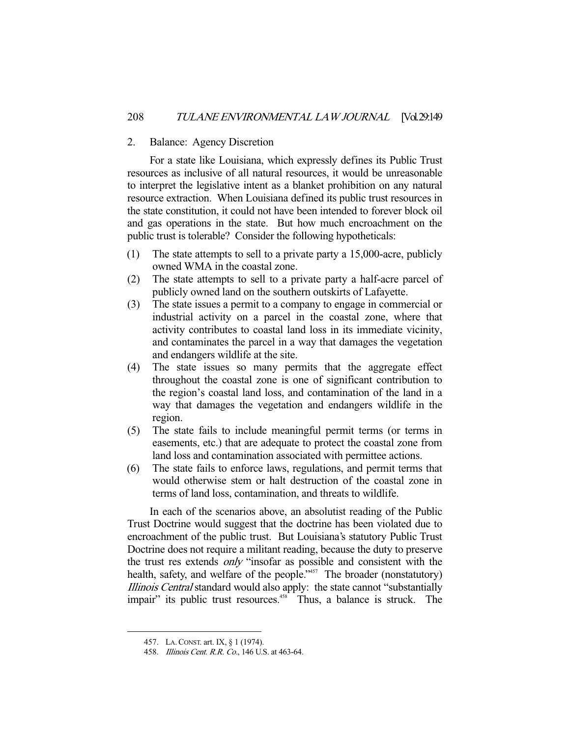# 2. Balance: Agency Discretion

 For a state like Louisiana, which expressly defines its Public Trust resources as inclusive of all natural resources, it would be unreasonable to interpret the legislative intent as a blanket prohibition on any natural resource extraction. When Louisiana defined its public trust resources in the state constitution, it could not have been intended to forever block oil and gas operations in the state. But how much encroachment on the public trust is tolerable? Consider the following hypotheticals:

- (1) The state attempts to sell to a private party a 15,000-acre, publicly owned WMA in the coastal zone.
- (2) The state attempts to sell to a private party a half-acre parcel of publicly owned land on the southern outskirts of Lafayette.
- (3) The state issues a permit to a company to engage in commercial or industrial activity on a parcel in the coastal zone, where that activity contributes to coastal land loss in its immediate vicinity, and contaminates the parcel in a way that damages the vegetation and endangers wildlife at the site.
- (4) The state issues so many permits that the aggregate effect throughout the coastal zone is one of significant contribution to the region's coastal land loss, and contamination of the land in a way that damages the vegetation and endangers wildlife in the region.
- (5) The state fails to include meaningful permit terms (or terms in easements, etc.) that are adequate to protect the coastal zone from land loss and contamination associated with permittee actions.
- (6) The state fails to enforce laws, regulations, and permit terms that would otherwise stem or halt destruction of the coastal zone in terms of land loss, contamination, and threats to wildlife.

 In each of the scenarios above, an absolutist reading of the Public Trust Doctrine would suggest that the doctrine has been violated due to encroachment of the public trust. But Louisiana's statutory Public Trust Doctrine does not require a militant reading, because the duty to preserve the trust res extends only "insofar as possible and consistent with the health, safety, and welfare of the people."<sup>457</sup> The broader (nonstatutory) Illinois Central standard would also apply: the state cannot "substantially impair" its public trust resources.<sup>458</sup> Thus, a balance is struck. The

 <sup>457.</sup> LA.CONST. art. IX, § 1 (1974).

 <sup>458.</sup> Illinois Cent. R.R. Co., 146 U.S. at 463-64.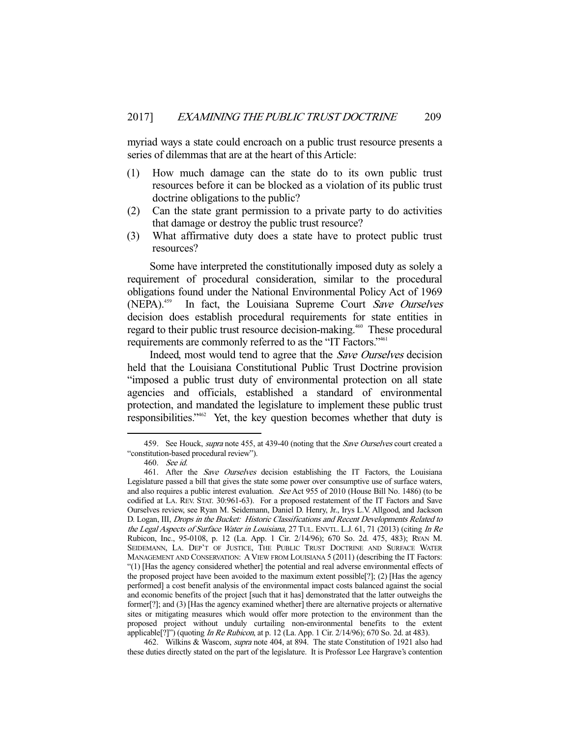myriad ways a state could encroach on a public trust resource presents a series of dilemmas that are at the heart of this Article:

- (1) How much damage can the state do to its own public trust resources before it can be blocked as a violation of its public trust doctrine obligations to the public?
- (2) Can the state grant permission to a private party to do activities that damage or destroy the public trust resource?
- (3) What affirmative duty does a state have to protect public trust resources?

 Some have interpreted the constitutionally imposed duty as solely a requirement of procedural consideration, similar to the procedural obligations found under the National Environmental Policy Act of 1969 (NEPA).<sup>459</sup> In fact, the Louisiana Supreme Court Save Ourselves decision does establish procedural requirements for state entities in regard to their public trust resource decision-making.<sup>460</sup> These procedural requirements are commonly referred to as the "IT Factors."<sup>461</sup>

Indeed, most would tend to agree that the *Save Ourselves* decision held that the Louisiana Constitutional Public Trust Doctrine provision "imposed a public trust duty of environmental protection on all state agencies and officials, established a standard of environmental protection, and mandated the legislature to implement these public trust responsibilities."462 Yet, the key question becomes whether that duty is

<sup>459.</sup> See Houck, *supra* note 455, at 439-40 (noting that the *Save Ourselves* court created a "constitution-based procedural review").

 <sup>460.</sup> See id.

<sup>461.</sup> After the Save Ourselves decision establishing the IT Factors, the Louisiana Legislature passed a bill that gives the state some power over consumptive use of surface waters, and also requires a public interest evaluation. See Act 955 of 2010 (House Bill No. 1486) (to be codified at LA. REV. STAT. 30:961-63). For a proposed restatement of the IT Factors and Save Ourselves review, see Ryan M. Seidemann, Daniel D. Henry, Jr., Irys L.V. Allgood, and Jackson D. Logan, III, Drops in the Bucket: Historic Classifications and Recent Developments Related to the Legal Aspects of Surface Water in Louisiana, 27 TUL. ENVTL. L.J. 61, 71 (2013) (citing In Re Rubicon, Inc., 95-0108, p. 12 (La. App. 1 Cir. 2/14/96); 670 So. 2d. 475, 483); RYAN M. SEIDEMANN, LA. DEP'T OF JUSTICE, THE PUBLIC TRUST DOCTRINE AND SURFACE WATER MANAGEMENT AND CONSERVATION: A VIEW FROM LOUISIANA 5 (2011) (describing the IT Factors: "(1) [Has the agency considered whether] the potential and real adverse environmental effects of the proposed project have been avoided to the maximum extent possible[?]; (2) [Has the agency performed] a cost benefit analysis of the environmental impact costs balanced against the social and economic benefits of the project [such that it has] demonstrated that the latter outweighs the former[?]; and (3) [Has the agency examined whether] there are alternative projects or alternative sites or mitigating measures which would offer more protection to the environment than the proposed project without unduly curtailing non-environmental benefits to the extent applicable[?]") (quoting *In Re Rubicon*, at p. 12 (La. App. 1 Cir.  $2/14/96$ ); 670 So. 2d. at 483).

 <sup>462.</sup> Wilkins & Wascom, supra note 404, at 894. The state Constitution of 1921 also had these duties directly stated on the part of the legislature. It is Professor Lee Hargrave's contention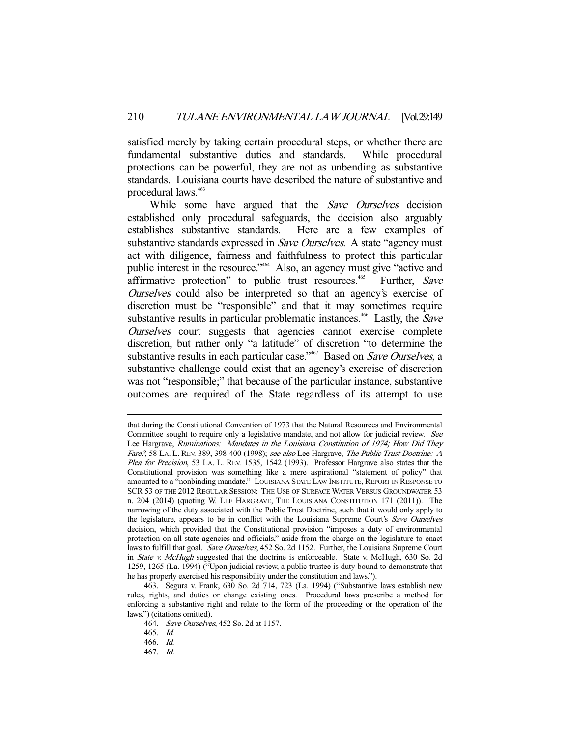satisfied merely by taking certain procedural steps, or whether there are fundamental substantive duties and standards. While procedural protections can be powerful, they are not as unbending as substantive standards. Louisiana courts have described the nature of substantive and procedural laws.<sup>463</sup>

While some have argued that the Save Ourselves decision established only procedural safeguards, the decision also arguably establishes substantive standards. Here are a few examples of substantive standards expressed in *Save Ourselves*. A state "agency must act with diligence, fairness and faithfulness to protect this particular public interest in the resource."<sup>464</sup> Also, an agency must give "active and affirmative protection" to public trust resources.<sup>465</sup> Further, Save Ourselves could also be interpreted so that an agency's exercise of discretion must be "responsible" and that it may sometimes require substantive results in particular problematic instances.<sup>466</sup> Lastly, the Save Ourselves court suggests that agencies cannot exercise complete discretion, but rather only "a latitude" of discretion "to determine the substantive results in each particular case."<sup>467</sup> Based on Save Ourselves, a substantive challenge could exist that an agency's exercise of discretion was not "responsible;" that because of the particular instance, substantive outcomes are required of the State regardless of its attempt to use

that during the Constitutional Convention of 1973 that the Natural Resources and Environmental Committee sought to require only a legislative mandate, and not allow for judicial review. See Lee Hargrave, Ruminations: Mandates in the Louisiana Constitution of 1974; How Did They Fare?, 58 LA. L. REV. 389, 398-400 (1998); see also Lee Hargrave, The Public Trust Doctrine: A Plea for Precision, 53 LA. L. REV. 1535, 1542 (1993). Professor Hargrave also states that the Constitutional provision was something like a mere aspirational "statement of policy" that amounted to a "nonbinding mandate." LOUISIANA STATE LAW INSTITUTE, REPORT IN RESPONSE TO SCR 53 OF THE 2012 REGULAR SESSION: THE USE OF SURFACE WATER VERSUS GROUNDWATER 53 n. 204 (2014) (quoting W. LEE HARGRAVE, THE LOUISIANA CONSTITUTION 171 (2011)). The narrowing of the duty associated with the Public Trust Doctrine, such that it would only apply to the legislature, appears to be in conflict with the Louisiana Supreme Court's Save Ourselves decision, which provided that the Constitutional provision "imposes a duty of environmental protection on all state agencies and officials," aside from the charge on the legislature to enact laws to fulfill that goal. Save Ourselves, 452 So. 2d 1152. Further, the Louisiana Supreme Court in *State v. McHugh* suggested that the doctrine is enforceable. State v. McHugh, 630 So. 2d 1259, 1265 (La. 1994) ("Upon judicial review, a public trustee is duty bound to demonstrate that he has properly exercised his responsibility under the constitution and laws.").

 <sup>463.</sup> Segura v. Frank, 630 So. 2d 714, 723 (La. 1994) ("Substantive laws establish new rules, rights, and duties or change existing ones. Procedural laws prescribe a method for enforcing a substantive right and relate to the form of the proceeding or the operation of the laws.") (citations omitted).

 <sup>464.</sup> Save Ourselves, 452 So. 2d at 1157.

 <sup>465.</sup> Id.

 <sup>466.</sup> Id.

 <sup>467.</sup> Id.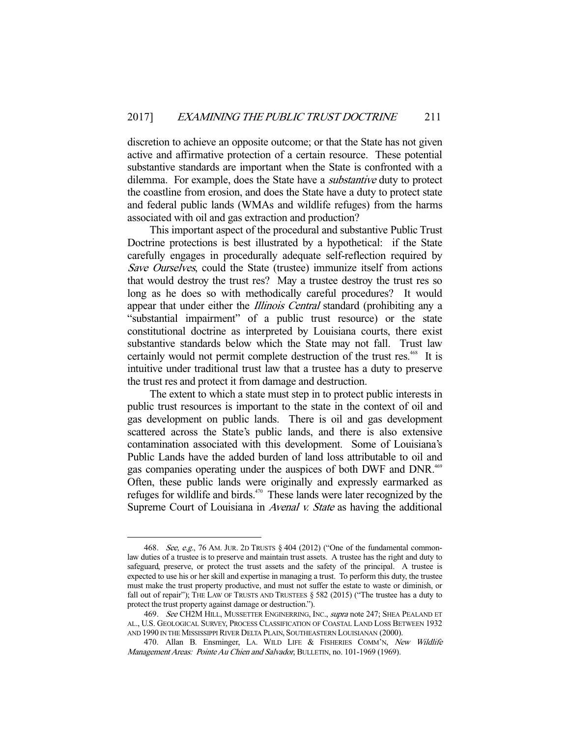discretion to achieve an opposite outcome; or that the State has not given active and affirmative protection of a certain resource. These potential substantive standards are important when the State is confronted with a dilemma. For example, does the State have a substantive duty to protect the coastline from erosion, and does the State have a duty to protect state and federal public lands (WMAs and wildlife refuges) from the harms associated with oil and gas extraction and production?

 This important aspect of the procedural and substantive Public Trust Doctrine protections is best illustrated by a hypothetical: if the State carefully engages in procedurally adequate self-reflection required by Save Ourselves, could the State (trustee) immunize itself from actions that would destroy the trust res? May a trustee destroy the trust res so long as he does so with methodically careful procedures? It would appear that under either the *Illinois Central* standard (prohibiting any a "substantial impairment" of a public trust resource) or the state constitutional doctrine as interpreted by Louisiana courts, there exist substantive standards below which the State may not fall. Trust law certainly would not permit complete destruction of the trust res.<sup>468</sup> It is intuitive under traditional trust law that a trustee has a duty to preserve the trust res and protect it from damage and destruction.

 The extent to which a state must step in to protect public interests in public trust resources is important to the state in the context of oil and gas development on public lands. There is oil and gas development scattered across the State's public lands, and there is also extensive contamination associated with this development. Some of Louisiana's Public Lands have the added burden of land loss attributable to oil and gas companies operating under the auspices of both DWF and DNR.<sup>469</sup> Often, these public lands were originally and expressly earmarked as refuges for wildlife and birds. $470$  These lands were later recognized by the Supreme Court of Louisiana in *Avenal v. State* as having the additional

<sup>468.</sup> See, e.g., 76 AM. JUR. 2D TRUSTS  $\S$  404 (2012) ("One of the fundamental commonlaw duties of a trustee is to preserve and maintain trust assets. A trustee has the right and duty to safeguard, preserve, or protect the trust assets and the safety of the principal. A trustee is expected to use his or her skill and expertise in managing a trust. To perform this duty, the trustee must make the trust property productive, and must not suffer the estate to waste or diminish, or fall out of repair"); THE LAW OF TRUSTS AND TRUSTEES  $\S$  582 (2015) ("The trustee has a duty to protect the trust property against damage or destruction.").

<sup>469.</sup> See CH2M HILL, MUSSETTER ENGINERRING, INC., supra note 247; SHEA PEALAND ET AL., U.S. GEOLOGICAL SURVEY, PROCESS CLASSIFICATION OF COASTAL LAND LOSS BETWEEN 1932 AND 1990 IN THE MISSISSIPPI RIVER DELTA PLAIN, SOUTHEASTERN LOUISIANAN (2000).

<sup>470.</sup> Allan B. Ensminger, LA. WILD LIFE & FISHERIES COMM'N, New Wildlife Management Areas: Pointe Au Chien and Salvador, BULLETIN, no. 101-1969 (1969).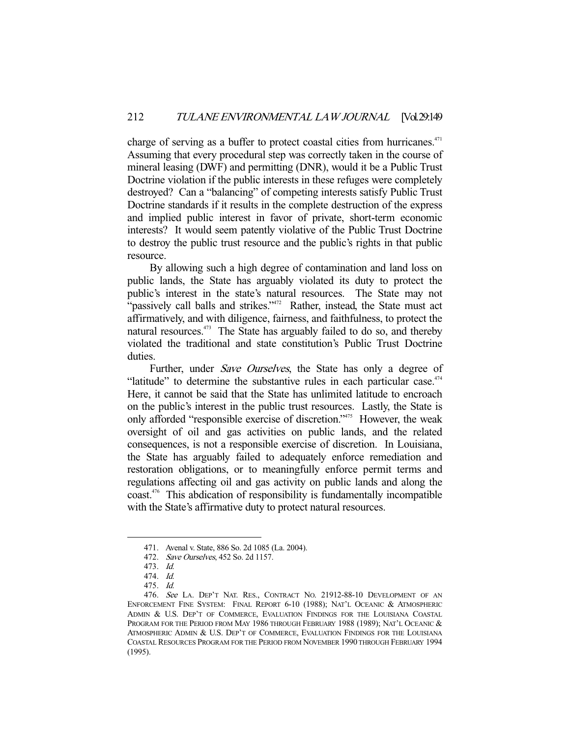charge of serving as a buffer to protect coastal cities from hurricanes.<sup>471</sup> Assuming that every procedural step was correctly taken in the course of mineral leasing (DWF) and permitting (DNR), would it be a Public Trust Doctrine violation if the public interests in these refuges were completely destroyed? Can a "balancing" of competing interests satisfy Public Trust Doctrine standards if it results in the complete destruction of the express and implied public interest in favor of private, short-term economic interests? It would seem patently violative of the Public Trust Doctrine to destroy the public trust resource and the public's rights in that public resource.

 By allowing such a high degree of contamination and land loss on public lands, the State has arguably violated its duty to protect the public's interest in the state's natural resources. The State may not "passively call balls and strikes."<sup>472</sup> Rather, instead, the State must act affirmatively, and with diligence, fairness, and faithfulness, to protect the natural resources.<sup>473</sup> The State has arguably failed to do so, and thereby violated the traditional and state constitution's Public Trust Doctrine duties.

Further, under Save Ourselves, the State has only a degree of "latitude" to determine the substantive rules in each particular case. $474$ Here, it cannot be said that the State has unlimited latitude to encroach on the public's interest in the public trust resources. Lastly, the State is only afforded "responsible exercise of discretion."475 However, the weak oversight of oil and gas activities on public lands, and the related consequences, is not a responsible exercise of discretion. In Louisiana, the State has arguably failed to adequately enforce remediation and restoration obligations, or to meaningfully enforce permit terms and regulations affecting oil and gas activity on public lands and along the coast.476 This abdication of responsibility is fundamentally incompatible with the State's affirmative duty to protect natural resources.

 <sup>471.</sup> Avenal v. State, 886 So. 2d 1085 (La. 2004).

 <sup>472.</sup> Save Ourselves, 452 So. 2d 1157.

 <sup>473.</sup> Id.

 <sup>474.</sup> Id.

 <sup>475.</sup> Id.

 <sup>476.</sup> See LA. DEP'T NAT. RES., CONTRACT NO. 21912-88-10 DEVELOPMENT OF AN ENFORCEMENT FINE SYSTEM: FINAL REPORT 6-10 (1988); NAT'L OCEANIC & ATMOSPHERIC ADMIN & U.S. DEP'T OF COMMERCE, EVALUATION FINDINGS FOR THE LOUISIANA COASTAL PROGRAM FOR THE PERIOD FROM MAY 1986 THROUGH FEBRUARY 1988 (1989); NAT'L OCEANIC & ATMOSPHERIC ADMIN & U.S. DEP'T OF COMMERCE, EVALUATION FINDINGS FOR THE LOUISIANA COASTAL RESOURCES PROGRAM FOR THE PERIOD FROM NOVEMBER 1990 THROUGH FEBRUARY 1994 (1995).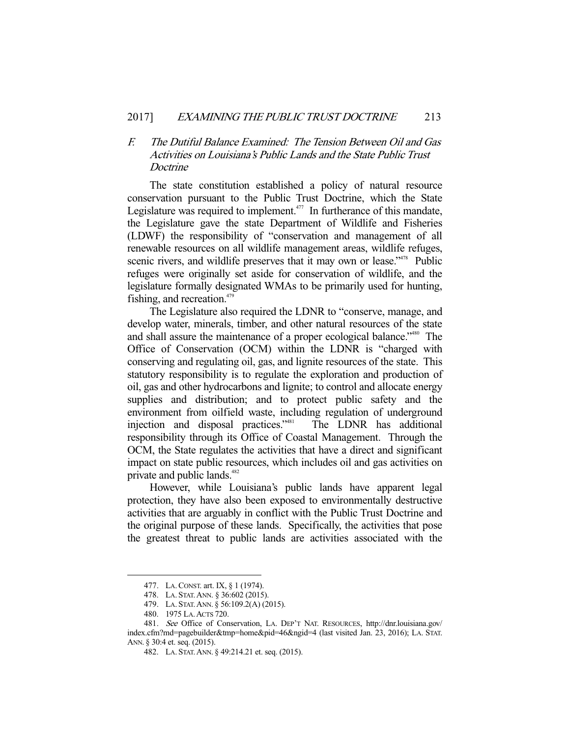# F. The Dutiful Balance Examined: The Tension Between Oil and Gas Activities on Louisiana's Public Lands and the State Public Trust **Doctrine**

 The state constitution established a policy of natural resource conservation pursuant to the Public Trust Doctrine, which the State Legislature was required to implement. $477$  In furtherance of this mandate, the Legislature gave the state Department of Wildlife and Fisheries (LDWF) the responsibility of "conservation and management of all renewable resources on all wildlife management areas, wildlife refuges, scenic rivers, and wildlife preserves that it may own or lease."<sup>478</sup> Public refuges were originally set aside for conservation of wildlife, and the legislature formally designated WMAs to be primarily used for hunting, fishing, and recreation. $479$ 

 The Legislature also required the LDNR to "conserve, manage, and develop water, minerals, timber, and other natural resources of the state and shall assure the maintenance of a proper ecological balance."480 The Office of Conservation (OCM) within the LDNR is "charged with conserving and regulating oil, gas, and lignite resources of the state. This statutory responsibility is to regulate the exploration and production of oil, gas and other hydrocarbons and lignite; to control and allocate energy supplies and distribution; and to protect public safety and the environment from oilfield waste, including regulation of underground injection and disposal practices."481 The LDNR has additional responsibility through its Office of Coastal Management. Through the OCM, the State regulates the activities that have a direct and significant impact on state public resources, which includes oil and gas activities on private and public lands.<sup>482</sup>

 However, while Louisiana's public lands have apparent legal protection, they have also been exposed to environmentally destructive activities that are arguably in conflict with the Public Trust Doctrine and the original purpose of these lands. Specifically, the activities that pose the greatest threat to public lands are activities associated with the

 <sup>477.</sup> LA.CONST. art. IX, § 1 (1974).

 <sup>478.</sup> LA. STAT.ANN. § 36:602 (2015).

 <sup>479.</sup> LA. STAT.ANN. § 56:109.2(A) (2015).

 <sup>480. 1975</sup> LA.ACTS 720.

 <sup>481.</sup> See Office of Conservation, LA. DEP'T NAT. RESOURCES, http://dnr.louisiana.gov/ index.cfm?md=pagebuilder&tmp=home&pid=46&ngid=4 (last visited Jan. 23, 2016); LA. STAT. ANN. § 30:4 et. seq. (2015).

 <sup>482.</sup> LA. STAT.ANN. § 49:214.21 et. seq. (2015).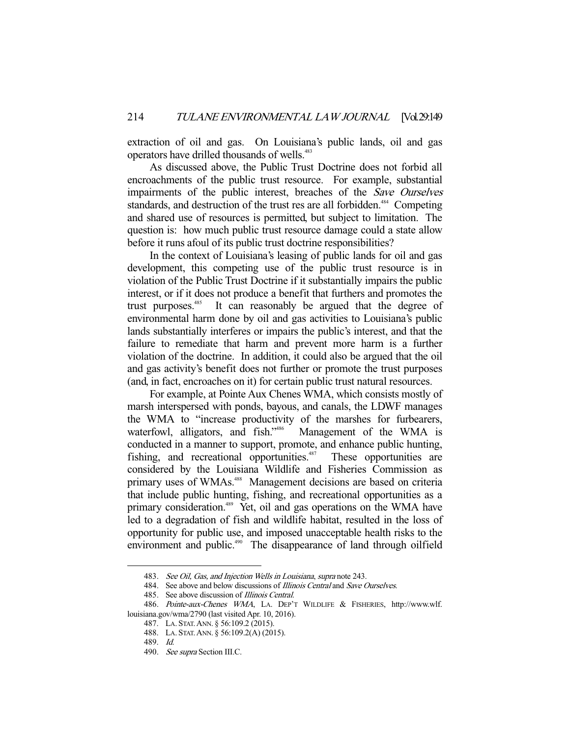extraction of oil and gas. On Louisiana's public lands, oil and gas operators have drilled thousands of wells.<sup>483</sup>

 As discussed above, the Public Trust Doctrine does not forbid all encroachments of the public trust resource. For example, substantial impairments of the public interest, breaches of the Save Ourselves standards, and destruction of the trust res are all forbidden.<sup>484</sup> Competing and shared use of resources is permitted, but subject to limitation. The question is: how much public trust resource damage could a state allow before it runs afoul of its public trust doctrine responsibilities?

 In the context of Louisiana's leasing of public lands for oil and gas development, this competing use of the public trust resource is in violation of the Public Trust Doctrine if it substantially impairs the public interest, or if it does not produce a benefit that furthers and promotes the trust purposes.<sup>485</sup> It can reasonably be argued that the degree of environmental harm done by oil and gas activities to Louisiana's public lands substantially interferes or impairs the public's interest, and that the failure to remediate that harm and prevent more harm is a further violation of the doctrine. In addition, it could also be argued that the oil and gas activity's benefit does not further or promote the trust purposes (and, in fact, encroaches on it) for certain public trust natural resources.

 For example, at Pointe Aux Chenes WMA, which consists mostly of marsh interspersed with ponds, bayous, and canals, the LDWF manages the WMA to "increase productivity of the marshes for furbearers, waterfowl, alligators, and fish."<sup>486</sup> Management of the WMA is conducted in a manner to support, promote, and enhance public hunting, fishing, and recreational opportunities.<sup>487</sup> These opportunities are considered by the Louisiana Wildlife and Fisheries Commission as primary uses of WMAs.<sup>488</sup> Management decisions are based on criteria that include public hunting, fishing, and recreational opportunities as a primary consideration.<sup>489</sup> Yet, oil and gas operations on the WMA have led to a degradation of fish and wildlife habitat, resulted in the loss of opportunity for public use, and imposed unacceptable health risks to the environment and public.<sup>490</sup> The disappearance of land through oilfield

 <sup>483.</sup> See Oil, Gas, and Injection Wells in Louisiana, supra note 243.

<sup>484.</sup> See above and below discussions of *Illinois Central* and *Save Ourselves*.

<sup>485.</sup> See above discussion of Illinois Central.

<sup>486.</sup> Pointe-aux-Chenes WMA, LA. DEP'T WILDLIFE & FISHERIES, http://www.wlf. louisiana.gov/wma/2790 (last visited Apr. 10, 2016).

 <sup>487.</sup> LA. STAT.ANN. § 56:109.2 (2015).

 <sup>488.</sup> LA. STAT.ANN. § 56:109.2(A) (2015).

 <sup>489.</sup> Id.

<sup>490.</sup> See supra Section III.C.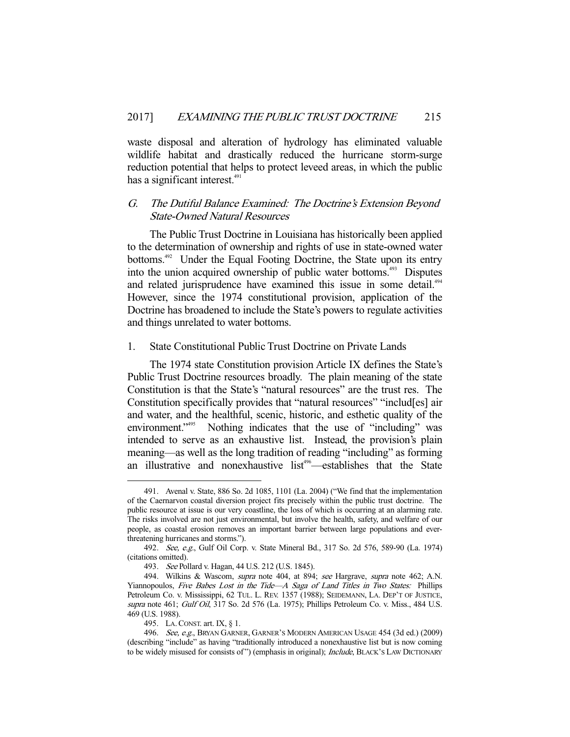waste disposal and alteration of hydrology has eliminated valuable wildlife habitat and drastically reduced the hurricane storm-surge reduction potential that helps to protect leveed areas, in which the public has a significant interest.<sup>491</sup>

# G. The Dutiful Balance Examined: The Doctrine's Extension Beyond State-Owned Natural Resources

 The Public Trust Doctrine in Louisiana has historically been applied to the determination of ownership and rights of use in state-owned water bottoms.<sup>492</sup> Under the Equal Footing Doctrine, the State upon its entry into the union acquired ownership of public water bottoms.<sup>493</sup> Disputes and related jurisprudence have examined this issue in some detail.<sup>494</sup> However, since the 1974 constitutional provision, application of the Doctrine has broadened to include the State's powers to regulate activities and things unrelated to water bottoms.

#### 1. State Constitutional Public Trust Doctrine on Private Lands

 The 1974 state Constitution provision Article IX defines the State's Public Trust Doctrine resources broadly. The plain meaning of the state Constitution is that the State's "natural resources" are the trust res. The Constitution specifically provides that "natural resources" "includ[es] air and water, and the healthful, scenic, historic, and esthetic quality of the environment."<sup>495</sup> Nothing indicates that the use of "including" was Nothing indicates that the use of "including" was intended to serve as an exhaustive list. Instead, the provision's plain meaning—as well as the long tradition of reading "including" as forming an illustrative and nonexhaustive list<sup>496</sup>—establishes that the State

 <sup>491.</sup> Avenal v. State, 886 So. 2d 1085, 1101 (La. 2004) ("We find that the implementation of the Caernarvon coastal diversion project fits precisely within the public trust doctrine. The public resource at issue is our very coastline, the loss of which is occurring at an alarming rate. The risks involved are not just environmental, but involve the health, safety, and welfare of our people, as coastal erosion removes an important barrier between large populations and everthreatening hurricanes and storms.").

 <sup>492.</sup> See, e.g., Gulf Oil Corp. v. State Mineral Bd., 317 So. 2d 576, 589-90 (La. 1974) (citations omitted).

 <sup>493.</sup> See Pollard v. Hagan, 44 U.S. 212 (U.S. 1845).

<sup>494.</sup> Wilkins & Wascom, *supra* note 404, at 894; see Hargrave, supra note 462; A.N. Yiannopoulos, Five Babes Lost in the Tide-A Saga of Land Titles in Two States: Phillips Petroleum Co. v. Mississippi, 62 TUL. L. REV. 1357 (1988); SEIDEMANN, LA. DEP'T OF JUSTICE, supra note 461; Gulf Oil, 317 So. 2d 576 (La. 1975); Phillips Petroleum Co. v. Miss., 484 U.S. 469 (U.S. 1988).

 <sup>495.</sup> LA.CONST. art. IX, § 1.

<sup>496.</sup> See, e.g., BRYAN GARNER, GARNER'S MODERN AMERICAN USAGE 454 (3d ed.) (2009) (describing "include" as having "traditionally introduced a nonexhaustive list but is now coming to be widely misused for consists of") (emphasis in original); Include, BLACK'S LAW DICTIONARY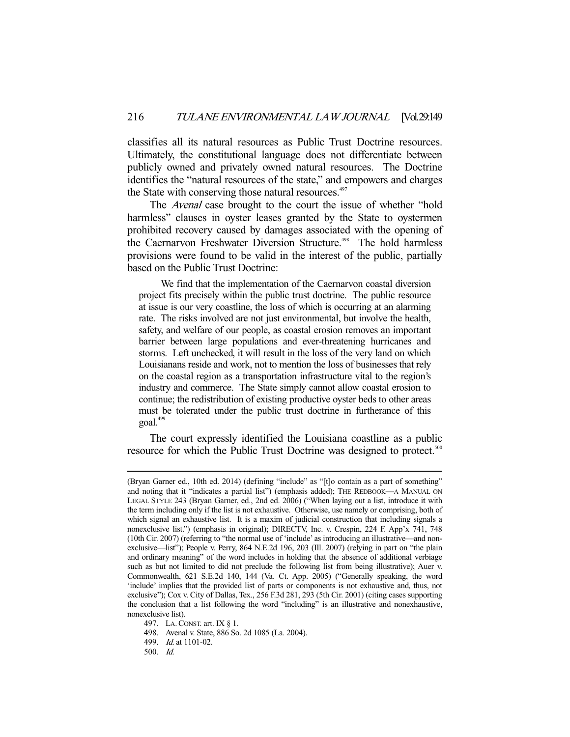classifies all its natural resources as Public Trust Doctrine resources. Ultimately, the constitutional language does not differentiate between publicly owned and privately owned natural resources. The Doctrine identifies the "natural resources of the state," and empowers and charges the State with conserving those natural resources.<sup>497</sup>

 The Avenal case brought to the court the issue of whether "hold harmless" clauses in oyster leases granted by the State to oystermen prohibited recovery caused by damages associated with the opening of the Caernarvon Freshwater Diversion Structure.<sup>498</sup> The hold harmless provisions were found to be valid in the interest of the public, partially based on the Public Trust Doctrine:

 We find that the implementation of the Caernarvon coastal diversion project fits precisely within the public trust doctrine. The public resource at issue is our very coastline, the loss of which is occurring at an alarming rate. The risks involved are not just environmental, but involve the health, safety, and welfare of our people, as coastal erosion removes an important barrier between large populations and ever-threatening hurricanes and storms. Left unchecked, it will result in the loss of the very land on which Louisianans reside and work, not to mention the loss of businesses that rely on the coastal region as a transportation infrastructure vital to the region's industry and commerce. The State simply cannot allow coastal erosion to continue; the redistribution of existing productive oyster beds to other areas must be tolerated under the public trust doctrine in furtherance of this goal.<sup>499</sup>

 The court expressly identified the Louisiana coastline as a public resource for which the Public Trust Doctrine was designed to protect.<sup>500</sup>

<sup>(</sup>Bryan Garner ed., 10th ed. 2014) (defining "include" as "[t]o contain as a part of something" and noting that it "indicates a partial list") (emphasis added); THE REDBOOK—A MANUAL ON LEGAL STYLE 243 (Bryan Garner, ed., 2nd ed. 2006) ("When laying out a list, introduce it with the term including only if the list is not exhaustive. Otherwise, use namely or comprising, both of which signal an exhaustive list. It is a maxim of judicial construction that including signals a nonexclusive list.") (emphasis in original); DIRECTV, Inc. v. Crespin, 224 F. App'x 741, 748 (10th Cir. 2007) (referring to "the normal use of 'include' as introducing an illustrative—and nonexclusive—list"); People v. Perry, 864 N.E.2d 196, 203 (Ill. 2007) (relying in part on "the plain and ordinary meaning" of the word includes in holding that the absence of additional verbiage such as but not limited to did not preclude the following list from being illustrative); Auer v. Commonwealth, 621 S.E.2d 140, 144 (Va. Ct. App. 2005) ("Generally speaking, the word 'include' implies that the provided list of parts or components is not exhaustive and, thus, not exclusive"); Cox v. City of Dallas, Tex., 256 F.3d 281, 293 (5th Cir. 2001) (citing cases supporting the conclusion that a list following the word "including" is an illustrative and nonexhaustive, nonexclusive list).

 <sup>497.</sup> LA.CONST. art. IX § 1.

 <sup>498.</sup> Avenal v. State, 886 So. 2d 1085 (La. 2004).

 <sup>499.</sup> Id. at 1101-02.

 <sup>500.</sup> Id.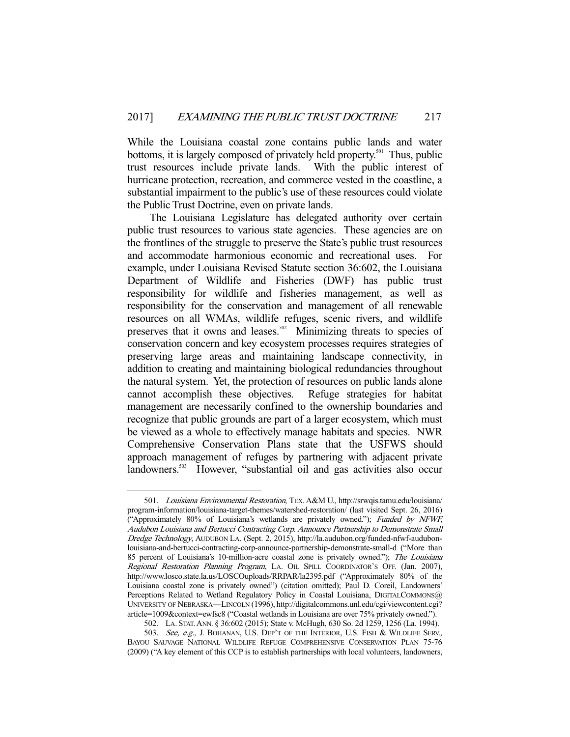While the Louisiana coastal zone contains public lands and water bottoms, it is largely composed of privately held property.<sup>501</sup> Thus, public trust resources include private lands. With the public interest of hurricane protection, recreation, and commerce vested in the coastline, a substantial impairment to the public's use of these resources could violate the Public Trust Doctrine, even on private lands.

 The Louisiana Legislature has delegated authority over certain public trust resources to various state agencies. These agencies are on the frontlines of the struggle to preserve the State's public trust resources and accommodate harmonious economic and recreational uses. For example, under Louisiana Revised Statute section 36:602, the Louisiana Department of Wildlife and Fisheries (DWF) has public trust responsibility for wildlife and fisheries management, as well as responsibility for the conservation and management of all renewable resources on all WMAs, wildlife refuges, scenic rivers, and wildlife preserves that it owns and leases.<sup>502</sup> Minimizing threats to species of conservation concern and key ecosystem processes requires strategies of preserving large areas and maintaining landscape connectivity, in addition to creating and maintaining biological redundancies throughout the natural system. Yet, the protection of resources on public lands alone cannot accomplish these objectives. Refuge strategies for habitat management are necessarily confined to the ownership boundaries and recognize that public grounds are part of a larger ecosystem, which must be viewed as a whole to effectively manage habitats and species. NWR Comprehensive Conservation Plans state that the USFWS should approach management of refuges by partnering with adjacent private landowners.<sup>503</sup> However, "substantial oil and gas activities also occur

-

502. LA. STAT.ANN. § 36:602 (2015); State v. McHugh, 630 So. 2d 1259, 1256 (La. 1994).

<sup>501.</sup> Louisiana Environmental Restoration, TEX. A&M U., http://srwqis.tamu.edu/louisiana/ program-information/louisiana-target-themes/watershed-restoration/ (last visited Sept. 26, 2016) ("Approximately 80% of Louisiana's wetlands are privately owned."); Funded by NFWF, Audubon Louisiana and Bertucci Contracting Corp. Announce Partnership to Demonstrate Small Dredge Technology, AUDUBON LA. (Sept. 2, 2015), http://la.audubon.org/funded-nfwf-audubonlouisiana-and-bertucci-contracting-corp-announce-partnership-demonstrate-small-d ("More than 85 percent of Louisiana's 10-million-acre coastal zone is privately owned."); The Louisiana Regional Restoration Planning Program, LA. OIL SPILL COORDINATOR'S OFF. (Jan. 2007), http://www.losco.state.la.us/LOSCOuploads/RRPAR/la2395.pdf ("Approximately 80% of the Louisiana coastal zone is privately owned") (citation omitted); Paul D. Coreil, Landowners' Perceptions Related to Wetland Regulatory Policy in Coastal Louisiana, DIGITALCOMMONS@ UNIVERSITY OF NEBRASKA—LINCOLN (1996), http://digitalcommons.unl.edu/cgi/viewcontent.cgi? article=1009&context=ewfsc8 ("Coastal wetlands in Louisiana are over 75% privately owned.").

<sup>503.</sup> See, e.g., J. BOHANAN, U.S. DEP'T OF THE INTERIOR, U.S. FISH & WILDLIFE SERV., BAYOU SAUVAGE NATIONAL WILDLIFE REFUGE COMPREHENSIVE CONSERVATION PLAN 75-76 (2009) ("A key element of this CCP is to establish partnerships with local volunteers, landowners,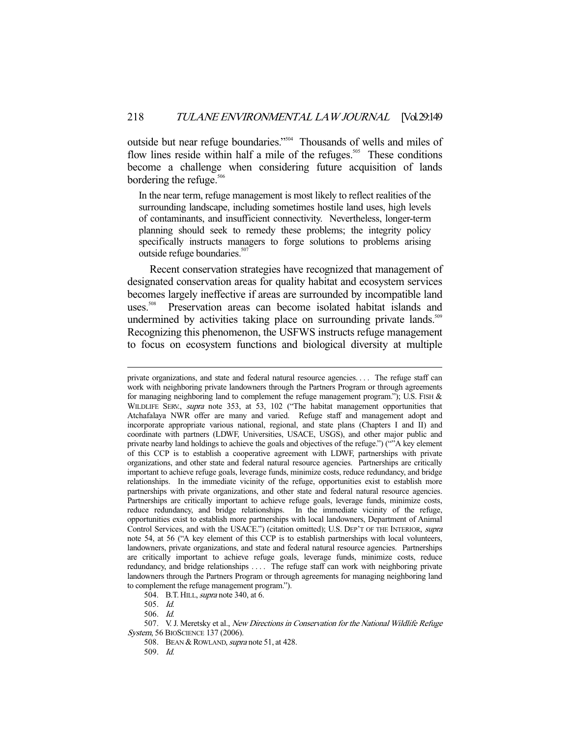outside but near refuge boundaries."504 Thousands of wells and miles of flow lines reside within half a mile of the refuges.<sup>505</sup> These conditions become a challenge when considering future acquisition of lands bordering the refuge. $506$ 

In the near term, refuge management is most likely to reflect realities of the surrounding landscape, including sometimes hostile land uses, high levels of contaminants, and insufficient connectivity. Nevertheless, longer-term planning should seek to remedy these problems; the integrity policy specifically instructs managers to forge solutions to problems arising outside refuge boundaries.<sup>507</sup>

 Recent conservation strategies have recognized that management of designated conservation areas for quality habitat and ecosystem services becomes largely ineffective if areas are surrounded by incompatible land uses.<sup>508</sup> Preservation areas can become isolated habitat islands and undermined by activities taking place on surrounding private lands.<sup>509</sup> Recognizing this phenomenon, the USFWS instructs refuge management to focus on ecosystem functions and biological diversity at multiple

504. B.T. HILL, *supra* note 340, at 6.

-

506. Id.

508. BEAN & ROWLAND, *supra* note 51, at 428.

509. Id.

private organizations, and state and federal natural resource agencies. . . . The refuge staff can work with neighboring private landowners through the Partners Program or through agreements for managing neighboring land to complement the refuge management program."); U.S. FISH  $\&$ WILDLIFE SERV., *supra* note 353, at 53, 102 ("The habitat management opportunities that Atchafalaya NWR offer are many and varied. Refuge staff and management adopt and incorporate appropriate various national, regional, and state plans (Chapters I and II) and coordinate with partners (LDWF, Universities, USACE, USGS), and other major public and private nearby land holdings to achieve the goals and objectives of the refuge.") (""A key element of this CCP is to establish a cooperative agreement with LDWF, partnerships with private organizations, and other state and federal natural resource agencies. Partnerships are critically important to achieve refuge goals, leverage funds, minimize costs, reduce redundancy, and bridge relationships. In the immediate vicinity of the refuge, opportunities exist to establish more partnerships with private organizations, and other state and federal natural resource agencies. Partnerships are critically important to achieve refuge goals, leverage funds, minimize costs, reduce redundancy, and bridge relationships. In the immediate vicinity of the refuge, opportunities exist to establish more partnerships with local landowners, Department of Animal Control Services, and with the USACE.") (citation omitted); U.S. DEP'T OF THE INTERIOR, supra note 54, at 56 ("A key element of this CCP is to establish partnerships with local volunteers, landowners, private organizations, and state and federal natural resource agencies. Partnerships are critically important to achieve refuge goals, leverage funds, minimize costs, reduce redundancy, and bridge relationships .... The refuge staff can work with neighboring private landowners through the Partners Program or through agreements for managing neighboring land to complement the refuge management program.").

 <sup>505.</sup> Id.

<sup>507.</sup> V. J. Meretsky et al., *New Directions in Conservation for the National Wildlife Refuge* System, 56 BIOSCIENCE 137 (2006).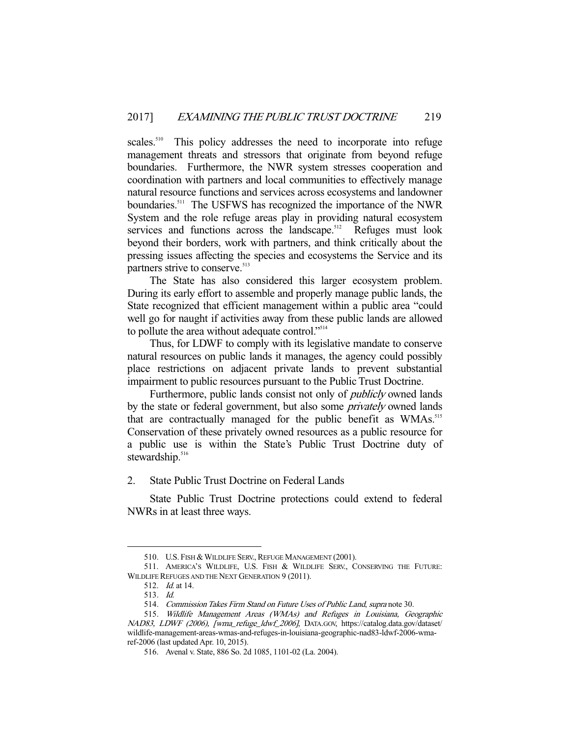scales.<sup>510</sup> This policy addresses the need to incorporate into refuge management threats and stressors that originate from beyond refuge boundaries. Furthermore, the NWR system stresses cooperation and coordination with partners and local communities to effectively manage natural resource functions and services across ecosystems and landowner boundaries.<sup>511</sup> The USFWS has recognized the importance of the NWR System and the role refuge areas play in providing natural ecosystem services and functions across the landscape.<sup>512</sup> Refuges must look beyond their borders, work with partners, and think critically about the pressing issues affecting the species and ecosystems the Service and its partners strive to conserve.<sup>513</sup>

 The State has also considered this larger ecosystem problem. During its early effort to assemble and properly manage public lands, the State recognized that efficient management within a public area "could well go for naught if activities away from these public lands are allowed to pollute the area without adequate control."<sup>514</sup>

 Thus, for LDWF to comply with its legislative mandate to conserve natural resources on public lands it manages, the agency could possibly place restrictions on adjacent private lands to prevent substantial impairment to public resources pursuant to the Public Trust Doctrine.

Furthermore, public lands consist not only of *publicly* owned lands by the state or federal government, but also some *privately* owned lands that are contractually managed for the public benefit as WMAs.<sup>515</sup> Conservation of these privately owned resources as a public resource for a public use is within the State's Public Trust Doctrine duty of stewardship. $516$ 

2. State Public Trust Doctrine on Federal Lands

 State Public Trust Doctrine protections could extend to federal NWRs in at least three ways.

<sup>510.</sup> U.S. FISH & WILDLIFE SERV., REFUGE MANAGEMENT (2001).

<sup>511.</sup> AMERICA'S WILDLIFE, U.S. FISH & WILDLIFE SERV., CONSERVING THE FUTURE: WILDLIFE REFUGES AND THE NEXT GENERATION 9 (2011).

 <sup>512.</sup> Id. at 14.

 <sup>513.</sup> Id.

 <sup>514.</sup> Commission Takes Firm Stand on Future Uses of Public Land, supra note 30.

<sup>515.</sup> Wildlife Management Areas (WMAs) and Refuges in Louisiana, Geographic NAD83, LDWF (2006), [wma\_refuge\_ldwf\_2006], DATA.GOV, https://catalog.data.gov/dataset/ wildlife-management-areas-wmas-and-refuges-in-louisiana-geographic-nad83-ldwf-2006-wmaref-2006 (last updated Apr. 10, 2015).

 <sup>516.</sup> Avenal v. State, 886 So. 2d 1085, 1101-02 (La. 2004).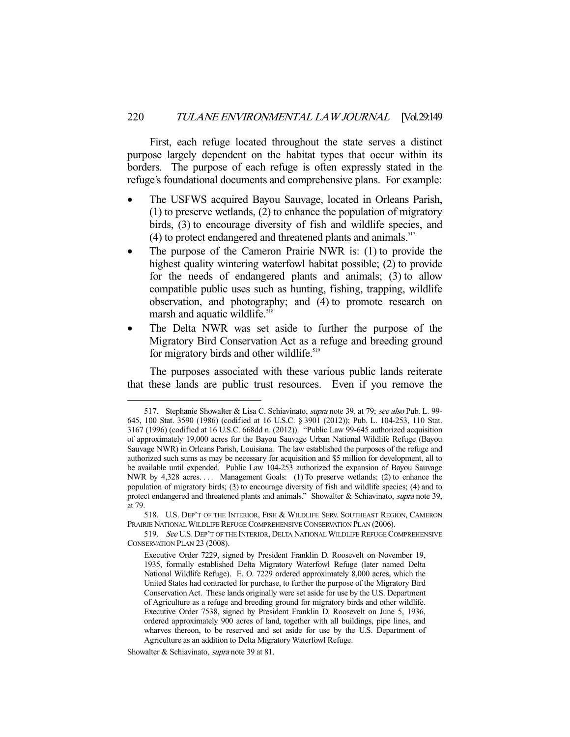First, each refuge located throughout the state serves a distinct purpose largely dependent on the habitat types that occur within its borders. The purpose of each refuge is often expressly stated in the refuge's foundational documents and comprehensive plans. For example:

- The USFWS acquired Bayou Sauvage, located in Orleans Parish, (1) to preserve wetlands, (2) to enhance the population of migratory birds, (3) to encourage diversity of fish and wildlife species, and  $(4)$  to protect endangered and threatened plants and animals.<sup>517</sup>
- The purpose of the Cameron Prairie NWR is: (1) to provide the highest quality wintering waterfowl habitat possible; (2) to provide for the needs of endangered plants and animals; (3) to allow compatible public uses such as hunting, fishing, trapping, wildlife observation, and photography; and (4) to promote research on marsh and aquatic wildlife.<sup>518</sup>
- The Delta NWR was set aside to further the purpose of the Migratory Bird Conservation Act as a refuge and breeding ground for migratory birds and other wildlife.<sup>519</sup>

 The purposes associated with these various public lands reiterate that these lands are public trust resources. Even if you remove the

<sup>517.</sup> Stephanie Showalter & Lisa C. Schiavinato, *supra* note 39, at 79; see also Pub. L. 99-645, 100 Stat. 3590 (1986) (codified at 16 U.S.C. § 3901 (2012)); Pub. L. 104-253, 110 Stat. 3167 (1996) (codified at 16 U.S.C. 668dd n. (2012)). "Public Law 99-645 authorized acquisition of approximately 19,000 acres for the Bayou Sauvage Urban National Wildlife Refuge (Bayou Sauvage NWR) in Orleans Parish, Louisiana. The law established the purposes of the refuge and authorized such sums as may be necessary for acquisition and \$5 million for development, all to be available until expended. Public Law 104-253 authorized the expansion of Bayou Sauvage NWR by 4,328 acres.... Management Goals: (1) To preserve wetlands; (2) to enhance the population of migratory birds; (3) to encourage diversity of fish and wildlife species; (4) and to protect endangered and threatened plants and animals." Showalter & Schiavinato, *supra* note 39, at 79.

 <sup>518.</sup> U.S. DEP'T OF THE INTERIOR, FISH & WILDLIFE SERV. SOUTHEAST REGION, CAMERON PRAIRIE NATIONAL WILDLIFE REFUGE COMPREHENSIVE CONSERVATION PLAN (2006).

<sup>519.</sup> See U.S. DEP'T OF THE INTERIOR, DELTA NATIONAL WILDLIFE REFUGE COMPREHENSIVE CONSERVATION PLAN 23 (2008).

Executive Order 7229, signed by President Franklin D. Roosevelt on November 19, 1935, formally established Delta Migratory Waterfowl Refuge (later named Delta National Wildlife Refuge). E. O. 7229 ordered approximately 8,000 acres, which the United States had contracted for purchase, to further the purpose of the Migratory Bird Conservation Act. These lands originally were set aside for use by the U.S. Department of Agriculture as a refuge and breeding ground for migratory birds and other wildlife. Executive Order 7538, signed by President Franklin D. Roosevelt on June 5, 1936, ordered approximately 900 acres of land, together with all buildings, pipe lines, and wharves thereon, to be reserved and set aside for use by the U.S. Department of Agriculture as an addition to Delta Migratory Waterfowl Refuge.

Showalter & Schiavinato, *supra* note 39 at 81.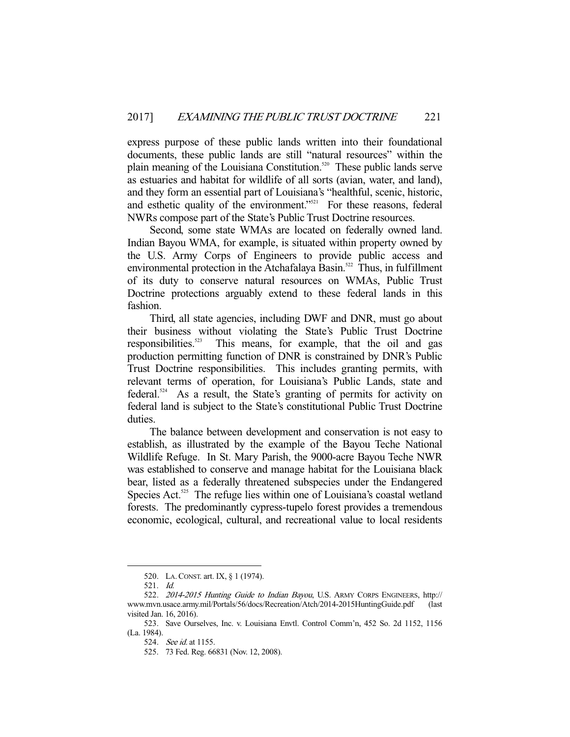express purpose of these public lands written into their foundational documents, these public lands are still "natural resources" within the plain meaning of the Louisiana Constitution.<sup>520</sup> These public lands serve as estuaries and habitat for wildlife of all sorts (avian, water, and land), and they form an essential part of Louisiana's "healthful, scenic, historic, and esthetic quality of the environment."<sup>521</sup> For these reasons, federal NWRs compose part of the State's Public Trust Doctrine resources.

 Second, some state WMAs are located on federally owned land. Indian Bayou WMA, for example, is situated within property owned by the U.S. Army Corps of Engineers to provide public access and environmental protection in the Atchafalaya Basin.<sup>522</sup> Thus, in fulfillment of its duty to conserve natural resources on WMAs, Public Trust Doctrine protections arguably extend to these federal lands in this fashion.

 Third, all state agencies, including DWF and DNR, must go about their business without violating the State's Public Trust Doctrine responsibilities.<sup>523</sup> This means, for example, that the oil and gas This means, for example, that the oil and gas production permitting function of DNR is constrained by DNR's Public Trust Doctrine responsibilities. This includes granting permits, with relevant terms of operation, for Louisiana's Public Lands, state and federal.<sup>524</sup> As a result, the State's granting of permits for activity on federal land is subject to the State's constitutional Public Trust Doctrine duties.

 The balance between development and conservation is not easy to establish, as illustrated by the example of the Bayou Teche National Wildlife Refuge. In St. Mary Parish, the 9000-acre Bayou Teche NWR was established to conserve and manage habitat for the Louisiana black bear, listed as a federally threatened subspecies under the Endangered Species Act.<sup>525</sup> The refuge lies within one of Louisiana's coastal wetland forests. The predominantly cypress-tupelo forest provides a tremendous economic, ecological, cultural, and recreational value to local residents

 <sup>520.</sup> LA.CONST. art. IX, § 1 (1974).

 <sup>521.</sup> Id.

 <sup>522.</sup> 2014-2015 Hunting Guide to Indian Bayou, U.S. ARMY CORPS ENGINEERS, http:// www.mvn.usace.army.mil/Portals/56/docs/Recreation/Atch/2014-2015HuntingGuide.pdf (last visited Jan. 16, 2016).

 <sup>523.</sup> Save Ourselves, Inc. v. Louisiana Envtl. Control Comm'n, 452 So. 2d 1152, 1156 (La. 1984).

 <sup>524.</sup> See id. at 1155.

 <sup>525. 73</sup> Fed. Reg. 66831 (Nov. 12, 2008).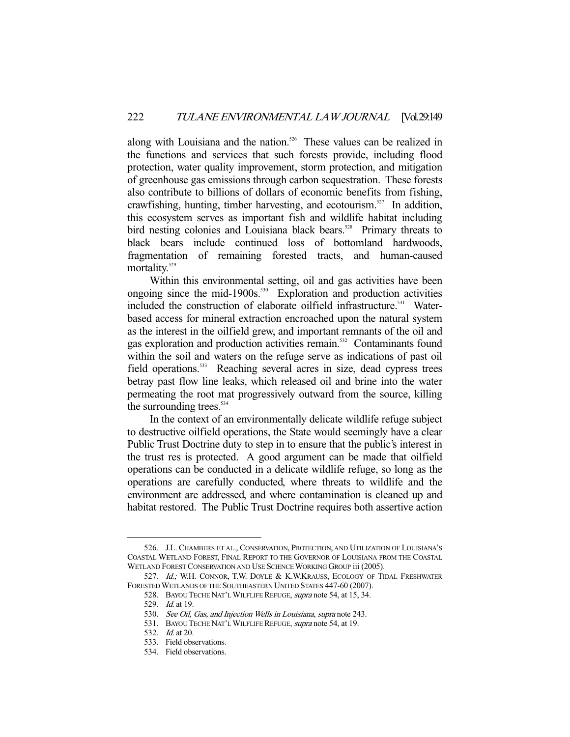along with Louisiana and the nation.<sup>526</sup> These values can be realized in the functions and services that such forests provide, including flood protection, water quality improvement, storm protection, and mitigation of greenhouse gas emissions through carbon sequestration. These forests also contribute to billions of dollars of economic benefits from fishing, crawfishing, hunting, timber harvesting, and ecotourism.<sup>527</sup> In addition, this ecosystem serves as important fish and wildlife habitat including bird nesting colonies and Louisiana black bears.<sup>528</sup> Primary threats to black bears include continued loss of bottomland hardwoods, fragmentation of remaining forested tracts, and human-caused mortality.<sup>529</sup>

 Within this environmental setting, oil and gas activities have been ongoing since the mid-1900s. $530$  Exploration and production activities included the construction of elaborate oilfield infrastructure.<sup>531</sup> Waterbased access for mineral extraction encroached upon the natural system as the interest in the oilfield grew, and important remnants of the oil and gas exploration and production activities remain.<sup>532</sup> Contaminants found within the soil and waters on the refuge serve as indications of past oil field operations.<sup>533</sup> Reaching several acres in size, dead cypress trees betray past flow line leaks, which released oil and brine into the water permeating the root mat progressively outward from the source, killing the surrounding trees.<sup>534</sup>

 In the context of an environmentally delicate wildlife refuge subject to destructive oilfield operations, the State would seemingly have a clear Public Trust Doctrine duty to step in to ensure that the public's interest in the trust res is protected. A good argument can be made that oilfield operations can be conducted in a delicate wildlife refuge, so long as the operations are carefully conducted, where threats to wildlife and the environment are addressed, and where contamination is cleaned up and habitat restored. The Public Trust Doctrine requires both assertive action

 <sup>526.</sup> J.L. CHAMBERS ET AL., CONSERVATION, PROTECTION, AND UTILIZATION OF LOUISIANA'S COASTAL WETLAND FOREST, FINAL REPORT TO THE GOVERNOR OF LOUISIANA FROM THE COASTAL WETLAND FOREST CONSERVATION AND USE SCIENCE WORKING GROUP iii (2005).

<sup>527.</sup> Id.; W.H. CONNOR, T.W. DOYLE & K.W.KRAUSS, ECOLOGY OF TIDAL FRESHWATER FORESTED WETLANDS OF THE SOUTHEASTERN UNITED STATES 447-60 (2007).

 <sup>528.</sup> BAYOU TECHE NAT'L WILFLIFE REFUGE, supra note 54, at 15, 34.

<sup>529.</sup> *Id.* at 19.

<sup>530.</sup> See Oil, Gas, and Injection Wells in Louisiana, supra note 243.

<sup>531.</sup> BAYOU TECHE NAT'L WILFLIFE REFUGE, supra note 54, at 19.

<sup>532.</sup> *Id.* at 20.

 <sup>533.</sup> Field observations.

 <sup>534.</sup> Field observations.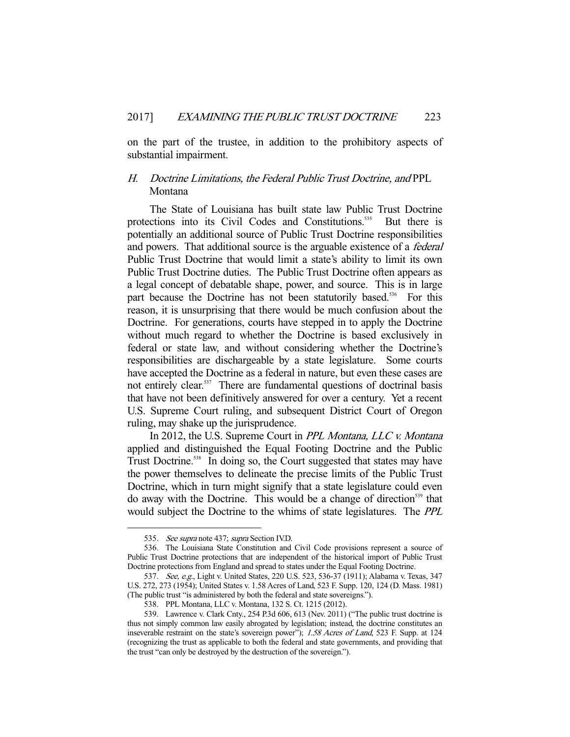on the part of the trustee, in addition to the prohibitory aspects of substantial impairment.

# H. Doctrine Limitations, the Federal Public Trust Doctrine, and PPL Montana

 The State of Louisiana has built state law Public Trust Doctrine protections into its Civil Codes and Constitutions.<sup>535</sup> But there is potentially an additional source of Public Trust Doctrine responsibilities and powers. That additional source is the arguable existence of a federal Public Trust Doctrine that would limit a state's ability to limit its own Public Trust Doctrine duties. The Public Trust Doctrine often appears as a legal concept of debatable shape, power, and source. This is in large part because the Doctrine has not been statutorily based.<sup>536</sup> For this reason, it is unsurprising that there would be much confusion about the Doctrine. For generations, courts have stepped in to apply the Doctrine without much regard to whether the Doctrine is based exclusively in federal or state law, and without considering whether the Doctrine's responsibilities are dischargeable by a state legislature. Some courts have accepted the Doctrine as a federal in nature, but even these cases are not entirely clear.<sup>537</sup> There are fundamental questions of doctrinal basis that have not been definitively answered for over a century. Yet a recent U.S. Supreme Court ruling, and subsequent District Court of Oregon ruling, may shake up the jurisprudence.

 In 2012, the U.S. Supreme Court in PPL Montana, LLC v. Montana applied and distinguished the Equal Footing Doctrine and the Public Trust Doctrine.<sup>538</sup> In doing so, the Court suggested that states may have the power themselves to delineate the precise limits of the Public Trust Doctrine, which in turn might signify that a state legislature could even do away with the Doctrine. This would be a change of direction<sup>539</sup> that would subject the Doctrine to the whims of state legislatures. The PPL

<sup>535.</sup> See supra note 437; supra Section IV.D.

 <sup>536.</sup> The Louisiana State Constitution and Civil Code provisions represent a source of Public Trust Doctrine protections that are independent of the historical import of Public Trust Doctrine protections from England and spread to states under the Equal Footing Doctrine.

<sup>537.</sup> See, e.g., Light v. United States, 220 U.S. 523, 536-37 (1911); Alabama v. Texas, 347 U.S. 272, 273 (1954); United States v. 1.58 Acres of Land, 523 F. Supp. 120, 124 (D. Mass. 1981) (The public trust "is administered by both the federal and state sovereigns.").

 <sup>538.</sup> PPL Montana, LLC v. Montana, 132 S. Ct. 1215 (2012).

 <sup>539.</sup> Lawrence v. Clark Cnty., 254 P.3d 606, 613 (Nev. 2011) ("The public trust doctrine is thus not simply common law easily abrogated by legislation; instead, the doctrine constitutes an inseverable restraint on the state's sovereign power"); 1.58 Acres of Land, 523 F. Supp. at 124 (recognizing the trust as applicable to both the federal and state governments, and providing that the trust "can only be destroyed by the destruction of the sovereign.").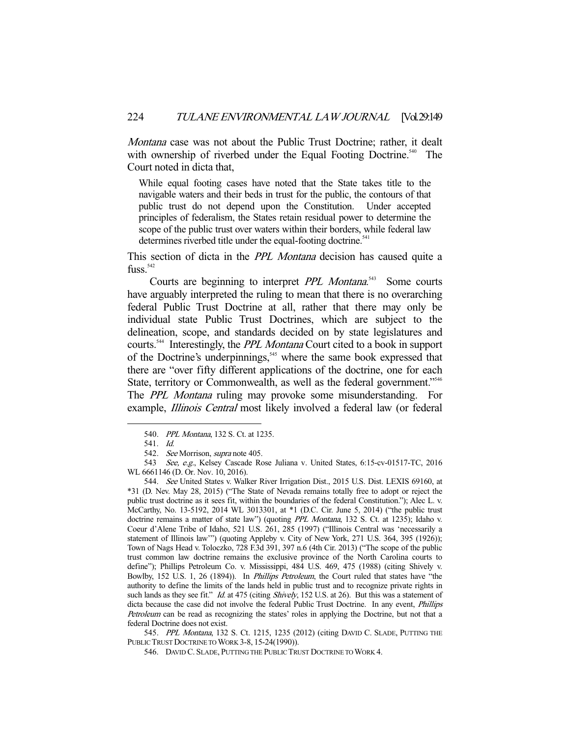Montana case was not about the Public Trust Doctrine; rather, it dealt with ownership of riverbed under the Equal Footing Doctrine.<sup>540</sup> The Court noted in dicta that,

While equal footing cases have noted that the State takes title to the navigable waters and their beds in trust for the public, the contours of that public trust do not depend upon the Constitution. Under accepted principles of federalism, the States retain residual power to determine the scope of the public trust over waters within their borders, while federal law determines riverbed title under the equal-footing doctrine.<sup>541</sup>

This section of dicta in the *PPL Montana* decision has caused quite a  $f$ uss.<sup>542</sup>

Courts are beginning to interpret *PPL Montana*.<sup>543</sup> Some courts have arguably interpreted the ruling to mean that there is no overarching federal Public Trust Doctrine at all, rather that there may only be individual state Public Trust Doctrines, which are subject to the delineation, scope, and standards decided on by state legislatures and courts.544 Interestingly, the PPL Montana Court cited to a book in support of the Doctrine's underpinnings,<sup>545</sup> where the same book expressed that there are "over fifty different applications of the doctrine, one for each State, territory or Commonwealth, as well as the federal government."<sup>546</sup> The PPL Montana ruling may provoke some misunderstanding. For example, *Illinois Central* most likely involved a federal law (or federal

-

545. PPL Montana, 132 S. Ct. 1215, 1235 (2012) (citing DAVID C. SLADE, PUTTING THE PUBLIC TRUST DOCTRINE TO WORK 3-8, 15-24(1990)).

<sup>540.</sup> PPL Montana, 132 S. Ct. at 1235.

 <sup>541.</sup> Id.

<sup>542.</sup> See Morrison, supra note 405.

 <sup>543</sup> See, e.g., Kelsey Cascade Rose Juliana v. United States, 6:15-cv-01517-TC, 2016 WL 6661146 (D. Or. Nov. 10, 2016).

 <sup>544.</sup> See United States v. Walker River Irrigation Dist., 2015 U.S. Dist. LEXIS 69160, at \*31 (D. Nev. May 28, 2015) ("The State of Nevada remains totally free to adopt or reject the public trust doctrine as it sees fit, within the boundaries of the federal Constitution."); Alec L. v. McCarthy, No. 13-5192, 2014 WL 3013301, at \*1 (D.C. Cir. June 5, 2014) ("the public trust doctrine remains a matter of state law") (quoting PPL Montana, 132 S. Ct. at 1235); Idaho v. Coeur d'Alene Tribe of Idaho, 521 U.S. 261, 285 (1997) ("Illinois Central was 'necessarily a statement of Illinois law'") (quoting Appleby v. City of New York, 271 U.S. 364, 395 (1926)); Town of Nags Head v. Toloczko, 728 F.3d 391, 397 n.6 (4th Cir. 2013) ("The scope of the public trust common law doctrine remains the exclusive province of the North Carolina courts to define"); Phillips Petroleum Co. v. Mississippi, 484 U.S. 469, 475 (1988) (citing Shively v. Bowlby, 152 U.S. 1, 26 (1894)). In Phillips Petroleum, the Court ruled that states have "the authority to define the limits of the lands held in public trust and to recognize private rights in such lands as they see fit." *Id.* at 475 (citing *Shively*, 152 U.S. at 26). But this was a statement of dicta because the case did not involve the federal Public Trust Doctrine. In any event, Phillips Petroleum can be read as recognizing the states' roles in applying the Doctrine, but not that a federal Doctrine does not exist.

 <sup>546.</sup> DAVID C. SLADE, PUTTING THE PUBLIC TRUST DOCTRINE TO WORK 4.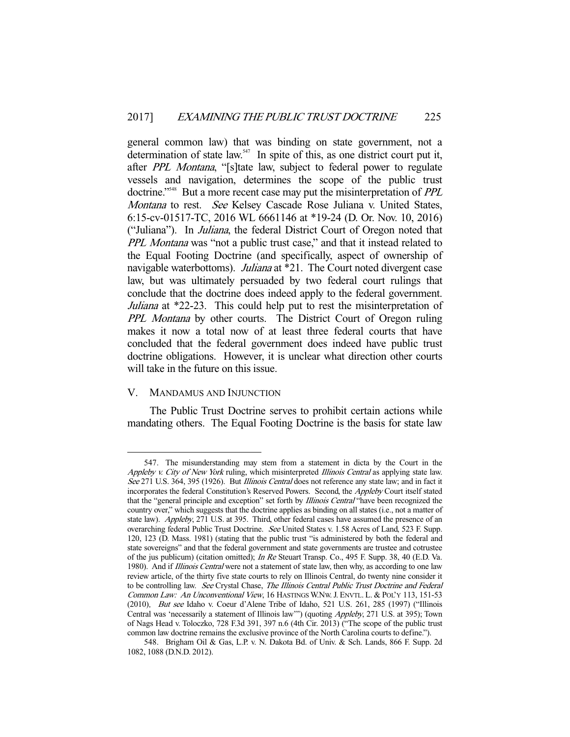general common law) that was binding on state government, not a determination of state law. $547$  In spite of this, as one district court put it, after PPL Montana, "[s]tate law, subject to federal power to regulate vessels and navigation, determines the scope of the public trust doctrine."<sup>548</sup> But a more recent case may put the misinterpretation of *PPL* Montana to rest. See Kelsey Cascade Rose Juliana v. United States, 6:15-cv-01517-TC, 2016 WL 6661146 at \*19-24 (D. Or. Nov. 10, 2016) ("Juliana"). In Juliana, the federal District Court of Oregon noted that PPL Montana was "not a public trust case," and that it instead related to the Equal Footing Doctrine (and specifically, aspect of ownership of navigable waterbottoms). *Juliana* at \*21. The Court noted divergent case law, but was ultimately persuaded by two federal court rulings that conclude that the doctrine does indeed apply to the federal government. Juliana at \*22-23. This could help put to rest the misinterpretation of PPL Montana by other courts. The District Court of Oregon ruling makes it now a total now of at least three federal courts that have concluded that the federal government does indeed have public trust doctrine obligations. However, it is unclear what direction other courts will take in the future on this issue.

# V. MANDAMUS AND INJUNCTION

-

 The Public Trust Doctrine serves to prohibit certain actions while mandating others. The Equal Footing Doctrine is the basis for state law

 <sup>547.</sup> The misunderstanding may stem from a statement in dicta by the Court in the Appleby v. City of New York ruling, which misinterpreted Illinois Central as applying state law. See 271 U.S. 364, 395 (1926). But *Illinois Central* does not reference any state law; and in fact it incorporates the federal Constitution's Reserved Powers. Second, the Appleby Court itself stated that the "general principle and exception" set forth by Illinois Central "have been recognized the country over," which suggests that the doctrine applies as binding on all states (i.e., not a matter of state law). Appleby, 271 U.S. at 395. Third, other federal cases have assumed the presence of an overarching federal Public Trust Doctrine. See United States v. 1.58 Acres of Land, 523 F. Supp. 120, 123 (D. Mass. 1981) (stating that the public trust "is administered by both the federal and state sovereigns" and that the federal government and state governments are trustee and cotrustee of the jus publicum) (citation omitted); In Re Steuart Transp. Co., 495 F. Supp. 38, 40 (E.D. Va. 1980). And if Illinois Central were not a statement of state law, then why, as according to one law review article, of the thirty five state courts to rely on Illinois Central, do twenty nine consider it to be controlling law. See Crystal Chase, The Illinois Central Public Trust Doctrine and Federal Common Law: An Unconventional View, 16 HASTINGS W.NW.J. ENVTL. L. & POL'Y 113, 151-53 (2010). But see Idaho v. Coeur d'Alene Tribe of Idaho, 521 U.S. 261, 285 (1997) ("Illinois Central was 'necessarily a statement of Illinois law'") (quoting Appleby, 271 U.S. at 395); Town of Nags Head v. Toloczko, 728 F.3d 391, 397 n.6 (4th Cir. 2013) ("The scope of the public trust common law doctrine remains the exclusive province of the North Carolina courts to define.").

 <sup>548.</sup> Brigham Oil & Gas, L.P. v. N. Dakota Bd. of Univ. & Sch. Lands, 866 F. Supp. 2d 1082, 1088 (D.N.D. 2012).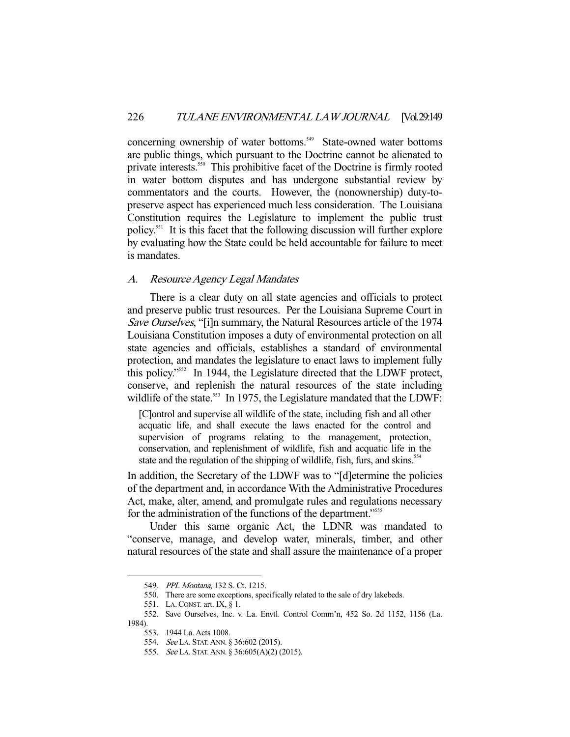concerning ownership of water bottoms.<sup>549</sup> State-owned water bottoms are public things, which pursuant to the Doctrine cannot be alienated to private interests.<sup>550</sup> This prohibitive facet of the Doctrine is firmly rooted in water bottom disputes and has undergone substantial review by commentators and the courts. However, the (nonownership) duty-topreserve aspect has experienced much less consideration. The Louisiana Constitution requires the Legislature to implement the public trust policy.551 It is this facet that the following discussion will further explore by evaluating how the State could be held accountable for failure to meet is mandates.

# A. Resource Agency Legal Mandates

 There is a clear duty on all state agencies and officials to protect and preserve public trust resources. Per the Louisiana Supreme Court in Save Ourselves, "[i]n summary, the Natural Resources article of the 1974 Louisiana Constitution imposes a duty of environmental protection on all state agencies and officials, establishes a standard of environmental protection, and mandates the legislature to enact laws to implement fully this policy."552 In 1944, the Legislature directed that the LDWF protect, conserve, and replenish the natural resources of the state including wildlife of the state.<sup>553</sup> In 1975, the Legislature mandated that the LDWF:

[C]ontrol and supervise all wildlife of the state, including fish and all other acquatic life, and shall execute the laws enacted for the control and supervision of programs relating to the management, protection, conservation, and replenishment of wildlife, fish and acquatic life in the state and the regulation of the shipping of wildlife, fish, furs, and skins.<sup>554</sup>

In addition, the Secretary of the LDWF was to "[d]etermine the policies of the department and, in accordance With the Administrative Procedures Act, make, alter, amend, and promulgate rules and regulations necessary for the administration of the functions of the department."<sup>5555</sup>

 Under this same organic Act, the LDNR was mandated to "conserve, manage, and develop water, minerals, timber, and other natural resources of the state and shall assure the maintenance of a proper

 <sup>549.</sup> PPL Montana, 132 S. Ct. 1215.

 <sup>550.</sup> There are some exceptions, specifically related to the sale of dry lakebeds.

 <sup>551.</sup> LA.CONST. art. IX, § 1.

 <sup>552.</sup> Save Ourselves, Inc. v. La. Envtl. Control Comm'n, 452 So. 2d 1152, 1156 (La. 1984).

 <sup>553. 1944</sup> La. Acts 1008.

 <sup>554.</sup> See LA. STAT.ANN. § 36:602 (2015).

 <sup>555.</sup> See LA. STAT.ANN. § 36:605(A)(2) (2015).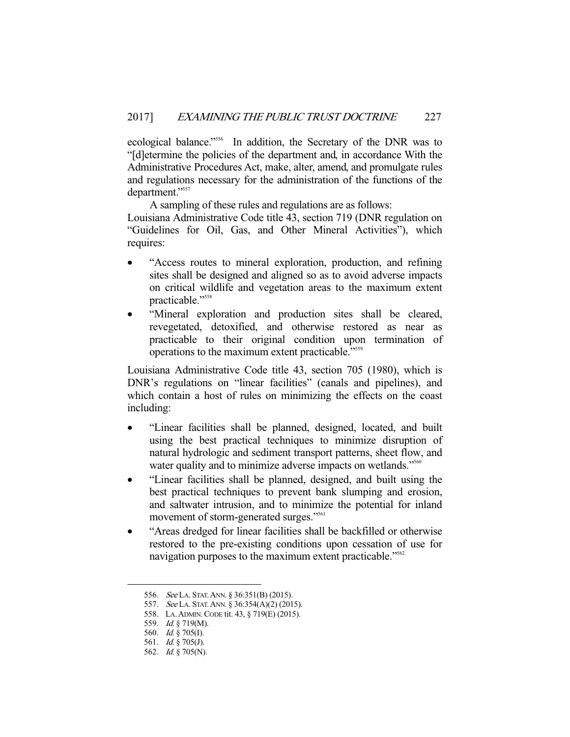ecological balance."556 In addition, the Secretary of the DNR was to "[d]etermine the policies of the department and, in accordance With the Administrative Procedures Act, make, alter, amend, and promulgate rules and regulations necessary for the administration of the functions of the department."557

 A sampling of these rules and regulations are as follows: Louisiana Administrative Code title 43, section 719 (DNR regulation on "Guidelines for Oil, Gas, and Other Mineral Activities"), which requires:

- "Access routes to mineral exploration, production, and refining sites shall be designed and aligned so as to avoid adverse impacts on critical wildlife and vegetation areas to the maximum extent practicable."558
- "Mineral exploration and production sites shall be cleared, revegetated, detoxified, and otherwise restored as near as practicable to their original condition upon termination of operations to the maximum extent practicable."559

Louisiana Administrative Code title 43, section 705 (1980), which is DNR's regulations on "linear facilities" (canals and pipelines), and which contain a host of rules on minimizing the effects on the coast including:

- "Linear facilities shall be planned, designed, located, and built using the best practical techniques to minimize disruption of natural hydrologic and sediment transport patterns, sheet flow, and water quality and to minimize adverse impacts on wetlands."<sup>560</sup>
- "Linear facilities shall be planned, designed, and built using the best practical techniques to prevent bank slumping and erosion, and saltwater intrusion, and to minimize the potential for inland movement of storm-generated surges."<sup>561</sup>
- "Areas dredged for linear facilities shall be backfilled or otherwise restored to the pre-existing conditions upon cessation of use for navigation purposes to the maximum extent practicable."<sup>562</sup>

<sup>556.</sup> See LA. STAT. ANN. § 36:351(B) (2015).

<sup>557.</sup> See LA. STAT. ANN. § 36:354(A)(2) (2015).

 <sup>558.</sup> LA.ADMIN.CODE tit. 43, § 719(E) (2015).

<sup>559.</sup> *Id.* § 719(M).

 <sup>560.</sup> Id. § 705(I).

 <sup>561.</sup> Id. § 705(J).

 <sup>562.</sup> Id. § 705(N).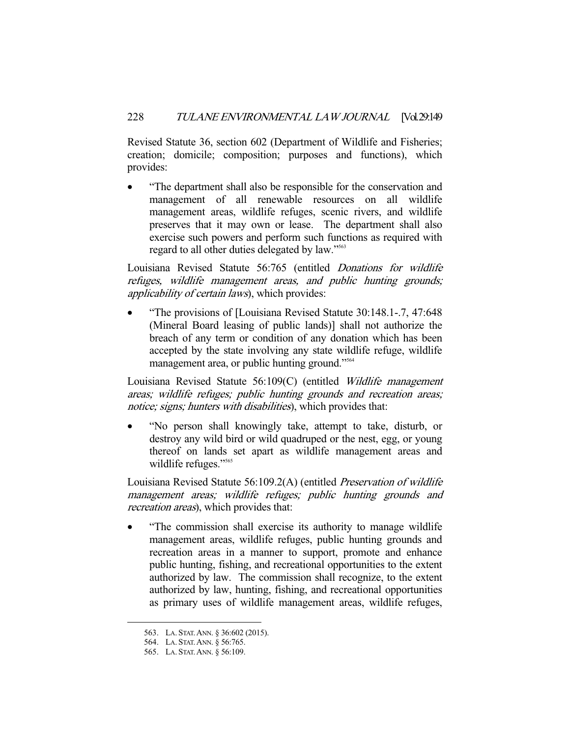Revised Statute 36, section 602 (Department of Wildlife and Fisheries; creation; domicile; composition; purposes and functions), which provides:

 "The department shall also be responsible for the conservation and management of all renewable resources on all wildlife management areas, wildlife refuges, scenic rivers, and wildlife preserves that it may own or lease. The department shall also exercise such powers and perform such functions as required with regard to all other duties delegated by law."<sup>563</sup>

Louisiana Revised Statute 56:765 (entitled Donations for wildlife refuges, wildlife management areas, and public hunting grounds; applicability of certain laws), which provides:

 "The provisions of [Louisiana Revised Statute 30:148.1-.7, 47:648 (Mineral Board leasing of public lands)] shall not authorize the breach of any term or condition of any donation which has been accepted by the state involving any state wildlife refuge, wildlife management area, or public hunting ground."<sup>564</sup>

Louisiana Revised Statute 56:109(C) (entitled Wildlife management areas; wildlife refuges; public hunting grounds and recreation areas; notice; signs; hunters with disabilities), which provides that:

 "No person shall knowingly take, attempt to take, disturb, or destroy any wild bird or wild quadruped or the nest, egg, or young thereof on lands set apart as wildlife management areas and wildlife refuges."<sup>565</sup>

Louisiana Revised Statute 56:109.2(A) (entitled Preservation of wildlife management areas; wildlife refuges; public hunting grounds and recreation areas), which provides that:

 "The commission shall exercise its authority to manage wildlife management areas, wildlife refuges, public hunting grounds and recreation areas in a manner to support, promote and enhance public hunting, fishing, and recreational opportunities to the extent authorized by law. The commission shall recognize, to the extent authorized by law, hunting, fishing, and recreational opportunities as primary uses of wildlife management areas, wildlife refuges,

 <sup>563.</sup> LA. STAT.ANN. § 36:602 (2015).

 <sup>564.</sup> LA. STAT.ANN. § 56:765.

 <sup>565.</sup> LA. STAT.ANN. § 56:109.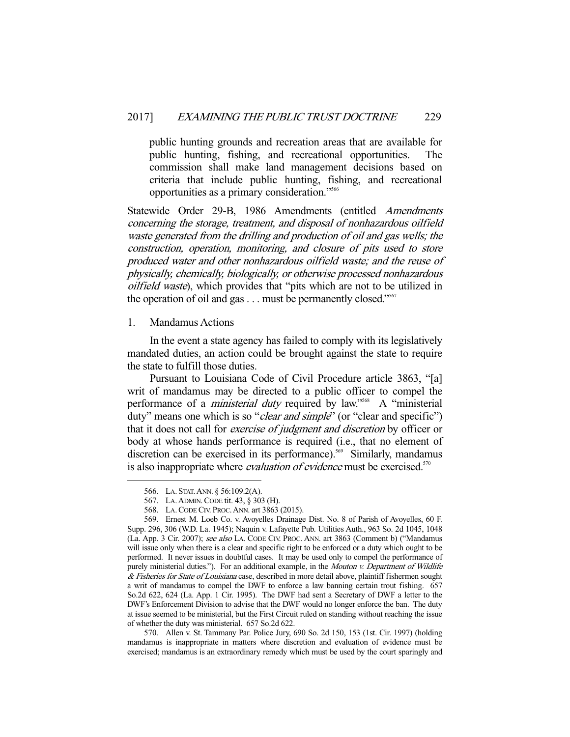public hunting grounds and recreation areas that are available for public hunting, fishing, and recreational opportunities. The commission shall make land management decisions based on criteria that include public hunting, fishing, and recreational opportunities as a primary consideration."566

Statewide Order 29-B, 1986 Amendments (entitled Amendments concerning the storage, treatment, and disposal of nonhazardous oilfield waste generated from the drilling and production of oil and gas wells; the construction, operation, monitoring, and closure of pits used to store produced water and other nonhazardous oilfield waste; and the reuse of physically, chemically, biologically, or otherwise processed nonhazardous oilfield waste), which provides that "pits which are not to be utilized in the operation of oil and gas  $\dots$  must be permanently closed."<sup>567</sup>

### 1. Mandamus Actions

 In the event a state agency has failed to comply with its legislatively mandated duties, an action could be brought against the state to require the state to fulfill those duties.

 Pursuant to Louisiana Code of Civil Procedure article 3863, "[a] writ of mandamus may be directed to a public officer to compel the performance of a *ministerial duty* required by law."<sup>568</sup> A "ministerial duty" means one which is so "*clear and simple*" (or "clear and specific") that it does not call for exercise of judgment and discretion by officer or body at whose hands performance is required (i.e., that no element of discretion can be exercised in its performance).<sup>569</sup> Similarly, mandamus is also inappropriate where *evaluation of evidence* must be exercised.<sup>570</sup>

-

 570. Allen v. St. Tammany Par. Police Jury, 690 So. 2d 150, 153 (1st. Cir. 1997) (holding mandamus is inappropriate in matters where discretion and evaluation of evidence must be exercised; mandamus is an extraordinary remedy which must be used by the court sparingly and

 <sup>566.</sup> LA. STAT.ANN. § 56:109.2(A).

 <sup>567.</sup> LA.ADMIN.CODE tit. 43, § 303 (H).

 <sup>568.</sup> LA.CODE CIV. PROC.ANN. art 3863 (2015).

 <sup>569.</sup> Ernest M. Loeb Co. v. Avoyelles Drainage Dist. No. 8 of Parish of Avoyelles, 60 F. Supp. 296, 306 (W.D. La. 1945); Naquin v. Lafayette Pub. Utilities Auth., 963 So. 2d 1045, 1048 (La. App. 3 Cir. 2007); see also LA. CODE CIV. PROC. ANN. art 3863 (Comment b) ("Mandamus will issue only when there is a clear and specific right to be enforced or a duty which ought to be performed. It never issues in doubtful cases. It may be used only to compel the performance of purely ministerial duties."). For an additional example, in the Mouton v. Department of Wildlife & Fisheries for State of Louisiana case, described in more detail above, plaintiff fishermen sought a writ of mandamus to compel the DWF to enforce a law banning certain trout fishing. 657 So.2d 622, 624 (La. App. 1 Cir. 1995). The DWF had sent a Secretary of DWF a letter to the DWF's Enforcement Division to advise that the DWF would no longer enforce the ban. The duty at issue seemed to be ministerial, but the First Circuit ruled on standing without reaching the issue of whether the duty was ministerial. 657 So.2d 622.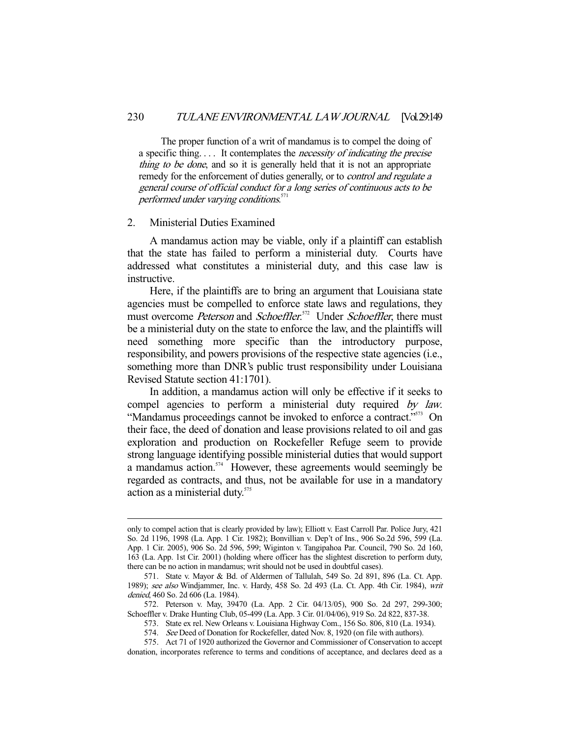The proper function of a writ of mandamus is to compel the doing of a specific thing. . . . It contemplates the necessity of indicating the precise thing to be done, and so it is generally held that it is not an appropriate remedy for the enforcement of duties generally, or to *control and regulate a* general course of official conduct for a long series of continuous acts to be performed under varying conditions.<sup>571</sup>

#### 2. Ministerial Duties Examined

-

 A mandamus action may be viable, only if a plaintiff can establish that the state has failed to perform a ministerial duty. Courts have addressed what constitutes a ministerial duty, and this case law is instructive.

 Here, if the plaintiffs are to bring an argument that Louisiana state agencies must be compelled to enforce state laws and regulations, they must overcome *Peterson* and *Schoeffler*.<sup>572</sup> Under *Schoeffler*, there must be a ministerial duty on the state to enforce the law, and the plaintiffs will need something more specific than the introductory purpose, responsibility, and powers provisions of the respective state agencies (i.e., something more than DNR's public trust responsibility under Louisiana Revised Statute section 41:1701).

 In addition, a mandamus action will only be effective if it seeks to compel agencies to perform a ministerial duty required by law. "Mandamus proceedings cannot be invoked to enforce a contract."<sup>573</sup> On their face, the deed of donation and lease provisions related to oil and gas exploration and production on Rockefeller Refuge seem to provide strong language identifying possible ministerial duties that would support a mandamus action.<sup>574</sup> However, these agreements would seemingly be regarded as contracts, and thus, not be available for use in a mandatory action as a ministerial duty.<sup>575</sup>

only to compel action that is clearly provided by law); Elliott v. East Carroll Par. Police Jury, 421 So. 2d 1196, 1998 (La. App. 1 Cir. 1982); Bonvillian v. Dep't of Ins., 906 So.2d 596, 599 (La. App. 1 Cir. 2005), 906 So. 2d 596, 599; Wiginton v. Tangipahoa Par. Council, 790 So. 2d 160, 163 (La. App. 1st Cir. 2001) (holding where officer has the slightest discretion to perform duty, there can be no action in mandamus; writ should not be used in doubtful cases).

 <sup>571.</sup> State v. Mayor & Bd. of Aldermen of Tallulah, 549 So. 2d 891, 896 (La. Ct. App. 1989); see also Windjammer, Inc. v. Hardy, 458 So. 2d 493 (La. Ct. App. 4th Cir. 1984), writ denied, 460 So. 2d 606 (La. 1984).

 <sup>572.</sup> Peterson v. May, 39470 (La. App. 2 Cir. 04/13/05), 900 So. 2d 297, 299-300; Schoeffler v. Drake Hunting Club, 05-499 (La. App. 3 Cir. 01/04/06), 919 So. 2d 822, 837-38.

 <sup>573.</sup> State ex rel. New Orleans v. Louisiana Highway Com., 156 So. 806, 810 (La. 1934).

<sup>574.</sup> See Deed of Donation for Rockefeller, dated Nov. 8, 1920 (on file with authors).

 <sup>575.</sup> Act 71 of 1920 authorized the Governor and Commissioner of Conservation to accept donation, incorporates reference to terms and conditions of acceptance, and declares deed as a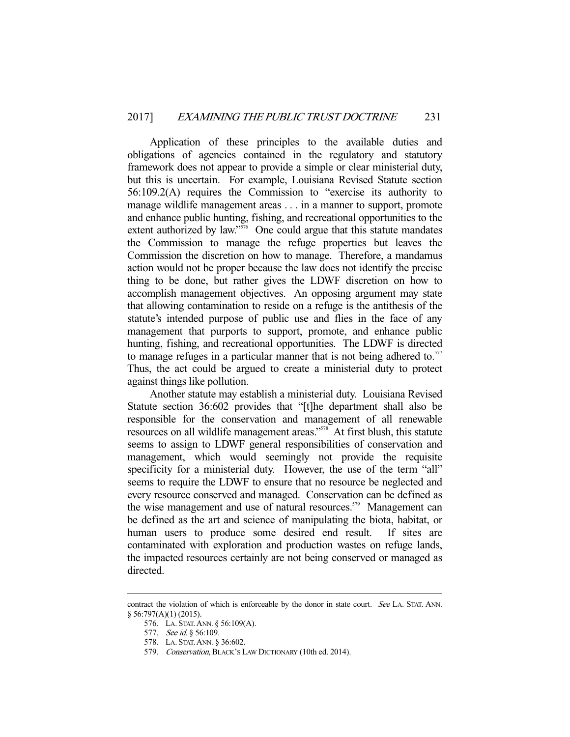Application of these principles to the available duties and obligations of agencies contained in the regulatory and statutory framework does not appear to provide a simple or clear ministerial duty, but this is uncertain. For example, Louisiana Revised Statute section 56:109.2(A) requires the Commission to "exercise its authority to manage wildlife management areas . . . in a manner to support, promote and enhance public hunting, fishing, and recreational opportunities to the extent authorized by law."<sup>576</sup> One could argue that this statute mandates the Commission to manage the refuge properties but leaves the Commission the discretion on how to manage. Therefore, a mandamus action would not be proper because the law does not identify the precise thing to be done, but rather gives the LDWF discretion on how to accomplish management objectives. An opposing argument may state that allowing contamination to reside on a refuge is the antithesis of the statute's intended purpose of public use and flies in the face of any management that purports to support, promote, and enhance public hunting, fishing, and recreational opportunities. The LDWF is directed to manage refuges in a particular manner that is not being adhered to.<sup>577</sup> Thus, the act could be argued to create a ministerial duty to protect against things like pollution.

 Another statute may establish a ministerial duty. Louisiana Revised Statute section 36:602 provides that "[t]he department shall also be responsible for the conservation and management of all renewable resources on all wildlife management areas."<sup>578</sup> At first blush, this statute seems to assign to LDWF general responsibilities of conservation and management, which would seemingly not provide the requisite specificity for a ministerial duty. However, the use of the term "all" seems to require the LDWF to ensure that no resource be neglected and every resource conserved and managed. Conservation can be defined as the wise management and use of natural resources.<sup>579</sup> Management can be defined as the art and science of manipulating the biota, habitat, or human users to produce some desired end result. If sites are contaminated with exploration and production wastes on refuge lands, the impacted resources certainly are not being conserved or managed as directed.

contract the violation of which is enforceable by the donor in state court. See LA. STAT. ANN. § 56:797(A)(1) (2015).

 <sup>576.</sup> LA. STAT.ANN. § 56:109(A).

<sup>577.</sup> See id. § 56:109.

 <sup>578.</sup> LA. STAT.ANN. § 36:602.

 <sup>579.</sup> Conservation, BLACK'S LAW DICTIONARY (10th ed. 2014).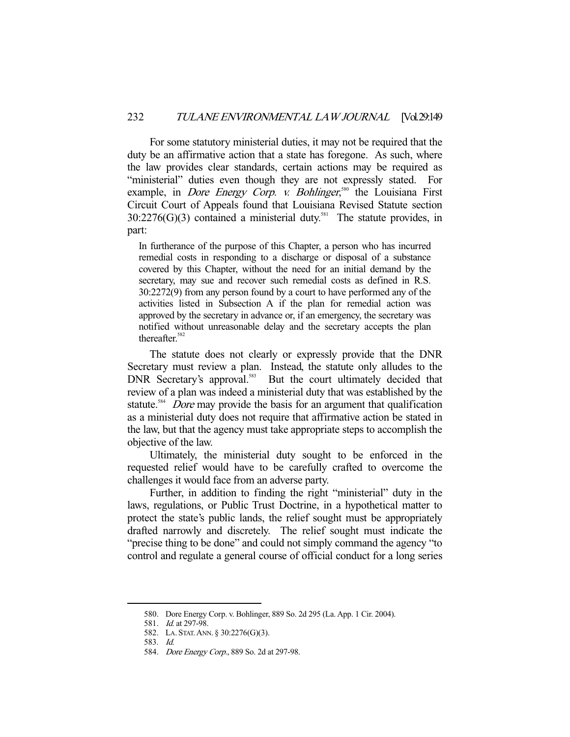For some statutory ministerial duties, it may not be required that the duty be an affirmative action that a state has foregone. As such, where the law provides clear standards, certain actions may be required as "ministerial" duties even though they are not expressly stated. For example, in *Dore Energy Corp. v. Bohlinger*,<sup>580</sup> the Louisiana First Circuit Court of Appeals found that Louisiana Revised Statute section  $30:2276(G)(3)$  contained a ministerial duty.<sup>581</sup> The statute provides, in part:

In furtherance of the purpose of this Chapter, a person who has incurred remedial costs in responding to a discharge or disposal of a substance covered by this Chapter, without the need for an initial demand by the secretary, may sue and recover such remedial costs as defined in R.S. 30:2272(9) from any person found by a court to have performed any of the activities listed in Subsection A if the plan for remedial action was approved by the secretary in advance or, if an emergency, the secretary was notified without unreasonable delay and the secretary accepts the plan thereafter.<sup>582</sup>

 The statute does not clearly or expressly provide that the DNR Secretary must review a plan. Instead, the statute only alludes to the DNR Secretary's approval.<sup>583</sup> But the court ultimately decided that review of a plan was indeed a ministerial duty that was established by the statute.<sup>584</sup> *Dore* may provide the basis for an argument that qualification as a ministerial duty does not require that affirmative action be stated in the law, but that the agency must take appropriate steps to accomplish the objective of the law.

 Ultimately, the ministerial duty sought to be enforced in the requested relief would have to be carefully crafted to overcome the challenges it would face from an adverse party.

 Further, in addition to finding the right "ministerial" duty in the laws, regulations, or Public Trust Doctrine, in a hypothetical matter to protect the state's public lands, the relief sought must be appropriately drafted narrowly and discretely. The relief sought must indicate the "precise thing to be done" and could not simply command the agency "to control and regulate a general course of official conduct for a long series

 <sup>580.</sup> Dore Energy Corp. v. Bohlinger, 889 So. 2d 295 (La. App. 1 Cir. 2004).

<sup>581.</sup> *Id.* at 297-98.

 <sup>582.</sup> LA. STAT.ANN. § 30:2276(G)(3).

 <sup>583.</sup> Id.

 <sup>584.</sup> Dore Energy Corp., 889 So. 2d at 297-98.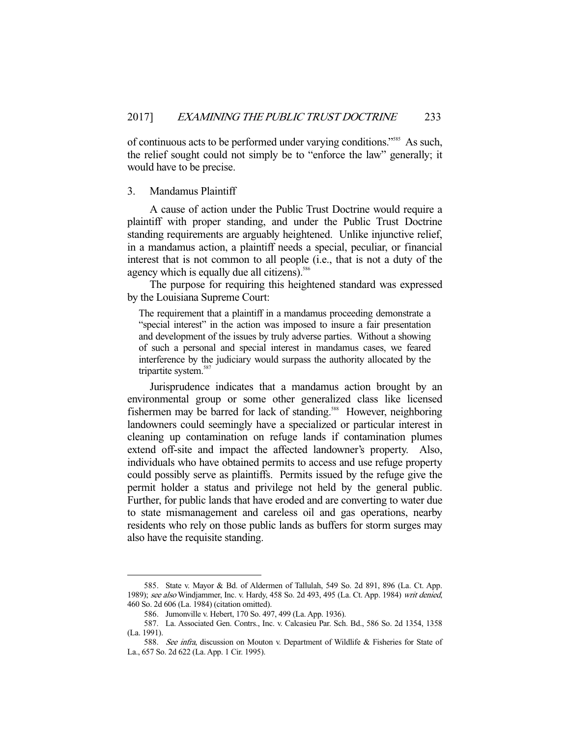of continuous acts to be performed under varying conditions."585 As such, the relief sought could not simply be to "enforce the law" generally; it would have to be precise.

### 3. Mandamus Plaintiff

 A cause of action under the Public Trust Doctrine would require a plaintiff with proper standing, and under the Public Trust Doctrine standing requirements are arguably heightened. Unlike injunctive relief, in a mandamus action, a plaintiff needs a special, peculiar, or financial interest that is not common to all people (i.e., that is not a duty of the agency which is equally due all citizens).<sup>586</sup>

 The purpose for requiring this heightened standard was expressed by the Louisiana Supreme Court:

The requirement that a plaintiff in a mandamus proceeding demonstrate a "special interest" in the action was imposed to insure a fair presentation and development of the issues by truly adverse parties. Without a showing of such a personal and special interest in mandamus cases, we feared interference by the judiciary would surpass the authority allocated by the tripartite system.<sup>58</sup>

 Jurisprudence indicates that a mandamus action brought by an environmental group or some other generalized class like licensed fishermen may be barred for lack of standing.<sup>588</sup> However, neighboring landowners could seemingly have a specialized or particular interest in cleaning up contamination on refuge lands if contamination plumes extend off-site and impact the affected landowner's property. Also, individuals who have obtained permits to access and use refuge property could possibly serve as plaintiffs. Permits issued by the refuge give the permit holder a status and privilege not held by the general public. Further, for public lands that have eroded and are converting to water due to state mismanagement and careless oil and gas operations, nearby residents who rely on those public lands as buffers for storm surges may also have the requisite standing.

 <sup>585.</sup> State v. Mayor & Bd. of Aldermen of Tallulah, 549 So. 2d 891, 896 (La. Ct. App. 1989); see also Windjammer, Inc. v. Hardy, 458 So. 2d 493, 495 (La. Ct. App. 1984) writ denied, 460 So. 2d 606 (La. 1984) (citation omitted).

 <sup>586.</sup> Jumonville v. Hebert, 170 So. 497, 499 (La. App. 1936).

 <sup>587.</sup> La. Associated Gen. Contrs., Inc. v. Calcasieu Par. Sch. Bd., 586 So. 2d 1354, 1358 (La. 1991).

<sup>588.</sup> See infra, discussion on Mouton v. Department of Wildlife & Fisheries for State of La., 657 So. 2d 622 (La. App. 1 Cir. 1995).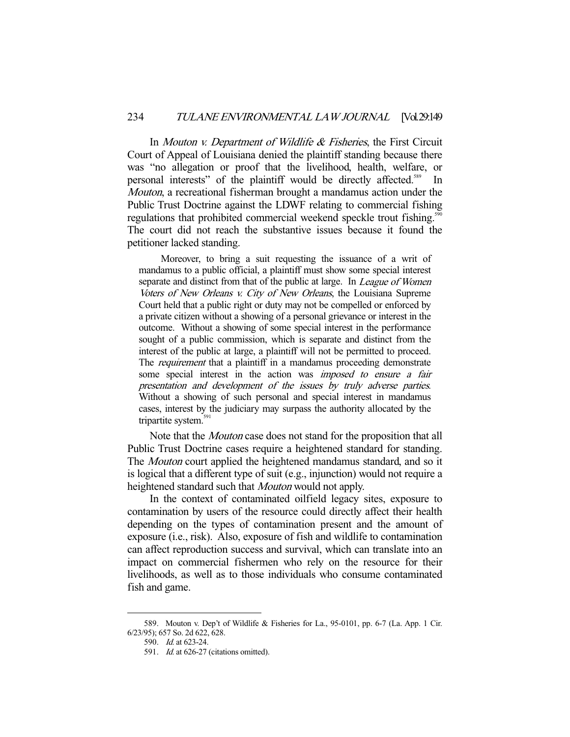In *Mouton v. Department of Wildlife & Fisheries*, the First Circuit Court of Appeal of Louisiana denied the plaintiff standing because there was "no allegation or proof that the livelihood, health, welfare, or personal interests" of the plaintiff would be directly affected.<sup>589</sup> In Mouton, a recreational fisherman brought a mandamus action under the Public Trust Doctrine against the LDWF relating to commercial fishing regulations that prohibited commercial weekend speckle trout fishing.<sup>590</sup> The court did not reach the substantive issues because it found the petitioner lacked standing.

 Moreover, to bring a suit requesting the issuance of a writ of mandamus to a public official, a plaintiff must show some special interest separate and distinct from that of the public at large. In League of Women Voters of New Orleans v. City of New Orleans, the Louisiana Supreme Court held that a public right or duty may not be compelled or enforced by a private citizen without a showing of a personal grievance or interest in the outcome. Without a showing of some special interest in the performance sought of a public commission, which is separate and distinct from the interest of the public at large, a plaintiff will not be permitted to proceed. The *requirement* that a plaintiff in a mandamus proceeding demonstrate some special interest in the action was *imposed to ensure a fair* presentation and development of the issues by truly adverse parties. Without a showing of such personal and special interest in mandamus cases, interest by the judiciary may surpass the authority allocated by the tripartite system.<sup>591</sup>

 Note that the Mouton case does not stand for the proposition that all Public Trust Doctrine cases require a heightened standard for standing. The Mouton court applied the heightened mandamus standard, and so it is logical that a different type of suit (e.g., injunction) would not require a heightened standard such that Mouton would not apply.

 In the context of contaminated oilfield legacy sites, exposure to contamination by users of the resource could directly affect their health depending on the types of contamination present and the amount of exposure (i.e., risk). Also, exposure of fish and wildlife to contamination can affect reproduction success and survival, which can translate into an impact on commercial fishermen who rely on the resource for their livelihoods, as well as to those individuals who consume contaminated fish and game.

 <sup>589.</sup> Mouton v. Dep't of Wildlife & Fisheries for La., 95-0101, pp. 6-7 (La. App. 1 Cir. 6/23/95); 657 So. 2d 622, 628.

 <sup>590.</sup> Id. at 623-24.

 <sup>591.</sup> Id. at 626-27 (citations omitted).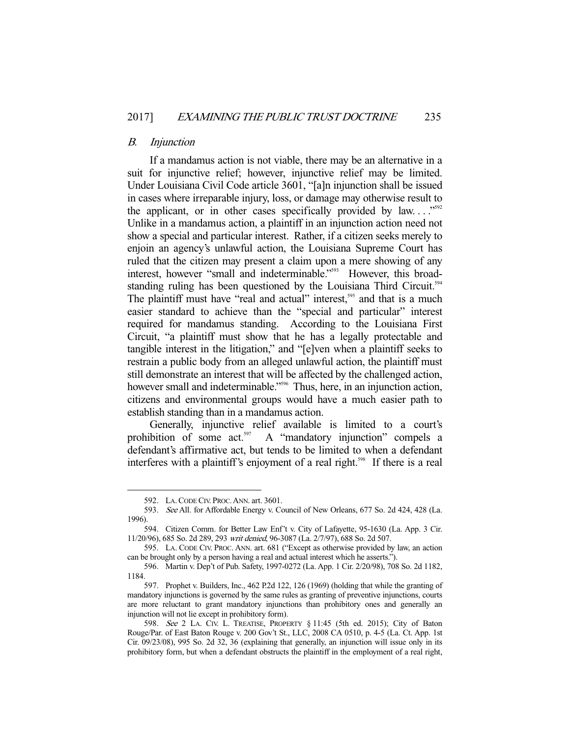#### B. Injunction

 If a mandamus action is not viable, there may be an alternative in a suit for injunctive relief; however, injunctive relief may be limited. Under Louisiana Civil Code article 3601, "[a]n injunction shall be issued in cases where irreparable injury, loss, or damage may otherwise result to the applicant, or in other cases specifically provided by law... $\cdot$ <sup>592</sup> Unlike in a mandamus action, a plaintiff in an injunction action need not show a special and particular interest. Rather, if a citizen seeks merely to enjoin an agency's unlawful action, the Louisiana Supreme Court has ruled that the citizen may present a claim upon a mere showing of any interest, however "small and indeterminable."<sup>593</sup> However, this broadstanding ruling has been questioned by the Louisiana Third Circuit.<sup>594</sup> The plaintiff must have "real and actual" interest,<sup>595</sup> and that is a much easier standard to achieve than the "special and particular" interest required for mandamus standing. According to the Louisiana First Circuit, "a plaintiff must show that he has a legally protectable and tangible interest in the litigation," and "[e]ven when a plaintiff seeks to restrain a public body from an alleged unlawful action, the plaintiff must still demonstrate an interest that will be affected by the challenged action, however small and indeterminable."<sup>596</sup> Thus, here, in an injunction action, citizens and environmental groups would have a much easier path to establish standing than in a mandamus action.

 Generally, injunctive relief available is limited to a court's prohibition of some act.<sup>597</sup> A "mandatory injunction" compels a defendant's affirmative act, but tends to be limited to when a defendant interferes with a plaintiff's enjoyment of a real right.<sup>598</sup> If there is a real

 <sup>592.</sup> LA.CODE CIV. PROC.ANN. art. 3601.

<sup>593.</sup> See All. for Affordable Energy v. Council of New Orleans, 677 So. 2d 424, 428 (La. 1996).

 <sup>594.</sup> Citizen Comm. for Better Law Enf't v. City of Lafayette, 95-1630 (La. App. 3 Cir. 11/20/96), 685 So. 2d 289, 293 writ denied, 96-3087 (La. 2/7/97), 688 So. 2d 507.

 <sup>595.</sup> LA. CODE CIV. PROC. ANN. art. 681 ("Except as otherwise provided by law, an action can be brought only by a person having a real and actual interest which he asserts.").

 <sup>596.</sup> Martin v. Dep't of Pub. Safety, 1997-0272 (La. App. 1 Cir. 2/20/98), 708 So. 2d 1182, 1184.

 <sup>597.</sup> Prophet v. Builders, Inc., 462 P.2d 122, 126 (1969) (holding that while the granting of mandatory injunctions is governed by the same rules as granting of preventive injunctions, courts are more reluctant to grant mandatory injunctions than prohibitory ones and generally an injunction will not lie except in prohibitory form).

<sup>598.</sup> See 2 LA. CIV. L. TREATISE, PROPERTY § 11:45 (5th ed. 2015); City of Baton Rouge/Par. of East Baton Rouge v. 200 Gov't St., LLC, 2008 CA 0510, p. 4-5 (La. Ct. App. 1st Cir. 09/23/08), 995 So. 2d 32, 36 (explaining that generally, an injunction will issue only in its prohibitory form, but when a defendant obstructs the plaintiff in the employment of a real right,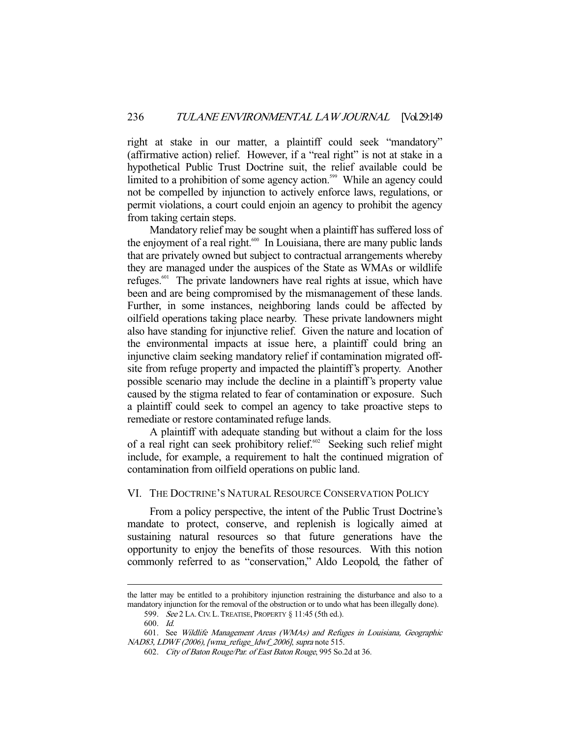right at stake in our matter, a plaintiff could seek "mandatory" (affirmative action) relief. However, if a "real right" is not at stake in a hypothetical Public Trust Doctrine suit, the relief available could be limited to a prohibition of some agency action.<sup>599</sup> While an agency could not be compelled by injunction to actively enforce laws, regulations, or permit violations, a court could enjoin an agency to prohibit the agency from taking certain steps.

 Mandatory relief may be sought when a plaintiff has suffered loss of the enjoyment of a real right.<sup>600</sup> In Louisiana, there are many public lands that are privately owned but subject to contractual arrangements whereby they are managed under the auspices of the State as WMAs or wildlife refuges.<sup>601</sup> The private landowners have real rights at issue, which have been and are being compromised by the mismanagement of these lands. Further, in some instances, neighboring lands could be affected by oilfield operations taking place nearby. These private landowners might also have standing for injunctive relief. Given the nature and location of the environmental impacts at issue here, a plaintiff could bring an injunctive claim seeking mandatory relief if contamination migrated offsite from refuge property and impacted the plaintiff's property. Another possible scenario may include the decline in a plaintiff's property value caused by the stigma related to fear of contamination or exposure. Such a plaintiff could seek to compel an agency to take proactive steps to remediate or restore contaminated refuge lands.

 A plaintiff with adequate standing but without a claim for the loss of a real right can seek prohibitory relief.<sup>602</sup> Seeking such relief might include, for example, a requirement to halt the continued migration of contamination from oilfield operations on public land.

#### VI. THE DOCTRINE'S NATURAL RESOURCE CONSERVATION POLICY

 From a policy perspective, the intent of the Public Trust Doctrine's mandate to protect, conserve, and replenish is logically aimed at sustaining natural resources so that future generations have the opportunity to enjoy the benefits of those resources. With this notion commonly referred to as "conservation," Aldo Leopold, the father of

the latter may be entitled to a prohibitory injunction restraining the disturbance and also to a mandatory injunction for the removal of the obstruction or to undo what has been illegally done).

 <sup>599.</sup> See 2 LA.CIV. L.TREATISE, PROPERTY § 11:45 (5th ed.).

 <sup>600.</sup> Id.

 <sup>601.</sup> See Wildlife Management Areas (WMAs) and Refuges in Louisiana, Geographic NAD83, LDWF (2006), [wma\_refuge\_ldwf\_2006], supra note 515.

 <sup>602.</sup> City of Baton Rouge/Par. of East Baton Rouge, 995 So.2d at 36.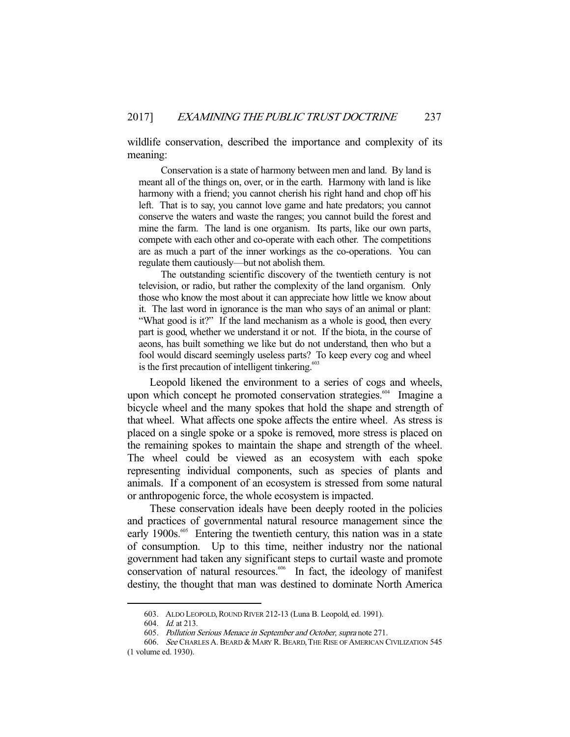wildlife conservation, described the importance and complexity of its meaning:

 Conservation is a state of harmony between men and land. By land is meant all of the things on, over, or in the earth. Harmony with land is like harmony with a friend; you cannot cherish his right hand and chop off his left. That is to say, you cannot love game and hate predators; you cannot conserve the waters and waste the ranges; you cannot build the forest and mine the farm. The land is one organism. Its parts, like our own parts, compete with each other and co-operate with each other. The competitions are as much a part of the inner workings as the co-operations. You can regulate them cautiously—but not abolish them.

 The outstanding scientific discovery of the twentieth century is not television, or radio, but rather the complexity of the land organism. Only those who know the most about it can appreciate how little we know about it. The last word in ignorance is the man who says of an animal or plant: "What good is it?" If the land mechanism as a whole is good, then every part is good, whether we understand it or not. If the biota, in the course of aeons, has built something we like but do not understand, then who but a fool would discard seemingly useless parts? To keep every cog and wheel is the first precaution of intelligent tinkering. $603$ 

 Leopold likened the environment to a series of cogs and wheels, upon which concept he promoted conservation strategies.<sup>604</sup> Imagine a bicycle wheel and the many spokes that hold the shape and strength of that wheel. What affects one spoke affects the entire wheel. As stress is placed on a single spoke or a spoke is removed, more stress is placed on the remaining spokes to maintain the shape and strength of the wheel. The wheel could be viewed as an ecosystem with each spoke representing individual components, such as species of plants and animals. If a component of an ecosystem is stressed from some natural or anthropogenic force, the whole ecosystem is impacted.

 These conservation ideals have been deeply rooted in the policies and practices of governmental natural resource management since the early 1900s.<sup>605</sup> Entering the twentieth century, this nation was in a state of consumption. Up to this time, neither industry nor the national government had taken any significant steps to curtail waste and promote conservation of natural resources.<sup>606</sup> In fact, the ideology of manifest destiny, the thought that man was destined to dominate North America

 <sup>603.</sup> ALDO LEOPOLD,ROUND RIVER 212-13 (Luna B. Leopold, ed. 1991).

<sup>604.</sup> *Id.* at 213.

 <sup>605.</sup> Pollution Serious Menace in September and October, supra note 271.

<sup>606.</sup> See CHARLES A. BEARD & MARY R. BEARD, THE RISE OF AMERICAN CIVILIZATION 545

<sup>(1</sup> volume ed. 1930).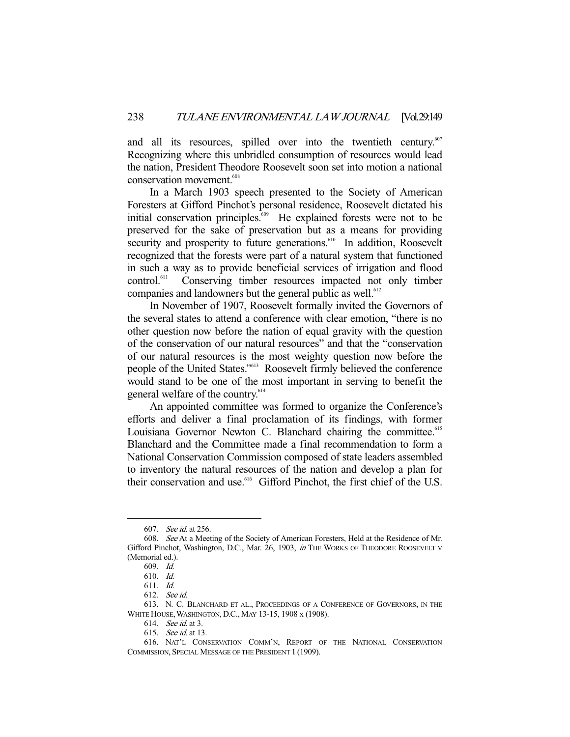and all its resources, spilled over into the twentieth century.<sup>607</sup> Recognizing where this unbridled consumption of resources would lead the nation, President Theodore Roosevelt soon set into motion a national conservation movement.<sup>608</sup>

 In a March 1903 speech presented to the Society of American Foresters at Gifford Pinchot's personal residence, Roosevelt dictated his initial conservation principles.<sup>609</sup> He explained forests were not to be preserved for the sake of preservation but as a means for providing security and prosperity to future generations.<sup>610</sup> In addition, Roosevelt recognized that the forests were part of a natural system that functioned in such a way as to provide beneficial services of irrigation and flood control.<sup>611</sup> Conserving timber resources impacted not only timber Conserving timber resources impacted not only timber companies and landowners but the general public as well.<sup>612</sup>

 In November of 1907, Roosevelt formally invited the Governors of the several states to attend a conference with clear emotion, "there is no other question now before the nation of equal gravity with the question of the conservation of our natural resources" and that the "conservation of our natural resources is the most weighty question now before the people of the United States."613 Roosevelt firmly believed the conference would stand to be one of the most important in serving to benefit the general welfare of the country.<sup>614</sup>

 An appointed committee was formed to organize the Conference's efforts and deliver a final proclamation of its findings, with former Louisiana Governor Newton C. Blanchard chairing the committee.<sup>615</sup> Blanchard and the Committee made a final recommendation to form a National Conservation Commission composed of state leaders assembled to inventory the natural resources of the nation and develop a plan for their conservation and use.<sup>616</sup> Gifford Pinchot, the first chief of the U.S.

 <sup>607.</sup> See id. at 256.

 <sup>608.</sup> See At a Meeting of the Society of American Foresters, Held at the Residence of Mr. Gifford Pinchot, Washington, D.C., Mar. 26, 1903, in THE WORKS OF THEODORE ROOSEVELT V (Memorial ed.).

 <sup>609.</sup> Id.

 <sup>610.</sup> Id.

 <sup>611.</sup> Id.

 <sup>612.</sup> See id.

 <sup>613.</sup> N. C. BLANCHARD ET AL., PROCEEDINGS OF A CONFERENCE OF GOVERNORS, IN THE WHITE HOUSE,WASHINGTON, D.C., MAY 13-15, 1908 x (1908).

 <sup>614.</sup> See id. at 3.

 <sup>615.</sup> See id. at 13.

 <sup>616.</sup> NAT'L CONSERVATION COMM'N, REPORT OF THE NATIONAL CONSERVATION COMMISSION, SPECIAL MESSAGE OF THE PRESIDENT 1 (1909).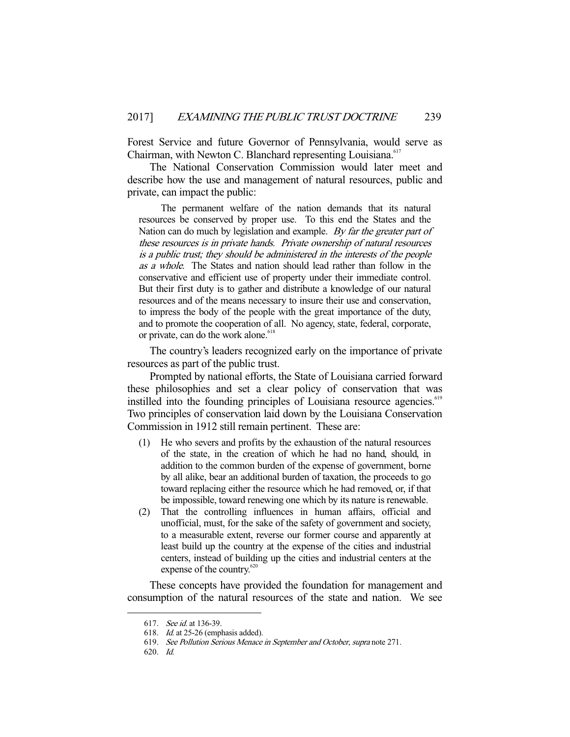Forest Service and future Governor of Pennsylvania, would serve as Chairman, with Newton C. Blanchard representing Louisiana.<sup>617</sup>

 The National Conservation Commission would later meet and describe how the use and management of natural resources, public and private, can impact the public:

 The permanent welfare of the nation demands that its natural resources be conserved by proper use. To this end the States and the Nation can do much by legislation and example. By far the greater part of these resources is in private hands. Private ownership of natural resources is a public trust; they should be administered in the interests of the people as a whole. The States and nation should lead rather than follow in the conservative and efficient use of property under their immediate control. But their first duty is to gather and distribute a knowledge of our natural resources and of the means necessary to insure their use and conservation, to impress the body of the people with the great importance of the duty, and to promote the cooperation of all. No agency, state, federal, corporate, or private, can do the work alone.<sup>618</sup>

 The country's leaders recognized early on the importance of private resources as part of the public trust.

 Prompted by national efforts, the State of Louisiana carried forward these philosophies and set a clear policy of conservation that was instilled into the founding principles of Louisiana resource agencies.<sup>619</sup> Two principles of conservation laid down by the Louisiana Conservation Commission in 1912 still remain pertinent. These are:

- (1) He who severs and profits by the exhaustion of the natural resources of the state, in the creation of which he had no hand, should, in addition to the common burden of the expense of government, borne by all alike, bear an additional burden of taxation, the proceeds to go toward replacing either the resource which he had removed, or, if that be impossible, toward renewing one which by its nature is renewable.
- (2) That the controlling influences in human affairs, official and unofficial, must, for the sake of the safety of government and society, to a measurable extent, reverse our former course and apparently at least build up the country at the expense of the cities and industrial centers, instead of building up the cities and industrial centers at the expense of the country.<sup>620</sup>

 These concepts have provided the foundation for management and consumption of the natural resources of the state and nation. We see

<sup>617.</sup> See id. at 136-39.

 <sup>618.</sup> Id. at 25-26 (emphasis added).

 <sup>619.</sup> See Pollution Serious Menace in September and October, supra note 271.

 <sup>620.</sup> Id.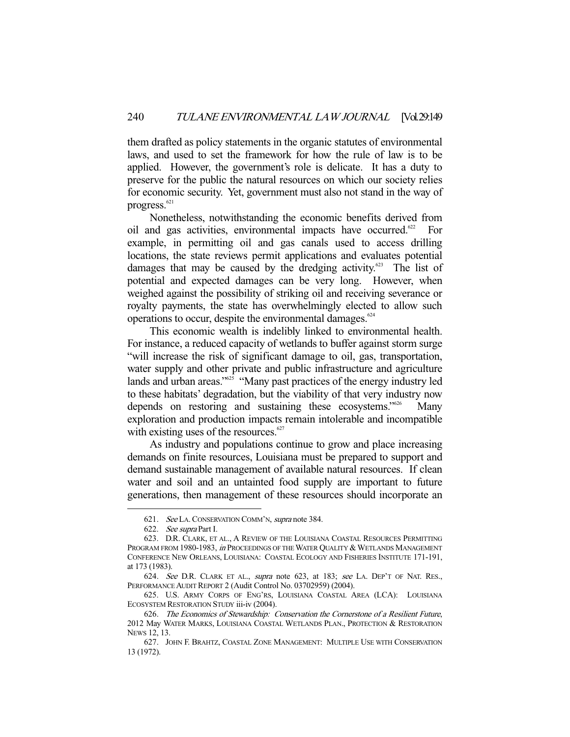them drafted as policy statements in the organic statutes of environmental laws, and used to set the framework for how the rule of law is to be applied. However, the government's role is delicate. It has a duty to preserve for the public the natural resources on which our society relies for economic security. Yet, government must also not stand in the way of progress.<sup>621</sup>

 Nonetheless, notwithstanding the economic benefits derived from oil and gas activities, environmental impacts have occurred.<sup>622</sup> For example, in permitting oil and gas canals used to access drilling locations, the state reviews permit applications and evaluates potential damages that may be caused by the dredging activity.<sup> $623$ </sup> The list of potential and expected damages can be very long. However, when weighed against the possibility of striking oil and receiving severance or royalty payments, the state has overwhelmingly elected to allow such operations to occur, despite the environmental damages. $624$ 

 This economic wealth is indelibly linked to environmental health. For instance, a reduced capacity of wetlands to buffer against storm surge "will increase the risk of significant damage to oil, gas, transportation, water supply and other private and public infrastructure and agriculture lands and urban areas." $625$  "Many past practices of the energy industry led to these habitats' degradation, but the viability of that very industry now depends on restoring and sustaining these ecosystems.<sup>"626</sup> Many exploration and production impacts remain intolerable and incompatible with existing uses of the resources.<sup>627</sup>

 As industry and populations continue to grow and place increasing demands on finite resources, Louisiana must be prepared to support and demand sustainable management of available natural resources. If clean water and soil and an untainted food supply are important to future generations, then management of these resources should incorporate an

 <sup>621.</sup> See LA.CONSERVATION COMM'N, supra note 384.

 <sup>622.</sup> See supra Part I.

 <sup>623.</sup> D.R. CLARK, ET AL., A REVIEW OF THE LOUISIANA COASTAL RESOURCES PERMITTING PROGRAM FROM 1980-1983, in PROCEEDINGS OF THE WATER QUALITY & WETLANDS MANAGEMENT CONFERENCE NEW ORLEANS, LOUISIANA: COASTAL ECOLOGY AND FISHERIES INSTITUTE 171-191, at 173 (1983).

 <sup>624.</sup> See D.R. CLARK ET AL., supra note 623, at 183; see LA. DEP'T OF NAT. RES., PERFORMANCE AUDIT REPORT 2 (Audit Control No. 03702959) (2004).

 <sup>625.</sup> U.S. ARMY CORPS OF ENG'RS, LOUISIANA COASTAL AREA (LCA): LOUISIANA ECOSYSTEM RESTORATION STUDY iii-iv (2004).

 <sup>626.</sup> The Economics of Stewardship: Conservation the Cornerstone of a Resilient Future, 2012 May WATER MARKS, LOUISIANA COASTAL WETLANDS PLAN., PROTECTION & RESTORATION NEWS 12, 13.

 <sup>627.</sup> JOHN F. BRAHTZ, COASTAL ZONE MANAGEMENT: MULTIPLE USE WITH CONSERVATION 13 (1972).